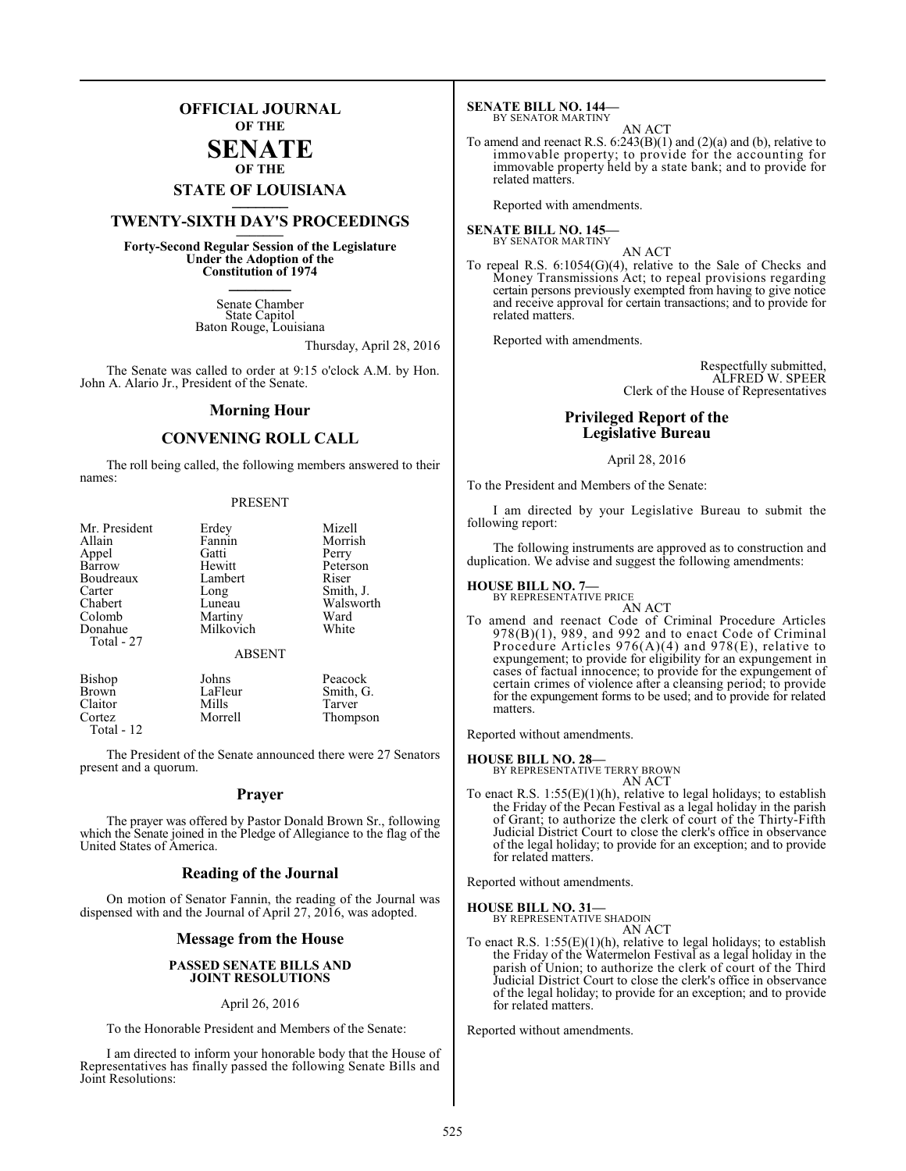## **OFFICIAL JOURNAL OF THE**

#### **SENATE OF THE**

# **STATE OF LOUISIANA \_\_\_\_\_\_\_**

## **TWENTY-SIXTH DAY'S PROCEEDINGS \_\_\_\_\_\_\_**

**Forty-Second Regular Session of the Legislature Under the Adoption of the Constitution of 1974 \_\_\_\_\_\_\_**

> Senate Chamber State Capitol Baton Rouge, Louisiana

> > Thursday, April 28, 2016

The Senate was called to order at 9:15 o'clock A.M. by Hon. John A. Alario Jr., President of the Senate.

#### **Morning Hour**

### **CONVENING ROLL CALL**

The roll being called, the following members answered to their names:

#### PRESENT

| Mr. President | Erdey         | Mizell    |
|---------------|---------------|-----------|
| Allain        | Fannin        | Morrish   |
| Appel         | Gatti         | Perry     |
| Barrow        | Hewitt        | Peterson  |
| Boudreaux     | Lambert       | Riser     |
| Carter        | Long          | Smith, J. |
| Chabert       | Luneau        | Walsworth |
| Colomb        | Martiny       | Ward      |
| Donahue       | Milkovich     | White     |
| Total - 27    | <b>ABSENT</b> |           |
| <b>Bishop</b> | Johns         | Peacock   |
| <b>Brown</b>  | LaFleur       | Smith, G. |
| Claitor       | Mills         | Tarver    |

Claitor Mills Tarver Cortez Morrell Thompson

Total - 12

The President of the Senate announced there were 27 Senators present and a quorum.

#### **Prayer**

The prayer was offered by Pastor Donald Brown Sr., following which the Senate joined in the Pledge of Allegiance to the flag of the United States of America.

#### **Reading of the Journal**

On motion of Senator Fannin, the reading of the Journal was dispensed with and the Journal of April 27, 2016, was adopted.

#### **Message from the House**

#### **PASSED SENATE BILLS AND JOINT RESOLUTIONS**

#### April 26, 2016

To the Honorable President and Members of the Senate:

I am directed to inform your honorable body that the House of Representatives has finally passed the following Senate Bills and Joint Resolutions:

**SENATE BILL NO. 144—** BY SENATOR MARTINY

AN ACT To amend and reenact R.S.  $6:243(B)(1)$  and  $(2)(a)$  and  $(b)$ , relative to immovable property; to provide for the accounting for immovable property held by a state bank; and to provide for related matters.

Reported with amendments.

#### **SENATE BILL NO. 145—** BY SENATOR MARTINY

- AN ACT
- To repeal R.S. 6:1054(G)(4), relative to the Sale of Checks and Money Transmissions Act; to repeal provisions regarding certain persons previously exempted from having to give notice and receive approval for certain transactions; and to provide for related matters.

Reported with amendments.

Respectfully submitted, ALFRED W. SPEER Clerk of the House of Representatives

#### **Privileged Report of the Legislative Bureau**

#### April 28, 2016

To the President and Members of the Senate:

I am directed by your Legislative Bureau to submit the following report:

The following instruments are approved as to construction and duplication. We advise and suggest the following amendments:

#### **HOUSE BILL NO. 7—**

BY REPRESENTATIVE PRICE AN ACT

To amend and reenact Code of Criminal Procedure Articles 978(B)(1), 989, and 992 and to enact Code of Criminal Procedure Articles 976(A)(4) and 978(E), relative to expungement; to provide for eligibility for an expungement in cases of factual innocence; to provide for the expungement of certain crimes of violence after a cleansing period; to provide for the expungement forms to be used; and to provide for related matters.

Reported without amendments.

**HOUSE BILL NO. 28—** BY REPRESENTATIVE TERRY BROWN

AN ACT To enact R.S.  $1:55(E)(1)(h)$ , relative to legal holidays; to establish the Friday of the Pecan Festival as a legal holiday in the parish of Grant; to authorize the clerk of court of the Thirty-Fifth Judicial District Court to close the clerk's office in observance of the legal holiday; to provide for an exception; and to provide for related matters.

Reported without amendments.

#### **HOUSE BILL NO. 31—**

BY REPRESENTATIVE SHADOIN AN ACT

To enact R.S. 1:55(E)(1)(h), relative to legal holidays; to establish the Friday of the Watermelon Festival as a legal holiday in the parish of Union; to authorize the clerk of court of the Third Judicial District Court to close the clerk's office in observance of the legal holiday; to provide for an exception; and to provide for related matters.

Reported without amendments.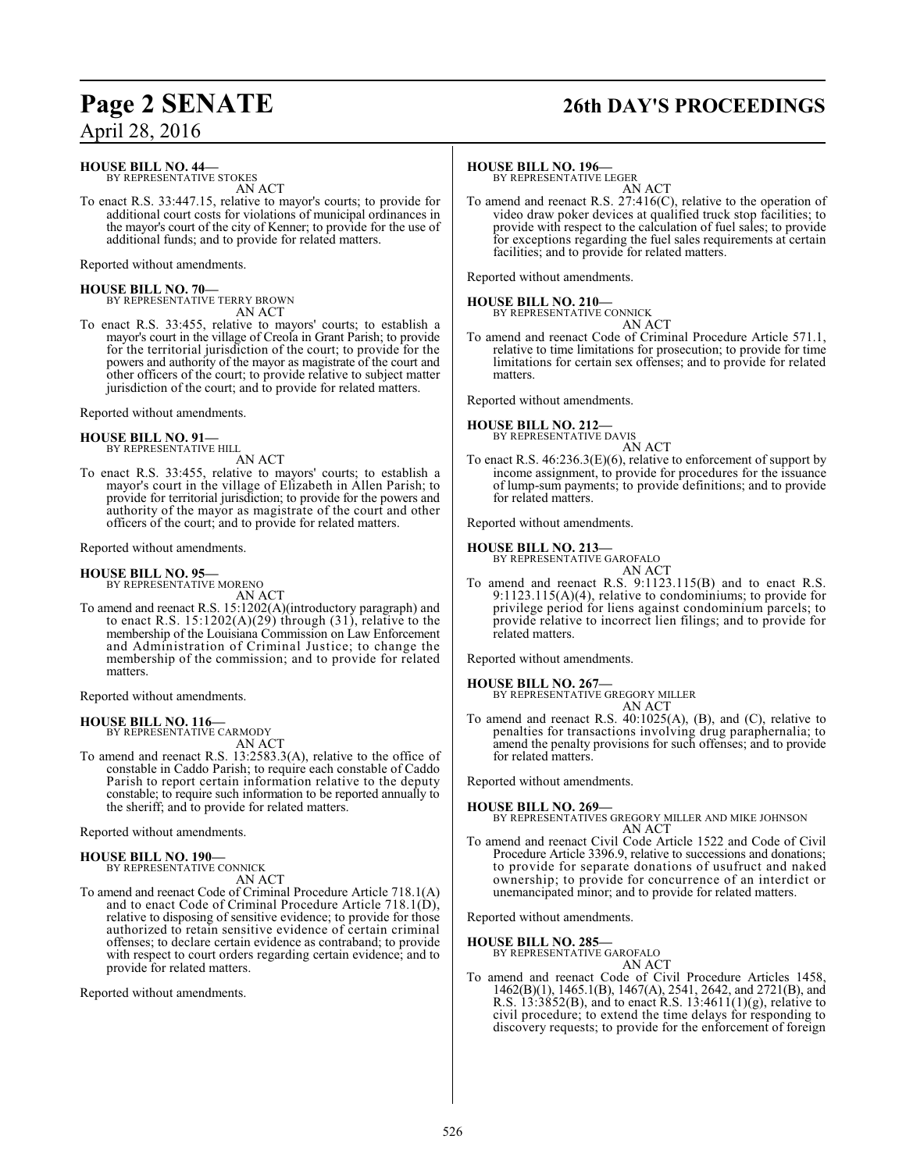## **Page 2 SENATE 26th DAY'S PROCEEDINGS**

**HOUSE BILL NO. 44—**

BY REPRESENTATIVE STOKES AN ACT

To enact R.S. 33:447.15, relative to mayor's courts; to provide for additional court costs for violations of municipal ordinances in the mayor's court of the city of Kenner; to provide for the use of additional funds; and to provide for related matters.

Reported without amendments.

**HOUSE BILL NO. 70—** BY REPRESENTATIVE TERRY BROWN AN ACT

To enact R.S. 33:455, relative to mayors' courts; to establish a mayor's court in the village of Creola in Grant Parish; to provide for the territorial jurisdiction of the court; to provide for the powers and authority of the mayor as magistrate of the court and other officers of the court; to provide relative to subject matter jurisdiction of the court; and to provide for related matters.

Reported without amendments.

#### **HOUSE BILL NO. 91—** BY REPRESENTATIVE HILL

AN ACT

To enact R.S. 33:455, relative to mayors' courts; to establish a mayor's court in the village of Elizabeth in Allen Parish; to provide for territorial jurisdiction; to provide for the powers and authority of the mayor as magistrate of the court and other officers of the court; and to provide for related matters.

Reported without amendments.

#### **HOUSE BILL NO. 95—**

BY REPRESENTATIVE MORENO AN ACT

To amend and reenact R.S. 15:1202(A)(introductory paragraph) and to enact R.S.  $15:1202(A)(29)$  through  $(31)$ , relative to the membership of the Louisiana Commission on Law Enforcement and Administration of Criminal Justice; to change the membership of the commission; and to provide for related matters.

Reported without amendments.

#### **HOUSE BILL NO. 116—** BY REPRESENTATIVE CARMODY

AN ACT

To amend and reenact R.S. 13:2583.3(A), relative to the office of constable in Caddo Parish; to require each constable of Caddo Parish to report certain information relative to the deputy constable; to require such information to be reported annually to the sheriff; and to provide for related matters.

Reported without amendments.

#### **HOUSE BILL NO. 190—**

BY REPRESENTATIVE CONNICK AN ACT

To amend and reenact Code of Criminal Procedure Article 718.1(A) and to enact Code of Criminal Procedure Article 718.1(D), relative to disposing of sensitive evidence; to provide for those authorized to retain sensitive evidence of certain criminal offenses; to declare certain evidence as contraband; to provide with respect to court orders regarding certain evidence; and to provide for related matters.

Reported without amendments.

#### **HOUSE BILL NO. 196—**

BY REPRESENTATIVE LEGER AN ACT

To amend and reenact R.S. 27:416(C), relative to the operation of video draw poker devices at qualified truck stop facilities; to provide with respect to the calculation of fuel sales; to provide for exceptions regarding the fuel sales requirements at certain facilities; and to provide for related matters.

Reported without amendments.

## **HOUSE BILL NO. 210—** BY REPRESENTATIVE CONNICK

AN ACT To amend and reenact Code of Criminal Procedure Article 571.1, relative to time limitations for prosecution; to provide for time limitations for certain sex offenses; and to provide for related matters.

Reported without amendments.

## **HOUSE BILL NO. 212—**



To enact R.S. 46:236.3(E)(6), relative to enforcement of support by income assignment, to provide for procedures for the issuance of lump-sum payments; to provide definitions; and to provide for related matters.

Reported without amendments.

#### **HOUSE BILL NO. 213—**

BY REPRESENTATIVE GAROFALO AN ACT

To amend and reenact R.S. 9:1123.115(B) and to enact R.S. 9:1123.115(A)(4), relative to condominiums; to provide for privilege period for liens against condominium parcels; to provide relative to incorrect lien filings; and to provide for related matters.

Reported without amendments.

**HOUSE BILL NO. 267—**

BY REPRESENTATIVE GREGORY MILLER AN ACT

To amend and reenact R.S. 40:1025(A), (B), and (C), relative to penalties for transactions involving drug paraphernalia; to amend the penalty provisions for such offenses; and to provide for related matters.

Reported without amendments.

#### **HOUSE BILL NO. 269—**

BY REPRESENTATIVES GREGORY MILLER AND MIKE JOHNSON AN ACT

To amend and reenact Civil Code Article 1522 and Code of Civil Procedure Article 3396.9, relative to successions and donations; to provide for separate donations of usufruct and naked ownership; to provide for concurrence of an interdict or unemancipated minor; and to provide for related matters.

Reported without amendments.

**HOUSE BILL NO. 285—** BY REPRESENTATIVE GAROFALO AN ACT

To amend and reenact Code of Civil Procedure Articles 1458, 1462(B)(1), 1465.1(B), 1467(A), 2541, 2642, and 2721(B), and R.S.  $13:3852(B)$ , and to enact R.S.  $13:4611(1)(g)$ , relative to civil procedure; to extend the time delays for responding to discovery requests; to provide for the enforcement of foreign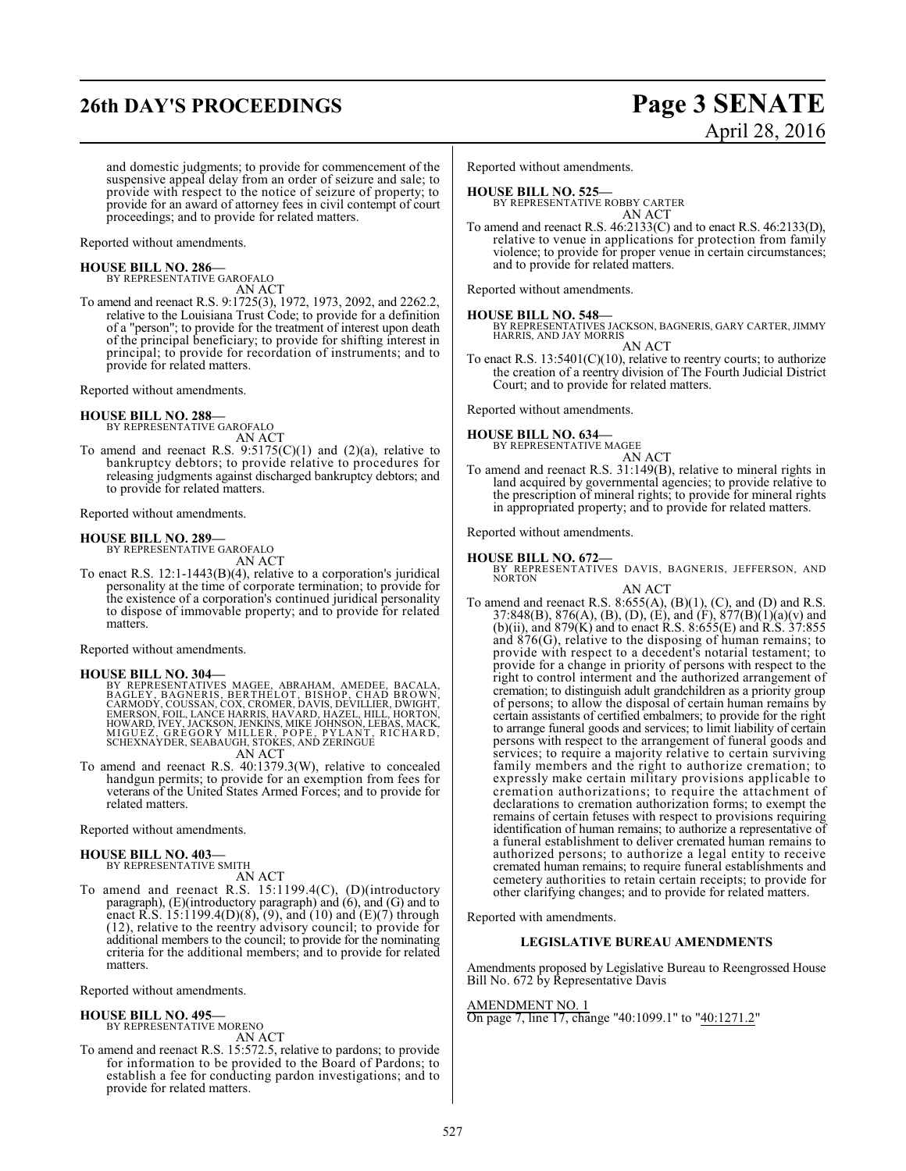## **26th DAY'S PROCEEDINGS Page 3 SENATE**

and domestic judgments; to provide for commencement of the suspensive appeal delay from an order of seizure and sale; to provide with respect to the notice of seizure of property; to provide for an award of attorney fees in civil contempt of court proceedings; and to provide for related matters.

Reported without amendments.

**HOUSE BILL NO. 286—** BY REPRESENTATIVE GAROFALO AN ACT

To amend and reenact R.S. 9:1725(3), 1972, 1973, 2092, and 2262.2, relative to the Louisiana Trust Code; to provide for a definition of a "person"; to provide for the treatment of interest upon death of the principal beneficiary; to provide for shifting interest in principal; to provide for recordation of instruments; and to provide for related matters.

Reported without amendments.

### **HOUSE BILL NO. 288—**

BY REPRESENTATIVE GAROFALO AN ACT

To amend and reenact R.S.  $9:5175(C)(1)$  and  $(2)(a)$ , relative to bankruptcy debtors; to provide relative to procedures for releasing judgments against discharged bankruptcy debtors; and to provide for related matters.

Reported without amendments.

#### **HOUSE BILL NO. 289—**

BY REPRESENTATIVE GAROFALO AN ACT

To enact R.S. 12:1-1443(B)(4), relative to a corporation's juridical personality at the time of corporate termination; to provide for the existence of a corporation's continued juridical personality to dispose of immovable property; and to provide for related matters.

Reported without amendments.

#### **HOUSE BILL NO. 304—**

BY REPRESENTATIVES MAGEE, ABRAHAM, AMEDEE, BACALA,<br>BAGLEY, BAGNERIS, BERTHELOT, BISHOP, CHAD BROWN,<br>CARMODY, COUSSAN, COX, CROMER, DAVIS, DEVILLIER, DWIGHT,<br>EMERSON, FOIL, LANCE HARRIS, HAVARD, HAZEL, HILL, HORTON,<br>HOWARD,

To amend and reenact R.S. 40:1379.3(W), relative to concealed handgun permits; to provide for an exemption from fees for veterans of the United States Armed Forces; and to provide for related matters.

Reported without amendments.

### **HOUSE BILL NO. 403—**

BY REPRESENTATIVE SMITH AN ACT

To amend and reenact R.S. 15:1199.4(C), (D)(introductory paragraph), (E)(introductory paragraph) and (6), and (G) and to enact R.S. 15:1199.4(D)(8), (9), and (10) and (E)(7) through (12), relative to the reentry advisory council; to provide for additional members to the council; to provide for the nominating criteria for the additional members; and to provide for related matters.

Reported without amendments.

#### **HOUSE BILL NO. 495—**

BY REPRESENTATIVE MORENO AN ACT

To amend and reenact R.S. 15:572.5, relative to pardons; to provide for information to be provided to the Board of Pardons; to establish a fee for conducting pardon investigations; and to provide for related matters.

Reported without amendments.

#### **HOUSE BILL NO. 525—**

BY REPRESENTATIVE ROBBY CARTER AN ACT

To amend and reenact R.S. 46:2133(C) and to enact R.S. 46:2133(D), relative to venue in applications for protection from family violence; to provide for proper venue in certain circumstances; and to provide for related matters.

Reported without amendments.

**HOUSE BILL NO. 548—** BY REPRESENTATIVES JACKSON, BAGNERIS, GARY CARTER, JIMMY HARRIS, AND JAY MORRIS

AN ACT To enact R.S. 13:5401(C)(10), relative to reentry courts; to authorize the creation of a reentry division of The Fourth Judicial District Court; and to provide for related matters.

Reported without amendments.

#### **HOUSE BILL NO. 634—**

BY REPRESENTATIVE MAGEE AN ACT

To amend and reenact R.S. 31:149(B), relative to mineral rights in land acquired by governmental agencies; to provide relative to the prescription of mineral rights; to provide for mineral rights in appropriated property; and to provide for related matters.

Reported without amendments.

#### **HOUSE BILL NO. 672—**

BY REPRESENTATIVES DAVIS, BAGNERIS, JEFFERSON, AND NORTON

AN ACT

To amend and reenact R.S. 8:655(A),  $(B)(1)$ ,  $(C)$ , and  $(D)$  and R.S. 37:848(B), 876(A), (B), (D), (E), and (F), 877(B)(1)(a)(v) and (b)(ii), and 879(K) and to enact R.S. 8:655(E) and R.S. 37:855 and 876(G), relative to the disposing of human remains; to provide with respect to a decedent's notarial testament; to provide for a change in priority of persons with respect to the right to control interment and the authorized arrangement of cremation; to distinguish adult grandchildren as a priority group of persons; to allow the disposal of certain human remains by certain assistants of certified embalmers; to provide for the right to arrange funeral goods and services; to limit liability of certain persons with respect to the arrangement of funeral goods and services; to require a majority relative to certain surviving family members and the right to authorize cremation; to expressly make certain military provisions applicable to cremation authorizations; to require the attachment of declarations to cremation authorization forms; to exempt the remains of certain fetuses with respect to provisions requiring identification of human remains; to authorize a representative of a funeral establishment to deliver cremated human remains to authorized persons; to authorize a legal entity to receive cremated human remains; to require funeral establishments and cemetery authorities to retain certain receipts; to provide for other clarifying changes; and to provide for related matters.

Reported with amendments.

#### **LEGISLATIVE BUREAU AMENDMENTS**

Amendments proposed by Legislative Bureau to Reengrossed House Bill No. 672 by Representative Davis

#### AMENDMENT NO. 1

On page 7, line 17, change "40:1099.1" to "40:1271.2"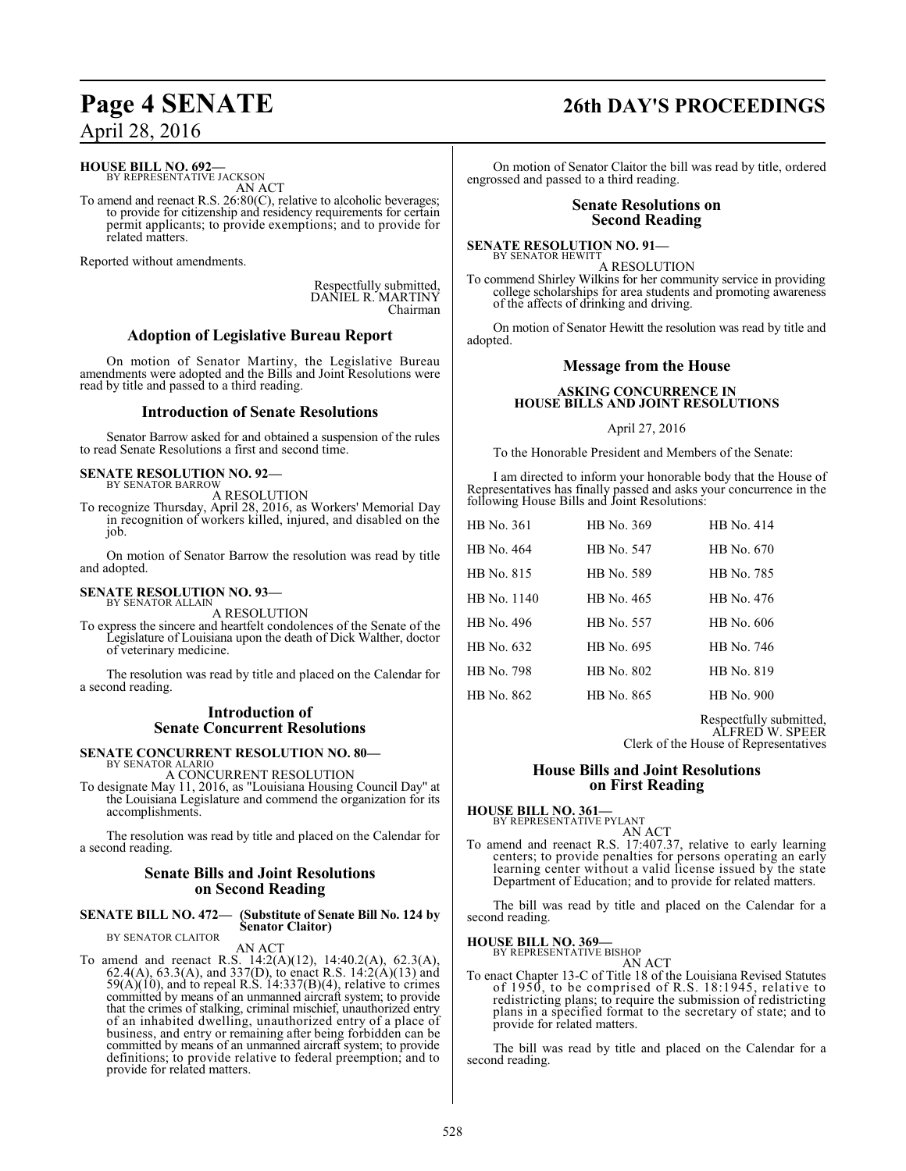## **HOUSE BILL NO. 692—**<br>BY REPRESENTATIVE JACKSON

AN ACT

To amend and reenact R.S. 26:80(C), relative to alcoholic beverages; to provide for citizenship and residency requirements for certain permit applicants; to provide exemptions; and to provide for related matters.

Reported without amendments.

Respectfully submitted, DANIEL R. MARTINY Chairman

### **Adoption of Legislative Bureau Report**

On motion of Senator Martiny, the Legislative Bureau amendments were adopted and the Bills and Joint Resolutions were read by title and passed to a third reading.

#### **Introduction of Senate Resolutions**

Senator Barrow asked for and obtained a suspension of the rules to read Senate Resolutions a first and second time.

## **SENATE RESOLUTION NO. 92-**<br>BY SENATOR BARROW

A RESOLUTION

To recognize Thursday, April 28, 2016, as Workers' Memorial Day in recognition of workers killed, injured, and disabled on the job.

On motion of Senator Barrow the resolution was read by title and adopted.

## **SENATE RESOLUTION NO. 93–**<br>BY SENATOR ALLAIN

A RESOLUTION

To express the sincere and heartfelt condolences of the Senate of the Legislature of Louisiana upon the death of Dick Walther, doctor of veterinary medicine.

The resolution was read by title and placed on the Calendar for a second reading.

### **Introduction of Senate Concurrent Resolutions**

**SENATE CONCURRENT RESOLUTION NO. 80—** BY SENATOR ALARIO

A CONCURRENT RESOLUTION

To designate May 11, 2016, as "Louisiana Housing Council Day" at the Louisiana Legislature and commend the organization for its accomplishments.

The resolution was read by title and placed on the Calendar for a second reading.

#### **Senate Bills and Joint Resolutions on Second Reading**

#### **SENATE BILL NO. 472— (Substitute of Senate Bill No. 124 by Senator Claitor)** BY SENATOR CLAITOR

AN ACT

To amend and reenact R.S. 14:2(A)(12), 14:40.2(A), 62.3(A), 62.4(A), 63.3(A), and 337(D), to enact R.S. 14:2(A)(13) and  $59(A)(10)$ , and to repeal R.S.  $14:337(B)(4)$ , relative to crimes committed by means of an unmanned aircraft system; to provide that the crimes of stalking, criminal mischief, unauthorized entry of an inhabited dwelling, unauthorized entry of a place of business, and entry or remaining after being forbidden can be committed by means of an unmanned aircraft system; to provide definitions; to provide relative to federal preemption; and to provide for related matters.

## **Page 4 SENATE 26th DAY'S PROCEEDINGS**

On motion of Senator Claitor the bill was read by title, ordered engrossed and passed to a third reading.

#### **Senate Resolutions on Second Reading**

## **SENATE RESOLUTION NO. 91–** BY SENATOR HEWITT

A RESOLUTION To commend Shirley Wilkins for her community service in providing college scholarships for area students and promoting awareness of the affects of drinking and driving.

On motion of Senator Hewitt the resolution was read by title and adopted.

#### **Message from the House**

#### **ASKING CONCURRENCE IN HOUSE BILLS AND JOINT RESOLUTIONS**

#### April 27, 2016

To the Honorable President and Members of the Senate:

I am directed to inform your honorable body that the House of Representatives has finally passed and asks your concurrence in the following House Bills and Joint Resolutions:

| HB No. 361  | HB No. 369 | HB No. 414 |
|-------------|------------|------------|
| HB No. 464  | HB No. 547 | HB No. 670 |
| HB No. 815  | HB No. 589 | HB No. 785 |
| HB No. 1140 | HB No. 465 | HB No. 476 |
| HB No. 496  | HB No. 557 | HB No. 606 |
| HB No. 632  | HB No. 695 | HB No. 746 |
| HB No. 798  | HB No. 802 | HB No. 819 |
| HB No. 862  | HB No. 865 | HB No. 900 |
|             |            |            |

Respectfully submitted, ALFRED W. SPEER

Clerk of the House of Representatives

#### **House Bills and Joint Resolutions on First Reading**

**HOUSE BILL NO. 361-**<br>BY REPRESENTATIVE PYLANT

AN ACT

To amend and reenact R.S. 17:407.37, relative to early learning centers; to provide penalties for persons operating an early learning center without a valid license issued by the state Department of Education; and to provide for related matters.

The bill was read by title and placed on the Calendar for a second reading.

**HOUSE BILL NO. 369-**<br>BY REPRESENTATIVE BISHOP

AN ACT

To enact Chapter 13-C of Title 18 of the Louisiana Revised Statutes of 1950, to be comprised of R.S. 18:1945, relative to redistricting plans; to require the submission of redistricting plans in a specified format to the secretary of state; and to provide for related matters.

The bill was read by title and placed on the Calendar for a second reading.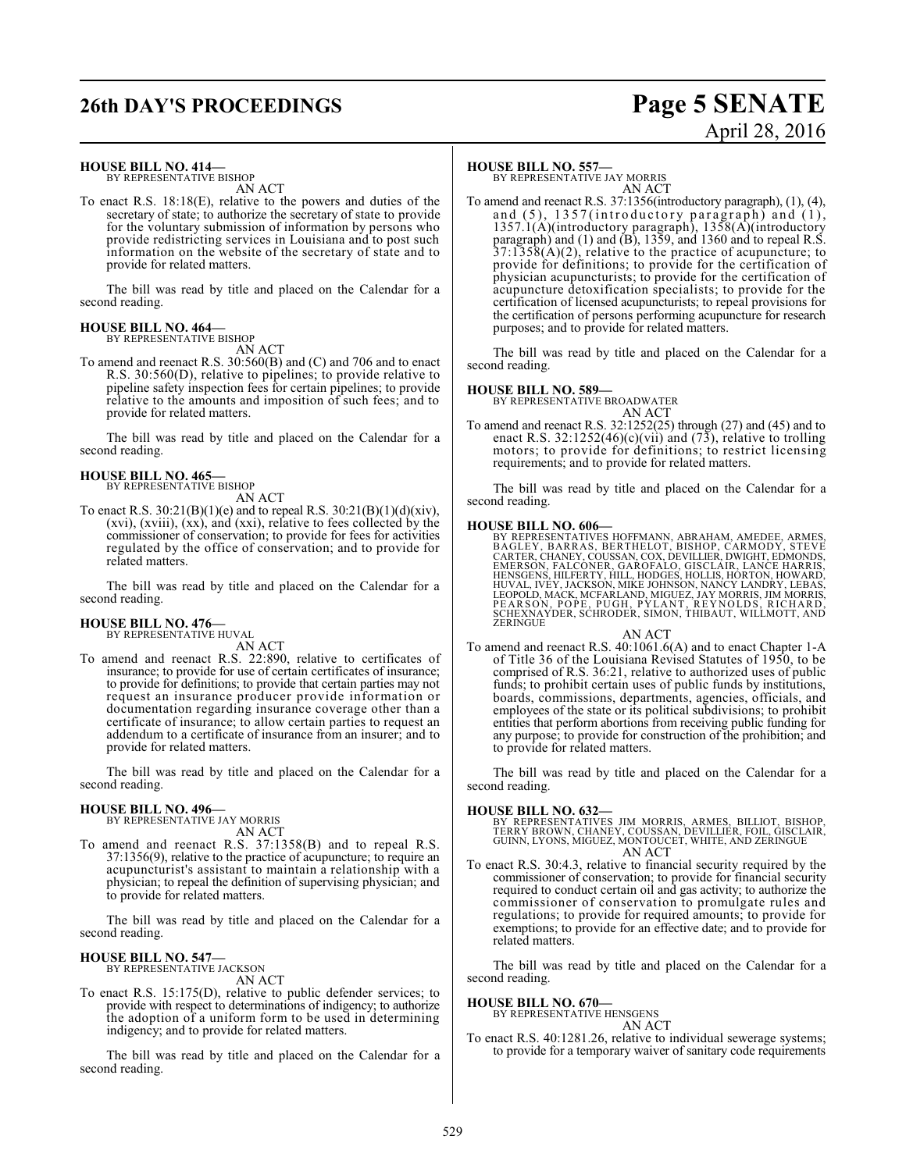# **26th DAY'S PROCEEDINGS Page 5 SENATE**

# April 28, 2016

#### **HOUSE BILL NO. 414—**

BY REPRESENTATIVE BISHOP AN ACT

To enact R.S. 18:18(E), relative to the powers and duties of the secretary of state; to authorize the secretary of state to provide for the voluntary submission of information by persons who provide redistricting services in Louisiana and to post such information on the website of the secretary of state and to provide for related matters.

The bill was read by title and placed on the Calendar for a second reading.

#### **HOUSE BILL NO. 464—** BY REPRESENTATIVE BISHOP

AN ACT

To amend and reenact R.S. 30:560(B) and (C) and 706 and to enact R.S. 30:560(D), relative to pipelines; to provide relative to pipeline safety inspection fees for certain pipelines; to provide relative to the amounts and imposition of such fees; and to provide for related matters.

The bill was read by title and placed on the Calendar for a second reading.

#### **HOUSE BILL NO. 465—** BY REPRESENTATIVE BISHOP

AN ACT

To enact R.S.  $30:21(B)(1)(e)$  and to repeal R.S.  $30:21(B)(1)(d)(xiv)$ , (xvi), (xviii), (xx), and (xxi), relative to fees collected by the commissioner of conservation; to provide for fees for activities regulated by the office of conservation; and to provide for related matters.

The bill was read by title and placed on the Calendar for a second reading.

#### **HOUSE BILL NO. 476—** BY REPRESENTATIVE HUVAL

AN ACT

To amend and reenact R.S. 22:890, relative to certificates of insurance; to provide for use of certain certificates of insurance; to provide for definitions; to provide that certain parties may not request an insurance producer provide information or documentation regarding insurance coverage other than a certificate of insurance; to allow certain parties to request an addendum to a certificate of insurance from an insurer; and to provide for related matters.

The bill was read by title and placed on the Calendar for a second reading.

**HOUSE BILL NO. 496—** BY REPRESENTATIVE JAY MORRIS AN ACT

To amend and reenact R.S. 37:1358(B) and to repeal R.S. 37:1356(9), relative to the practice of acupuncture; to require an acupuncturist's assistant to maintain a relationship with a physician; to repeal the definition of supervising physician; and to provide for related matters.

The bill was read by title and placed on the Calendar for a second reading.

## **HOUSE BILL NO. 547—** BY REPRESENTATIVE JACKSON

AN ACT

To enact R.S. 15:175(D), relative to public defender services; to provide with respect to determinations of indigency; to authorize the adoption of a uniform form to be used in determining indigency; and to provide for related matters.

The bill was read by title and placed on the Calendar for a second reading.

#### **HOUSE BILL NO. 557—**

BY REPRESENTATIVE JAY MORRIS AN ACT

To amend and reenact R.S. 37:1356(introductory paragraph), (1), (4), and  $(5)$ , 1357(introductory paragraph) and  $(1)$ , 1357.1(A)(introductory paragraph), 1358(A)(introductory paragraph) and (1) and (B), 1359, and 1360 and to repeal R.S. 37:1358(A)(2), relative to the practice of acupuncture; to provide for definitions; to provide for the certification of physician acupuncturists; to provide for the certification of acupuncture detoxification specialists; to provide for the certification of licensed acupuncturists; to repeal provisions for the certification of persons performing acupuncture for research purposes; and to provide for related matters.

The bill was read by title and placed on the Calendar for a second reading.

#### **HOUSE BILL NO. 589—**

BY REPRESENTATIVE BROADWATER

#### AN ACT

To amend and reenact R.S. 32:1252(25) through (27) and (45) and to enact R.S. 32:1252(46)(c)(vii) and  $(73)$ , relative to trolling motors; to provide for definitions; to restrict licensing requirements; and to provide for related matters.

The bill was read by title and placed on the Calendar for a second reading.

#### **HOUSE BILL NO. 606—**

BY REPRESENTATIVES HOFFMANN, ABRAHAM, AMEDEE, ARMES, BAGLEY, BARRAS, BERTHELOT, BISHOP, CARMODY, STEVE<br>CARTER, CHARRAS, BERTHELOT, BISHOP, CARMODY, STEVE<br>CARTER, CHARRY, COUSSAN, COX, DEVILLIER, DWIGHT, EDMONDS,<br>EMERSGNS,

AN ACT

To amend and reenact R.S. 40:1061.6(A) and to enact Chapter 1-A of Title 36 of the Louisiana Revised Statutes of 1950, to be comprised of R.S. 36:21, relative to authorized uses of public funds; to prohibit certain uses of public funds by institutions, boards, commissions, departments, agencies, officials, and employees of the state or its political subdivisions; to prohibit entities that perform abortions from receiving public funding for any purpose; to provide for construction of the prohibition; and to provide for related matters.

The bill was read by title and placed on the Calendar for a second reading.

#### **HOUSE BILL NO. 632—**

BY REPRESENTATIVES JIM MORRIS, ARMES, BILLIOT, BISHOP,<br>TERRY BROWN, CHANEY, COUSSAN, DEVILLIER, FOIL, GISCLAIR,<br>GUINN, LYONS, MIGUEZ, MONTOUCET, WHITE, AND ZERINGUE AN ACT

To enact R.S. 30:4.3, relative to financial security required by the commissioner of conservation; to provide for financial security required to conduct certain oil and gas activity; to authorize the commissioner of conservation to promulgate rules and regulations; to provide for required amounts; to provide for exemptions; to provide for an effective date; and to provide for related matters.

The bill was read by title and placed on the Calendar for a second reading.

#### **HOUSE BILL NO. 670—**

BY REPRESENTATIVE HENSGENS

#### AN ACT

To enact R.S. 40:1281.26, relative to individual sewerage systems; to provide for a temporary waiver of sanitary code requirements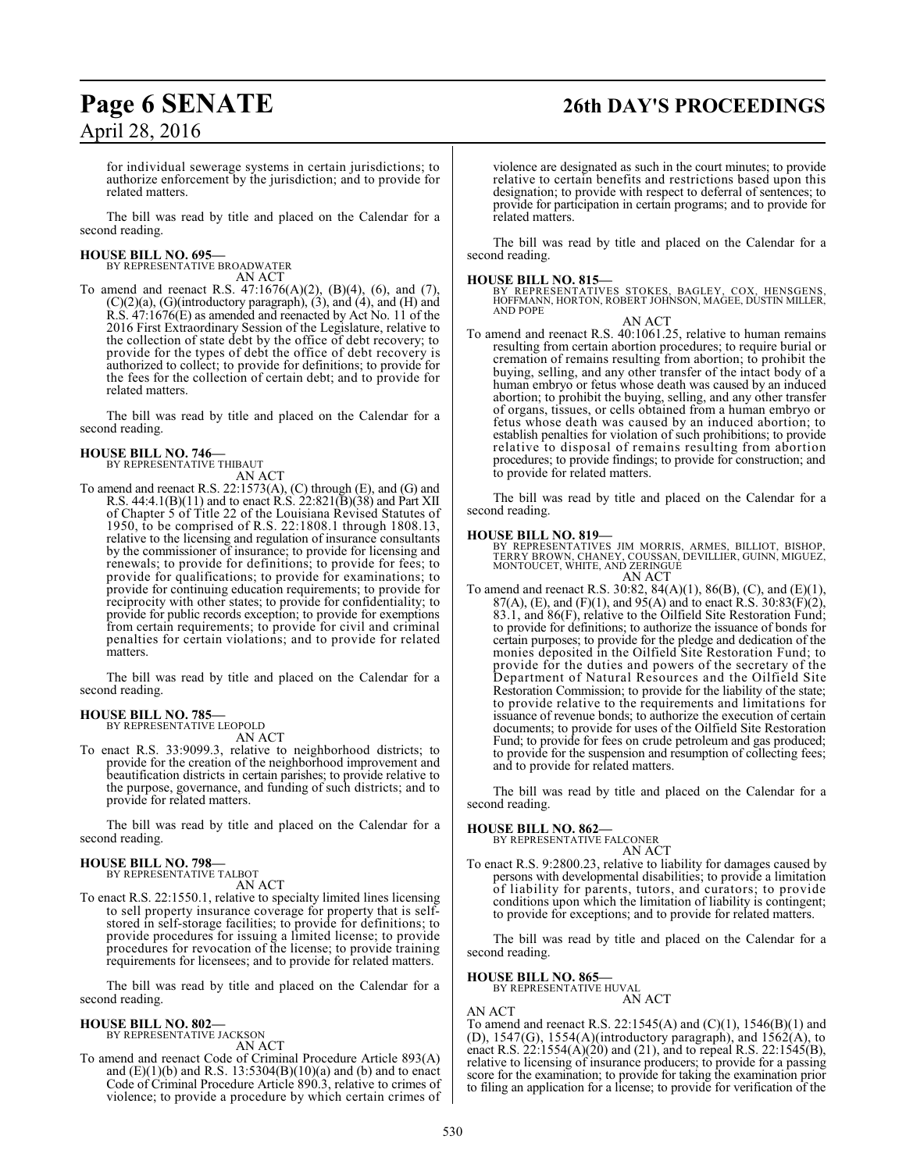## **Page 6 SENATE 26th DAY'S PROCEEDINGS**

for individual sewerage systems in certain jurisdictions; to authorize enforcement by the jurisdiction; and to provide for related matters.

The bill was read by title and placed on the Calendar for a second reading.

#### **HOUSE BILL NO. 695—**

BY REPRESENTATIVE BROADWATER AN ACT

To amend and reenact R.S. 47:1676(A)(2), (B)(4), (6), and (7), (C)(2)(a), (G)(introductory paragraph), (3), and (4), and (H) and R.S. 47:1676(E) as amended and reenacted by Act No. 11 of the 2016 First Extraordinary Session of the Legislature, relative to the collection of state debt by the office of debt recovery; to provide for the types of debt the office of debt recovery is authorized to collect; to provide for definitions; to provide for the fees for the collection of certain debt; and to provide for related matters.

The bill was read by title and placed on the Calendar for a second reading.

#### **HOUSE BILL NO. 746—** BY REPRESENTATIVE THIBAUT

AN ACT

To amend and reenact R.S. 22:1573(A), (C) through (E), and (G) and R.S. 44:4.1(B)(11) and to enact R.S. 22:821(B)(38) and Part XII of Chapter 5 of Title 22 of the Louisiana Revised Statutes of 1950, to be comprised of R.S. 22:1808.1 through 1808.13, relative to the licensing and regulation of insurance consultants by the commissioner of insurance; to provide for licensing and renewals; to provide for definitions; to provide for fees; to provide for qualifications; to provide for examinations; to provide for continuing education requirements; to provide for reciprocity with other states; to provide for confidentiality; to provide for public records exception; to provide for exemptions from certain requirements; to provide for civil and criminal penalties for certain violations; and to provide for related matters.

The bill was read by title and placed on the Calendar for a second reading.

#### **HOUSE BILL NO. 785—**

BY REPRESENTATIVE LEOPOLD AN ACT

To enact R.S. 33:9099.3, relative to neighborhood districts; to provide for the creation of the neighborhood improvement and beautification districts in certain parishes; to provide relative to the purpose, governance, and funding of such districts; and to provide for related matters.

The bill was read by title and placed on the Calendar for a second reading.

#### **HOUSE BILL NO. 798—**

BY REPRESENTATIVE TALBOT AN ACT

To enact R.S. 22:1550.1, relative to specialty limited lines licensing to sell property insurance coverage for property that is selfstored in self-storage facilities; to provide for definitions; to provide procedures for issuing a limited license; to provide procedures for revocation of the license; to provide training requirements for licensees; and to provide for related matters.

The bill was read by title and placed on the Calendar for a second reading.

## **HOUSE BILL NO. 802—** BY REPRESENTATIVE JACKSON

AN ACT

To amend and reenact Code of Criminal Procedure Article 893(A) and (E)(1)(b) and R.S. 13:5304(B)(10)(a) and (b) and to enact Code of Criminal Procedure Article 890.3, relative to crimes of violence; to provide a procedure by which certain crimes of violence are designated as such in the court minutes; to provide relative to certain benefits and restrictions based upon this designation; to provide with respect to deferral of sentences; to provide for participation in certain programs; and to provide for related matters.

The bill was read by title and placed on the Calendar for a second reading.

**HOUSE BILL NO. 815—** BY REPRESENTATIVES STOKES, BAGLEY, COX, HENSGENS, HOFFMANN, HORTON, ROBERT JOHNSON, MAGEE, DUSTIN MILLER, AND POPE

AN ACT

To amend and reenact R.S. 40:1061.25, relative to human remains resulting from certain abortion procedures; to require burial or cremation of remains resulting from abortion; to prohibit the buying, selling, and any other transfer of the intact body of a human embryo or fetus whose death was caused by an induced abortion; to prohibit the buying, selling, and any other transfer of organs, tissues, or cells obtained from a human embryo or fetus whose death was caused by an induced abortion; to establish penalties for violation of such prohibitions; to provide relative to disposal of remains resulting from abortion procedures; to provide findings; to provide for construction; and to provide for related matters.

The bill was read by title and placed on the Calendar for a second reading.

#### **HOUSE BILL NO. 819—**

BY REPRESENTATIVES JIM MORRIS, ARMES, BILLIOT, BISHOP,<br>TERRY BROWN, CHANEY, COUSSAN, DEVILLIER, GUINN, MIGUEZ,<br>MONTOUCET, WHITE, AND ZERINGUE AN ACT

To amend and reenact R.S. 30:82, 84(A)(1), 86(B), (C), and (E)(1), 87(A), (E), and (F)(1), and 95(A) and to enact R.S.  $30:83(F)(2)$ , 83.1, and 86(F), relative to the Oilfield Site Restoration Fund; to provide for definitions; to authorize the issuance of bonds for certain purposes; to provide for the pledge and dedication of the monies deposited in the Oilfield Site Restoration Fund; to provide for the duties and powers of the secretary of the Department of Natural Resources and the Oilfield Site Restoration Commission; to provide for the liability of the state; to provide relative to the requirements and limitations for issuance of revenue bonds; to authorize the execution of certain documents; to provide for uses of the Oilfield Site Restoration Fund; to provide for fees on crude petroleum and gas produced; to provide for the suspension and resumption of collecting fees; and to provide for related matters.

The bill was read by title and placed on the Calendar for a second reading.

## **HOUSE BILL NO. 862—** BY REPRESENTATIVE FALCONER

AN ACT

To enact R.S. 9:2800.23, relative to liability for damages caused by persons with developmental disabilities; to provide a limitation of liability for parents, tutors, and curators; to provide conditions upon which the limitation of liability is contingent; to provide for exceptions; and to provide for related matters.

The bill was read by title and placed on the Calendar for a second reading.

**HOUSE BILL NO. 865—** BY REPRESENTATIVE HUVAL

AN ACT

AN ACT

To amend and reenact R.S. 22:1545(A) and (C)(1), 1546(B)(1) and (D),  $1547(G)$ ,  $1554(A)$ (introductory paragraph), and  $1562(A)$ , to enact R.S.  $22:1554(A)(20)$  and (21), and to repeal R.S. 22:1545(B), relative to licensing of insurance producers; to provide for a passing score for the examination; to provide for taking the examination prior to filing an application for a license; to provide for verification of the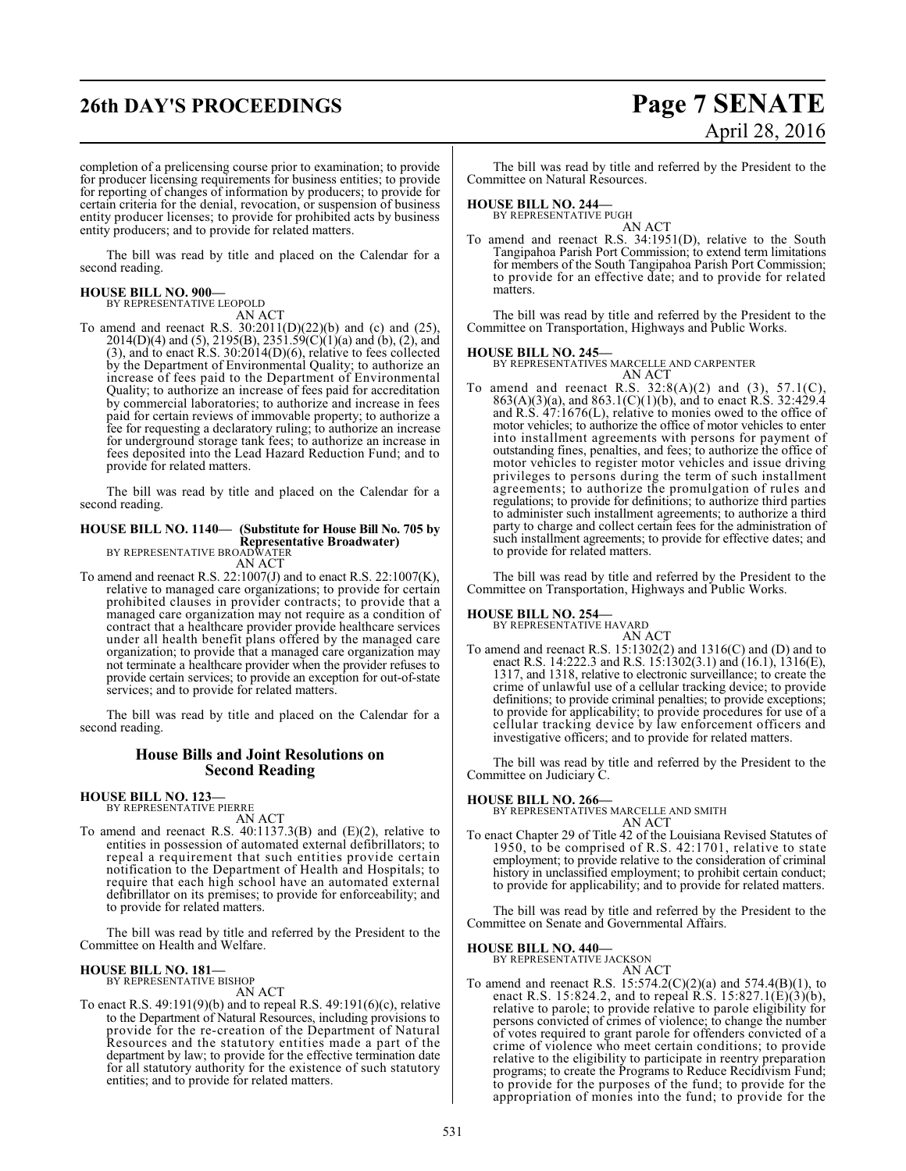## **26th DAY'S PROCEEDINGS Page 7 SENATE**

# April 28, 2016

completion of a prelicensing course prior to examination; to provide for producer licensing requirements for business entities; to provide for reporting of changes of information by producers; to provide for certain criteria for the denial, revocation, or suspension of business entity producer licenses; to provide for prohibited acts by business entity producers; and to provide for related matters.

The bill was read by title and placed on the Calendar for a second reading.

### **HOUSE BILL NO. 900—**

BY REPRESENTATIVE LEOPOLD

AN ACT To amend and reenact R.S. 30:2011(D)(22)(b) and (c) and (25), 2014(D)(4) and (5), 2195(B), 2351.59(C)(1)(a) and (b), (2), and (3), and to enact R.S. 30:2014(D)(6), relative to fees collected by the Department of Environmental Quality; to authorize an increase of fees paid to the Department of Environmental Quality; to authorize an increase of fees paid for accreditation by commercial laboratories; to authorize and increase in fees paid for certain reviews of immovable property; to authorize a fee for requesting a declaratory ruling; to authorize an increase for underground storage tank fees; to authorize an increase in fees deposited into the Lead Hazard Reduction Fund; and to provide for related matters.

The bill was read by title and placed on the Calendar for a second reading.

#### **HOUSE BILL NO. 1140— (Substitute for House Bill No. 705 by Representative Broadwater)**

BY REPRESENTATIVE BROADWATER AN ACT

To amend and reenact R.S. 22:1007(J) and to enact R.S. 22:1007(K), relative to managed care organizations; to provide for certain prohibited clauses in provider contracts; to provide that a managed care organization may not require as a condition of contract that a healthcare provider provide healthcare services under all health benefit plans offered by the managed care organization; to provide that a managed care organization may not terminate a healthcare provider when the provider refuses to provide certain services; to provide an exception for out-of-state services; and to provide for related matters.

The bill was read by title and placed on the Calendar for a second reading.

#### **House Bills and Joint Resolutions on Second Reading**

**HOUSE BILL NO. 123—** BY REPRESENTATIVE PIERRE

AN ACT

To amend and reenact R.S. 40:1137.3(B) and (E)(2), relative to entities in possession of automated external defibrillators; to repeal a requirement that such entities provide certain notification to the Department of Health and Hospitals; to require that each high school have an automated external defibrillator on its premises; to provide for enforceability; and to provide for related matters.

The bill was read by title and referred by the President to the Committee on Health and Welfare.

## **HOUSE BILL NO. 181—** BY REPRESENTATIVE BISHOP

AN ACT

To enact R.S. 49:191(9)(b) and to repeal R.S. 49:191(6)(c), relative to the Department of Natural Resources, including provisions to provide for the re-creation of the Department of Natural Resources and the statutory entities made a part of the department by law; to provide for the effective termination date for all statutory authority for the existence of such statutory entities; and to provide for related matters.

The bill was read by title and referred by the President to the Committee on Natural Resources.

#### **HOUSE BILL NO. 244—**

BY REPRESENTATIVE PUGH AN ACT

To amend and reenact R.S. 34:1951(D), relative to the South Tangipahoa Parish Port Commission; to extend term limitations for members of the South Tangipahoa Parish Port Commission; to provide for an effective date; and to provide for related matters.

The bill was read by title and referred by the President to the Committee on Transportation, Highways and Public Works.

**HOUSE BILL NO. 245—** BY REPRESENTATIVES MARCELLE AND CARPENTER AN ACT

To amend and reenact R.S.  $32:8(A)(2)$  and  $(3)$ ,  $57.1(C)$ , 863(A)(3)(a), and 863.1(C)(1)(b), and to enact R.S. 32:429.4 and R.S. 47:1676(L), relative to monies owed to the office of motor vehicles; to authorize the office of motor vehicles to enter into installment agreements with persons for payment of outstanding fines, penalties, and fees; to authorize the office of motor vehicles to register motor vehicles and issue driving privileges to persons during the term of such installment agreements; to authorize the promulgation of rules and regulations; to provide for definitions; to authorize third parties to administer such installment agreements; to authorize a third party to charge and collect certain fees for the administration of such installment agreements; to provide for effective dates; and to provide for related matters.

The bill was read by title and referred by the President to the Committee on Transportation, Highways and Public Works.

## **HOUSE BILL NO. 254—** BY REPRESENTATIVE HAVARD

AN ACT

To amend and reenact R.S. 15:1302(2) and 1316(C) and (D) and to enact R.S. 14:222.3 and R.S. 15:1302(3.1) and (16.1), 1316(E), 1317, and 1318, relative to electronic surveillance; to create the crime of unlawful use of a cellular tracking device; to provide definitions; to provide criminal penalties; to provide exceptions; to provide for applicability; to provide procedures for use of a cellular tracking device by law enforcement officers and investigative officers; and to provide for related matters.

The bill was read by title and referred by the President to the Committee on Judiciary C.

#### **HOUSE BILL NO. 266—**

BY REPRESENTATIVES MARCELLE AND SMITH AN ACT

To enact Chapter 29 of Title 42 of the Louisiana Revised Statutes of 1950, to be comprised of R.S. 42:1701, relative to state employment; to provide relative to the consideration of criminal history in unclassified employment; to prohibit certain conduct; to provide for applicability; and to provide for related matters.

The bill was read by title and referred by the President to the Committee on Senate and Governmental Affairs.

#### **HOUSE BILL NO. 440—**

BY REPRESENTATIVE JACKSON AN ACT

To amend and reenact R.S.  $15:574.2(C)(2)(a)$  and  $574.4(B)(1)$ , to enact R.S. 15:824.2, and to repeal R.S. 15:827.1(E)(3)(b), relative to parole; to provide relative to parole eligibility for persons convicted of crimes of violence; to change the number of votes required to grant parole for offenders convicted of a crime of violence who meet certain conditions; to provide relative to the eligibility to participate in reentry preparation programs; to create the Programs to Reduce Recidivism Fund; to provide for the purposes of the fund; to provide for the appropriation of monies into the fund; to provide for the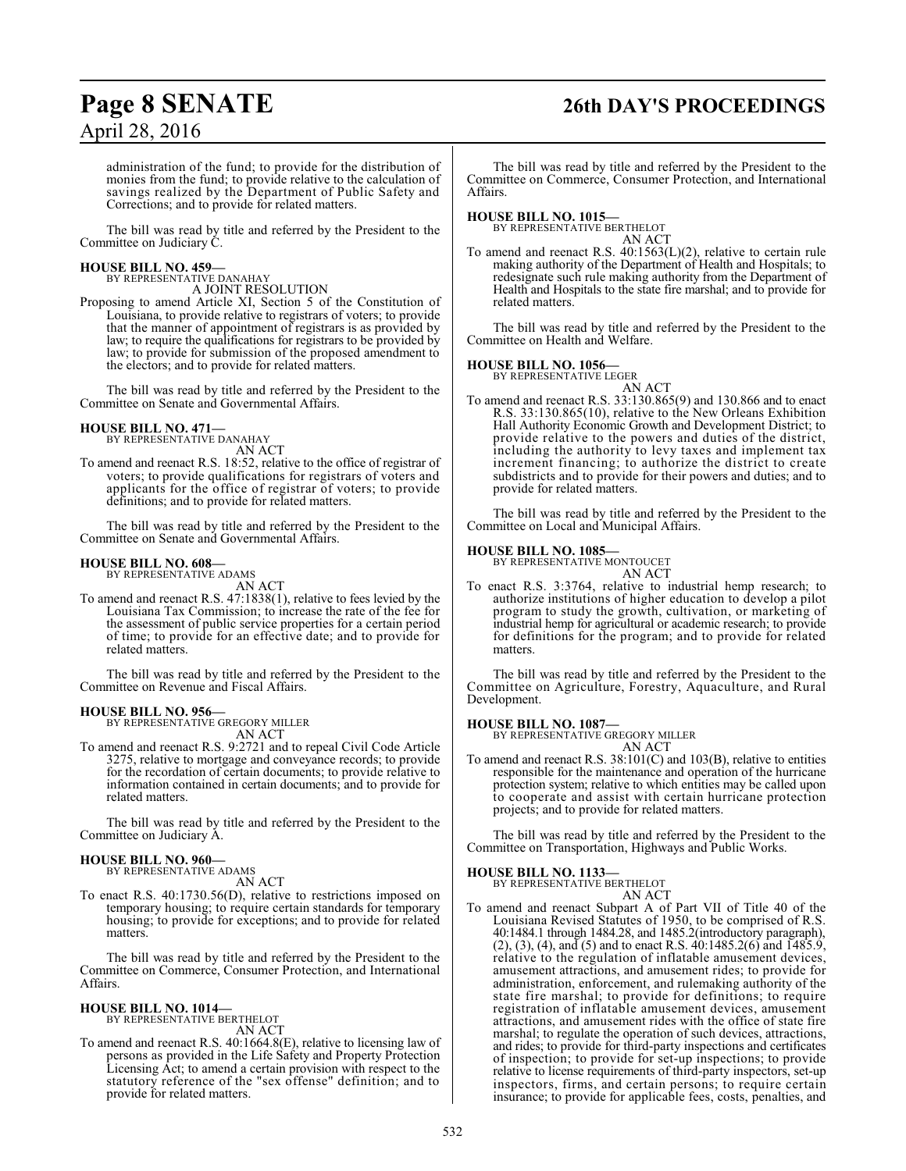## **Page 8 SENATE 26th DAY'S PROCEEDINGS**

administration of the fund; to provide for the distribution of monies from the fund; to provide relative to the calculation of savings realized by the Department of Public Safety and Corrections; and to provide for related matters.

The bill was read by title and referred by the President to the Committee on Judiciary C.

## **HOUSE BILL NO. 459—** BY REPRESENTATIVE DANAHAY

A JOINT RESOLUTION

Proposing to amend Article XI, Section 5 of the Constitution of Louisiana, to provide relative to registrars of voters; to provide that the manner of appointment of registrars is as provided by law; to require the qualifications for registrars to be provided by law; to provide for submission of the proposed amendment to the electors; and to provide for related matters.

The bill was read by title and referred by the President to the Committee on Senate and Governmental Affairs.

## **HOUSE BILL NO. 471—** BY REPRESENTATIVE DANAHAY

AN ACT

To amend and reenact R.S. 18:52, relative to the office of registrar of voters; to provide qualifications for registrars of voters and applicants for the office of registrar of voters; to provide definitions; and to provide for related matters.

The bill was read by title and referred by the President to the Committee on Senate and Governmental Affairs.

#### **HOUSE BILL NO. 608—**

BY REPRESENTATIVE ADAMS AN ACT

To amend and reenact R.S. 47:1838(1), relative to fees levied by the Louisiana Tax Commission; to increase the rate of the fee for the assessment of public service properties for a certain period of time; to provide for an effective date; and to provide for related matters.

The bill was read by title and referred by the President to the Committee on Revenue and Fiscal Affairs.

**HOUSE BILL NO. 956—** BY REPRESENTATIVE GREGORY MILLER AN ACT

To amend and reenact R.S. 9:2721 and to repeal Civil Code Article 3275, relative to mortgage and conveyance records; to provide for the recordation of certain documents; to provide relative to information contained in certain documents; and to provide for related matters.

The bill was read by title and referred by the President to the Committee on Judiciary A.

## **HOUSE BILL NO. 960—** BY REPRESENTATIVE ADAMS

- AN ACT
- To enact R.S. 40:1730.56(D), relative to restrictions imposed on temporary housing; to require certain standards for temporary housing; to provide for exceptions; and to provide for related matters.

The bill was read by title and referred by the President to the Committee on Commerce, Consumer Protection, and International Affairs.

## **HOUSE BILL NO. 1014—** BY REPRESENTATIVE BERTHELOT

AN ACT

To amend and reenact R.S. 40:1664.8(E), relative to licensing law of persons as provided in the Life Safety and Property Protection Licensing Act; to amend a certain provision with respect to the statutory reference of the "sex offense" definition; and to provide for related matters.

The bill was read by title and referred by the President to the Committee on Commerce, Consumer Protection, and International Affairs.

### **HOUSE BILL NO. 1015—**

BY REPRESENTATIVE BERTHELOT AN ACT

To amend and reenact R.S. 40:1563(L)(2), relative to certain rule making authority of the Department of Health and Hospitals; to redesignate such rule making authority from the Department of Health and Hospitals to the state fire marshal; and to provide for related matters.

The bill was read by title and referred by the President to the Committee on Health and Welfare.

#### **HOUSE BILL NO. 1056—**

BY REPRESENTATIVE LEGER AN ACT

To amend and reenact R.S. 33:130.865(9) and 130.866 and to enact R.S. 33:130.865(10), relative to the New Orleans Exhibition Hall Authority Economic Growth and Development District; to provide relative to the powers and duties of the district, including the authority to levy taxes and implement tax increment financing; to authorize the district to create subdistricts and to provide for their powers and duties; and to provide for related matters.

The bill was read by title and referred by the President to the Committee on Local and Municipal Affairs.

#### **HOUSE BILL NO. 1085—**

BY REPRESENTATIVE MONTOUCET

AN ACT To enact R.S. 3:3764, relative to industrial hemp research; to authorize institutions of higher education to develop a pilot program to study the growth, cultivation, or marketing of industrial hemp for agricultural or academic research; to provide for definitions for the program; and to provide for related matters.

The bill was read by title and referred by the President to the Committee on Agriculture, Forestry, Aquaculture, and Rural Development.

#### **HOUSE BILL NO. 1087—**

BY REPRESENTATIVE GREGORY MILLER AN ACT

To amend and reenact R.S. 38:101(C) and 103(B), relative to entities responsible for the maintenance and operation of the hurricane protection system; relative to which entities may be called upon to cooperate and assist with certain hurricane protection projects; and to provide for related matters.

The bill was read by title and referred by the President to the Committee on Transportation, Highways and Public Works.

### **HOUSE BILL NO. 1133—**

BY REPRESENTATIVE BERTHELOT AN ACT

To amend and reenact Subpart A of Part VII of Title 40 of the Louisiana Revised Statutes of 1950, to be comprised of R.S. 40:1484.1 through 1484.28, and 1485.2(introductory paragraph),  $(2)$ ,  $(3)$ ,  $(4)$ , and  $(5)$  and to enact R.S.  $40:1485.2(6)$  and  $1485.9$ , relative to the regulation of inflatable amusement devices, amusement attractions, and amusement rides; to provide for administration, enforcement, and rulemaking authority of the state fire marshal; to provide for definitions; to require registration of inflatable amusement devices, amusement attractions, and amusement rides with the office of state fire marshal; to regulate the operation of such devices, attractions, and rides; to provide for third-party inspections and certificates of inspection; to provide for set-up inspections; to provide relative to license requirements of third-party inspectors, set-up inspectors, firms, and certain persons; to require certain insurance; to provide for applicable fees, costs, penalties, and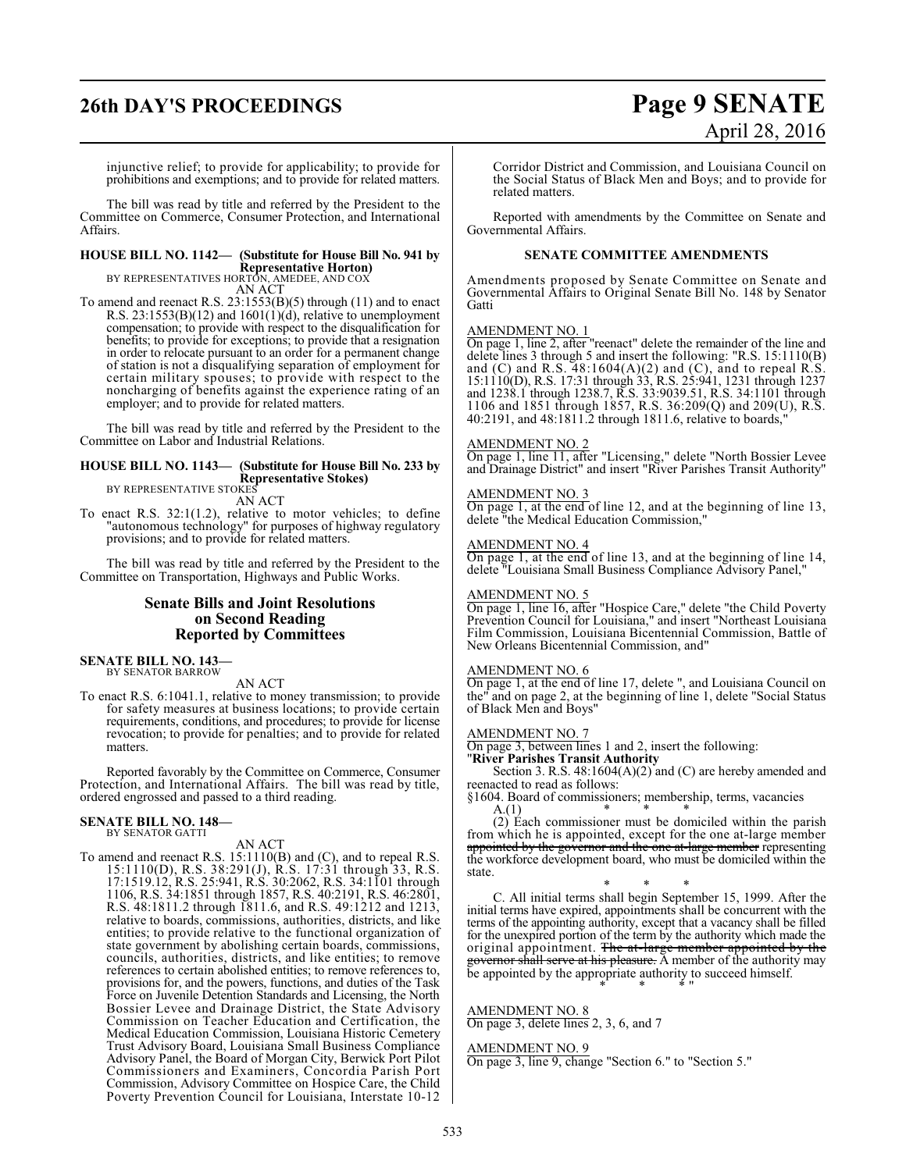# **26th DAY'S PROCEEDINGS Page 9 SENATE**

# April 28, 2016

injunctive relief; to provide for applicability; to provide for prohibitions and exemptions; and to provide for related matters.

The bill was read by title and referred by the President to the Committee on Commerce, Consumer Protection, and International Affairs.

## **HOUSE BILL NO. 1142— (Substitute for House Bill No. 941 by**

**Representative Horton)** BY REPRESENTATIVES HORTON, AMEDEE, AND COX AN ACT

To amend and reenact R.S. 23:1553(B)(5) through (11) and to enact R.S.  $23:1553(B)(12)$  and  $1601(1)(d)$ , relative to unemployment compensation; to provide with respect to the disqualification for benefits; to provide for exceptions; to provide that a resignation in order to relocate pursuant to an order for a permanent change of station is not a disqualifying separation of employment for certain military spouses; to provide with respect to the noncharging of benefits against the experience rating of an employer; and to provide for related matters.

The bill was read by title and referred by the President to the Committee on Labor and Industrial Relations.

#### **HOUSE BILL NO. 1143— (Substitute for House Bill No. 233 by Representative Stokes)**

BY REPRESENTATIVE STOKES AN ACT

To enact R.S. 32:1(1.2), relative to motor vehicles; to define "autonomous technology" for purposes of highway regulatory provisions; and to provide for related matters.

The bill was read by title and referred by the President to the Committee on Transportation, Highways and Public Works.

### **Senate Bills and Joint Resolutions on Second Reading Reported by Committees**

#### **SENATE BILL NO. 143—** BY SENATOR BARROW

AN ACT

To enact R.S. 6:1041.1, relative to money transmission; to provide for safety measures at business locations; to provide certain requirements, conditions, and procedures; to provide for license revocation; to provide for penalties; and to provide for related matters.

Reported favorably by the Committee on Commerce, Consumer Protection, and International Affairs. The bill was read by title, ordered engrossed and passed to a third reading.

#### **SENATE BILL NO. 148—**

BY SENATOR GATTI

AN ACT

To amend and reenact R.S. 15:1110(B) and (C), and to repeal R.S. 15:1110(D), R.S. 38:291(J), R.S. 17:31 through 33, R.S. 17:1519.12, R.S. 25:941, R.S. 30:2062, R.S. 34:1101 through 1106, R.S. 34:1851 through 1857, R.S. 40:2191, R.S. 46:2801, R.S. 48:1811.2 through 1811.6, and R.S. 49:1212 and 1213, relative to boards, commissions, authorities, districts, and like entities; to provide relative to the functional organization of state government by abolishing certain boards, commissions, councils, authorities, districts, and like entities; to remove references to certain abolished entities; to remove references to, provisions for, and the powers, functions, and duties of the Task Force on Juvenile Detention Standards and Licensing, the North Bossier Levee and Drainage District, the State Advisory Commission on Teacher Education and Certification, the Medical Education Commission, Louisiana Historic Cemetery Trust Advisory Board, Louisiana Small Business Compliance Advisory Panel, the Board of Morgan City, Berwick Port Pilot Commissioners and Examiners, Concordia Parish Port Commission, Advisory Committee on Hospice Care, the Child Poverty Prevention Council for Louisiana, Interstate 10-12

Corridor District and Commission, and Louisiana Council on the Social Status of Black Men and Boys; and to provide for related matters.

Reported with amendments by the Committee on Senate and Governmental Affairs.

#### **SENATE COMMITTEE AMENDMENTS**

Amendments proposed by Senate Committee on Senate and Governmental Affairs to Original Senate Bill No. 148 by Senator **Gatti** 

#### AMENDMENT NO. 1

On page 1, line 2, after "reenact" delete the remainder of the line and delete lines 3 through 5 and insert the following: "R.S. 15:1110(B) and  $(C)$  and R.S. 48:1604 $(A)(2)$  and  $(C)$ , and to repeal R.S. 15:1110(D), R.S. 17:31 through 33, R.S. 25:941, 1231 through 1237 and 1238.1 through 1238.7, R.S. 33:9039.51, R.S. 34:1101 through 1106 and 1851 through 1857, R.S. 36:209(Q) and 209(U), R.S. 40:2191, and 48:1811.2 through 1811.6, relative to boards,"

#### AMENDMENT NO. 2

On page 1, line 11, after "Licensing," delete "North Bossier Levee and Drainage District" and insert "River Parishes Transit Authority"

#### AMENDMENT NO. 3

On page 1, at the end of line 12, and at the beginning of line 13, delete "the Medical Education Commission,"

#### AMENDMENT NO. 4

On page 1, at the end of line 13, and at the beginning of line 14, delete "Louisiana Small Business Compliance Advisory Panel,"

#### AMENDMENT NO. 5

On page 1, line 16, after "Hospice Care," delete "the Child Poverty Prevention Council for Louisiana," and insert "Northeast Louisiana Film Commission, Louisiana Bicentennial Commission, Battle of New Orleans Bicentennial Commission, and"

#### AMENDMENT NO. 6

On page 1, at the end of line 17, delete ", and Louisiana Council on the" and on page 2, at the beginning of line 1, delete "Social Status of Black Men and Boys"

#### AMENDMENT NO. 7

On page 3, between lines 1 and 2, insert the following:

"**River Parishes Transit Authority**

Section 3. R.S. 48:1604(A)(2) and (C) are hereby amended and reenacted to read as follows:

§1604. Board of commissioners; membership, terms, vacancies  $A(1)$ A.(1) \* \* \*

(2) Each commissioner must be domiciled within the parish from which he is appointed, except for the one at-large member appointed by the governor and the one at-large member representing the workforce development board, who must be domiciled within the state.

\* \* \* C. All initial terms shall begin September 15, 1999. After the initial terms have expired, appointments shall be concurrent with the terms of the appointing authority, except that a vacancy shall be filled for the unexpired portion of the term by the authority which made the original appointment. <del>The at-large member appointed by the</del> governor shall serve at his pleasure. A member of the authority may be appointed by the appropriate authority to succeed himself. \* \* \* "

#### AMENDMENT NO. 8

On page 3, delete lines 2, 3, 6, and 7

AMENDMENT NO. 9

On page 3, line 9, change "Section 6." to "Section 5."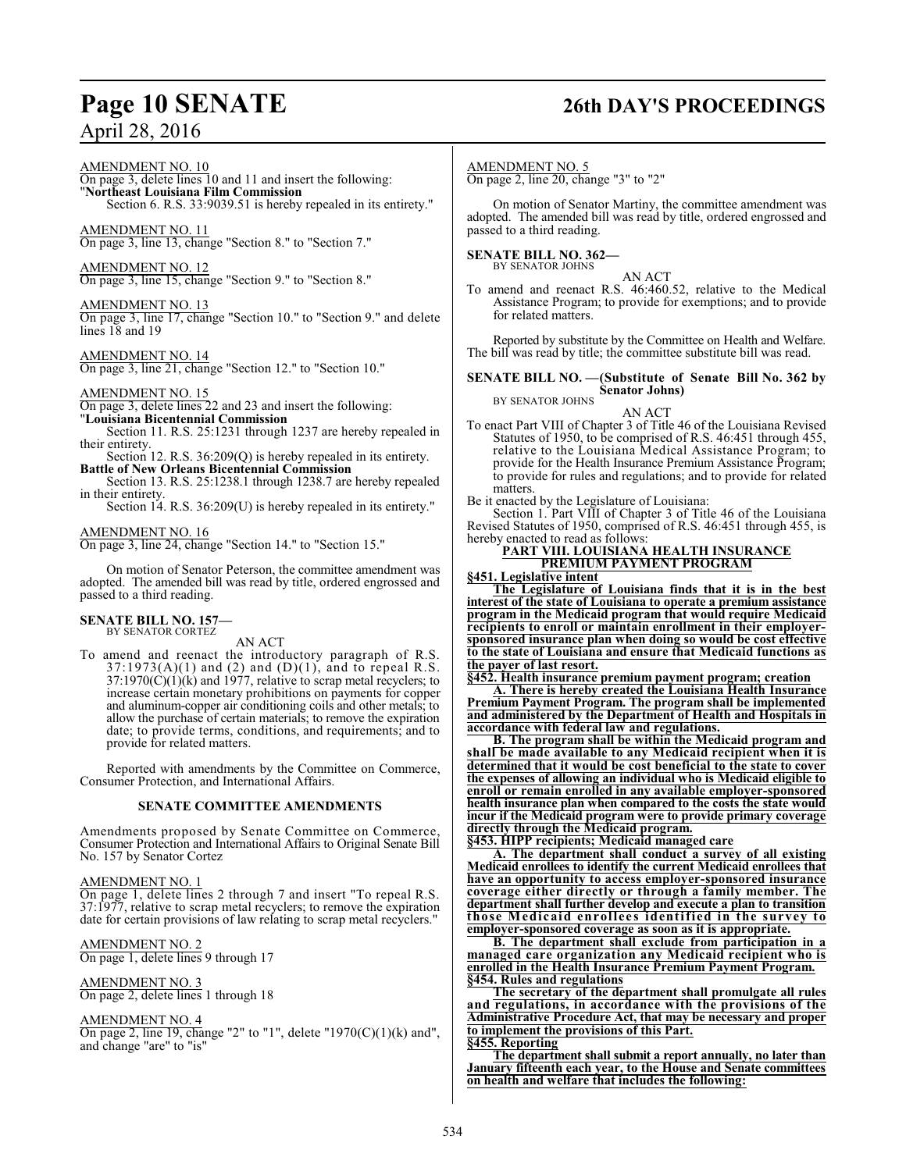## **Page 10 SENATE 26th DAY'S PROCEEDINGS**

#### AMENDMENT NO. 10

On page 3, delete lines 10 and 11 and insert the following: "**Northeast Louisiana Film Commission**

Section 6. R.S. 33:9039.51 is hereby repealed in its entirety."

#### AMENDMENT NO. 11

On page 3, line 13, change "Section 8." to "Section 7."

#### AMENDMENT NO. 12

On page 3, line 15, change "Section 9." to "Section 8."

#### AMENDMENT NO. 13

On page 3, line 17, change "Section 10." to "Section 9." and delete lines 18 and 19

#### AMENDMENT NO. 14

On page 3, line 21, change "Section 12." to "Section 10."

#### AMENDMENT NO. 15

On page 3, delete lines 22 and 23 and insert the following: "**Louisiana Bicentennial Commission**

Section 11. R.S. 25:1231 through 1237 are hereby repealed in their entirety.

Section 12. R.S. 36:209(Q) is hereby repealed in its entirety. **Battle of New Orleans Bicentennial Commission**

Section 13. R.S. 25:1238.1 through 1238.7 are hereby repealed in their entirety.

Section 14. R.S.  $36:209(U)$  is hereby repealed in its entirety."

#### AMENDMENT NO. 16

On page 3, line 24, change "Section 14." to "Section 15."

On motion of Senator Peterson, the committee amendment was adopted. The amended bill was read by title, ordered engrossed and passed to a third reading.

#### **SENATE BILL NO. 157—** BY SENATOR CORTEZ

#### AN ACT

To amend and reenact the introductory paragraph of R.S.  $37:1973(A)(1)$  and  $(2)$  and  $(D)(1)$ , and to repeal R.S.  $37:1970(C)(1)(k)$  and  $1977$ , relative to scrap metal recyclers; to increase certain monetary prohibitions on payments for copper and aluminum-copper air conditioning coils and other metals; to allow the purchase of certain materials; to remove the expiration date; to provide terms, conditions, and requirements; and to provide for related matters.

Reported with amendments by the Committee on Commerce, Consumer Protection, and International Affairs.

#### **SENATE COMMITTEE AMENDMENTS**

Amendments proposed by Senate Committee on Commerce, Consumer Protection and International Affairs to Original Senate Bill No. 157 by Senator Cortez

#### AMENDMENT NO. 1

On page 1, delete lines 2 through 7 and insert "To repeal R.S. 37:1977, relative to scrap metal recyclers; to remove the expiration date for certain provisions of law relating to scrap metal recyclers."

AMENDMENT NO. 2 On page 1, delete lines 9 through 17

#### AMENDMENT NO. 3 On page 2, delete lines 1 through 18

#### AMENDMENT NO. 4

On page 2, line 19, change "2" to "1", delete "1970(C)(1)(k) and", and change "are" to "is"

#### AMENDMENT NO. 5

On page 2, line 20, change "3" to "2"

On motion of Senator Martiny, the committee amendment was adopted. The amended bill was read by title, ordered engrossed and passed to a third reading.

#### **SENATE BILL NO. 362—** BY SENATOR JOHNS

AN ACT To amend and reenact R.S. 46:460.52, relative to the Medical Assistance Program; to provide for exemptions; and to provide for related matters.

Reported by substitute by the Committee on Health and Welfare. The bill was read by title; the committee substitute bill was read.

#### **SENATE BILL NO. —(Substitute of Senate Bill No. 362 by Senator Johns)** BY SENATOR JOHNS

#### AN ACT

To enact Part VIII of Chapter 3 of Title 46 of the Louisiana Revised Statutes of 1950, to be comprised of R.S. 46:451 through 455, relative to the Louisiana Medical Assistance Program; to provide for the Health Insurance Premium Assistance Program; to provide for rules and regulations; and to provide for related matters.

Be it enacted by the Legislature of Louisiana:

Section 1. Part VIII of Chapter 3 of Title 46 of the Louisiana Revised Statutes of 1950, comprised of R.S. 46:451 through 455, is hereby enacted to read as follows:

#### **PART VIII. LOUISIANA HEALTH INSURANCE PREMIUM PAYMENT PROGRAM**

**§451. Legislative intent**

**The Legislature of Louisiana finds that it is in the best interest of the state of Louisiana to operate a premium assistance program in the Medicaid program that would require Medicaid recipients to enroll or maintain enrollment in their employersponsored insurance plan when doing so would be cost effective to the state of Louisiana and ensure that Medicaid functions as the payer of last resort.**

**§452. Health insurance premium payment program; creation**

**A. There is hereby created the Louisiana Health Insurance Premium Payment Program. The program shall be implemented and administered by the Department of Health and Hospitals in accordance with federal law and regulations.**

**B. The program shall be within the Medicaid program and shall be made available to any Medicaid recipient when it is determined that it would be cost beneficial to the state to cover the expenses of allowing an individual who is Medicaid eligible to enroll or remain enrolled in any available employer-sponsored health insurance plan when compared to the costs the state would incur if the Medicaid program were to provide primary coverage directly through the Medicaid program.**

**§453. HIPP recipients; Medicaid managed care**

**A. The department shall conduct a survey of all existing Medicaid enrollees to identify the current Medicaid enrollees that have an opportunity to access employer-sponsored insurance coverage either directly or through a family member. The department shall further develop and execute a plan to transition those Medicaid enrollee s identified in the survey to employer-sponsored coverage as soon as it is appropriate.**

**B. The department shall exclude from participation in a managed care organization any Medicaid recipient who is enrolled in the Health Insurance Premium Payment Program. §454. Rules and regulations**

**The secretary of the department shall promulgate all rules and regulations, in accordance with the provisions of the Administrative Procedure Act, that may be necessary and proper to implement the provisions of this Part.**

**§455. Reporting**

**The department shall submit a report annually, no later than January fifteenth each year, to the House and Senate committees on health and welfare that includes the following:**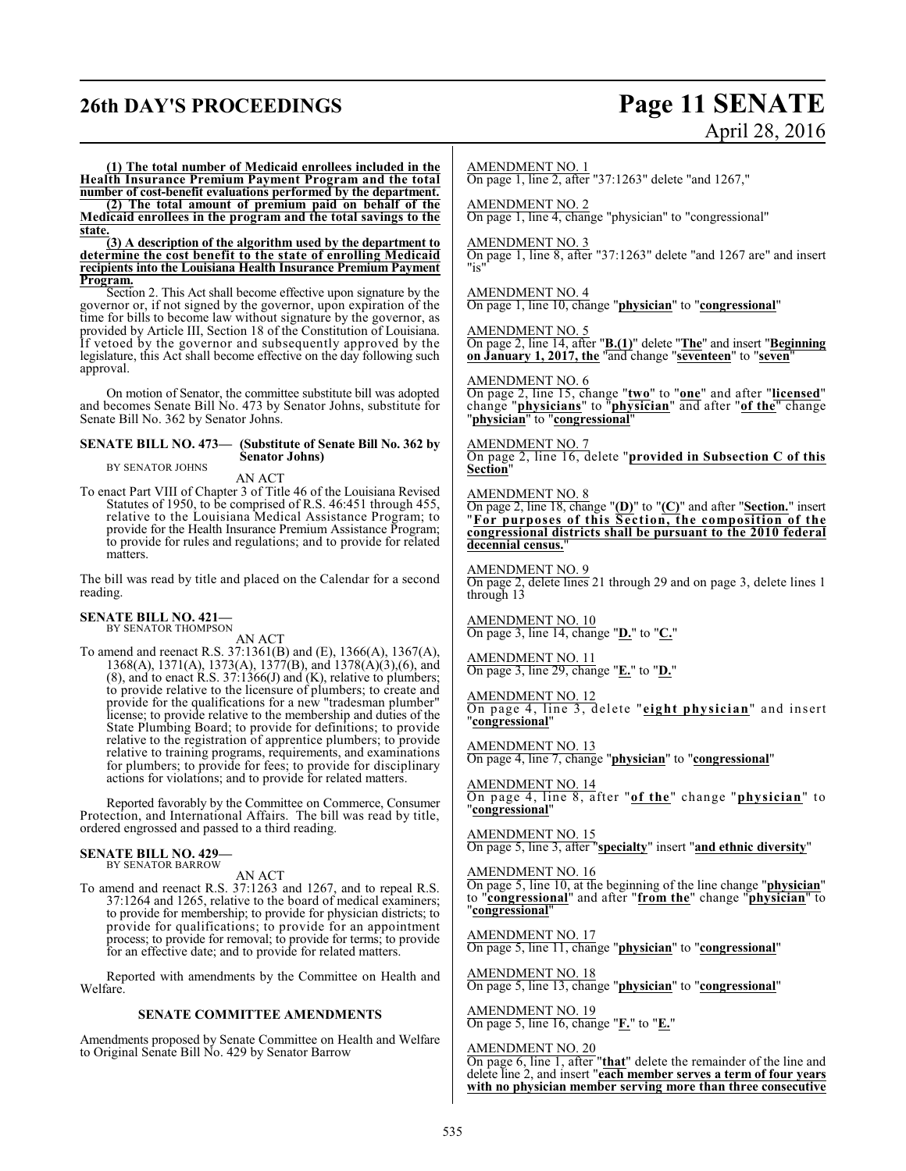## **26th DAY'S PROCEEDINGS Page 11 SENATE**

# April 28, 2016

**(1) The total number of Medicaid enrollees included in the Health Insurance Premium Payment Program and the total number of cost-benefit evaluations performed by the department.**

**(2) The total amount of premium paid on behalf of the Medicaid enrollees in the program and the total savings to the state.**

**(3) A description of the algorithm used by the department to determine the cost benefit to the state of enrolling Medicaid recipients into the Louisiana Health Insurance Premium Payment Program.**

Section 2. This Act shall become effective upon signature by the governor or, if not signed by the governor, upon expiration of the time for bills to become law without signature by the governor, as provided by Article III, Section 18 of the Constitution of Louisiana. If vetoed by the governor and subsequently approved by the legislature, this Act shall become effective on the day following such approval.

On motion of Senator, the committee substitute bill was adopted and becomes Senate Bill No. 473 by Senator Johns, substitute for Senate Bill No. 362 by Senator Johns.

#### **SENATE BILL NO. 473— (Substitute of Senate Bill No. 362 by Senator Johns)**

BY SENATOR JOHNS

AN ACT To enact Part VIII of Chapter 3 of Title 46 of the Louisiana Revised Statutes of 1950, to be comprised of R.S. 46:451 through 455, relative to the Louisiana Medical Assistance Program; to provide for the Health Insurance Premium Assistance Program; to provide for rules and regulations; and to provide for related matters.

The bill was read by title and placed on the Calendar for a second reading.

## **SENATE BILL NO. 421—** BY SENATOR THOMPSON

AN ACT

To amend and reenact R.S. 37:1361(B) and (E), 1366(A), 1367(A), 1368(A), 1371(A), 1373(A), 1377(B), and 1378(A)(3),(6), and  $(8)$ , and to enact R.S. 37:1366(J) and  $(K)$ , relative to plumbers; to provide relative to the licensure of plumbers; to create and provide for the qualifications for a new "tradesman plumber" license; to provide relative to the membership and duties of the State Plumbing Board; to provide for definitions; to provide relative to the registration of apprentice plumbers; to provide relative to training programs, requirements, and examinations for plumbers; to provide for fees; to provide for disciplinary actions for violations; and to provide for related matters.

Reported favorably by the Committee on Commerce, Consumer Protection, and International Affairs. The bill was read by title, ordered engrossed and passed to a third reading.

#### **SENATE BILL NO. 429—** BY SENATOR BARROW

AN ACT

To amend and reenact R.S. 37:1263 and 1267, and to repeal R.S. 37:1264 and 1265, relative to the board of medical examiners; to provide for membership; to provide for physician districts; to provide for qualifications; to provide for an appointment process; to provide for removal; to provide for terms; to provide for an effective date; and to provide for related matters.

Reported with amendments by the Committee on Health and Welfare.

#### **SENATE COMMITTEE AMENDMENTS**

Amendments proposed by Senate Committee on Health and Welfare to Original Senate Bill No. 429 by Senator Barrow

#### AMENDMENT NO. 1

On page 1, line 2, after "37:1263" delete "and 1267,"

#### AMENDMENT NO. 2

On page 1, line 4, change "physician" to "congressional"

#### AMENDMENT NO. 3

On page 1, line 8, after "37:1263" delete "and 1267 are" and insert "is"

AMENDMENT NO. 4 On page 1, line 10, change "**physician**" to "**congressional**"

AMENDMENT NO. 5

On page 2, line 14, after "**B.(1)**" delete "**The**" and insert "**Beginning on January 1, 2017, the** "and change "**seventeen**" to "**seven**"

#### AMENDMENT NO. 6

On page 2, line 15, change "**two**" to "**one**" and after "**licensed**" change "**physicians**" to "**physician**" and after "**of the**" change "**physician**" to "**congressional**"

#### AMENDMENT NO. 7

On page 2, line 16, delete "**provided in Subsection C of this Section**"

#### AMENDMENT NO. 8

On page 2, line 18, change "**(D)**" to "**(C)**" and after "**Section.**" insert "**For purposes of this Section, the composition of the congressional districts shall be pursuant to the 2010 federal decennial census.**"

#### AMENDMENT NO. 9

On page 2, delete lines 21 through 29 and on page 3, delete lines 1 through 13

AMENDMENT NO. 10 On page 3, line 14, change "**D.**" to "**C.**"

AMENDMENT NO. 11 On page 3, line 29, change "**E.**" to "**D.**"

AMENDMENT NO. 12 On page 4, line 3, delete "**eight physician**" and insert "**congressional**"

AMENDMENT NO. 13 On page 4, line 7, change "**physician**" to "**congressional**"

#### AMENDMENT NO. 14

On page 4, line 8, after "**of the**" change "**physician**" to "**congressional**"

#### AMENDMENT NO. 15

On page 5, line 3, after "**specialty**" insert "**and ethnic diversity**"

### AMENDMENT NO. 16

On page 5, line 10, at the beginning of the line change "**physician**" to "**congressional**" and after "**from the**" change "**physician**" to "**congressional**"

AMENDMENT NO. 17 On page 5, line 11, change "**physician**" to "**congressional**"

AMENDMENT NO. 18 On page 5, line 13, change "**physician**" to "**congressional**"

AMENDMENT NO. 19 On page 5, line 16, change "**F.**" to "**E.**"

#### AMENDMENT NO. 20

On page 6, line 1, after "**that**" delete the remainder of the line and delete line 2, and insert "**each member serves a term of four years with no physician member serving more than three consecutive**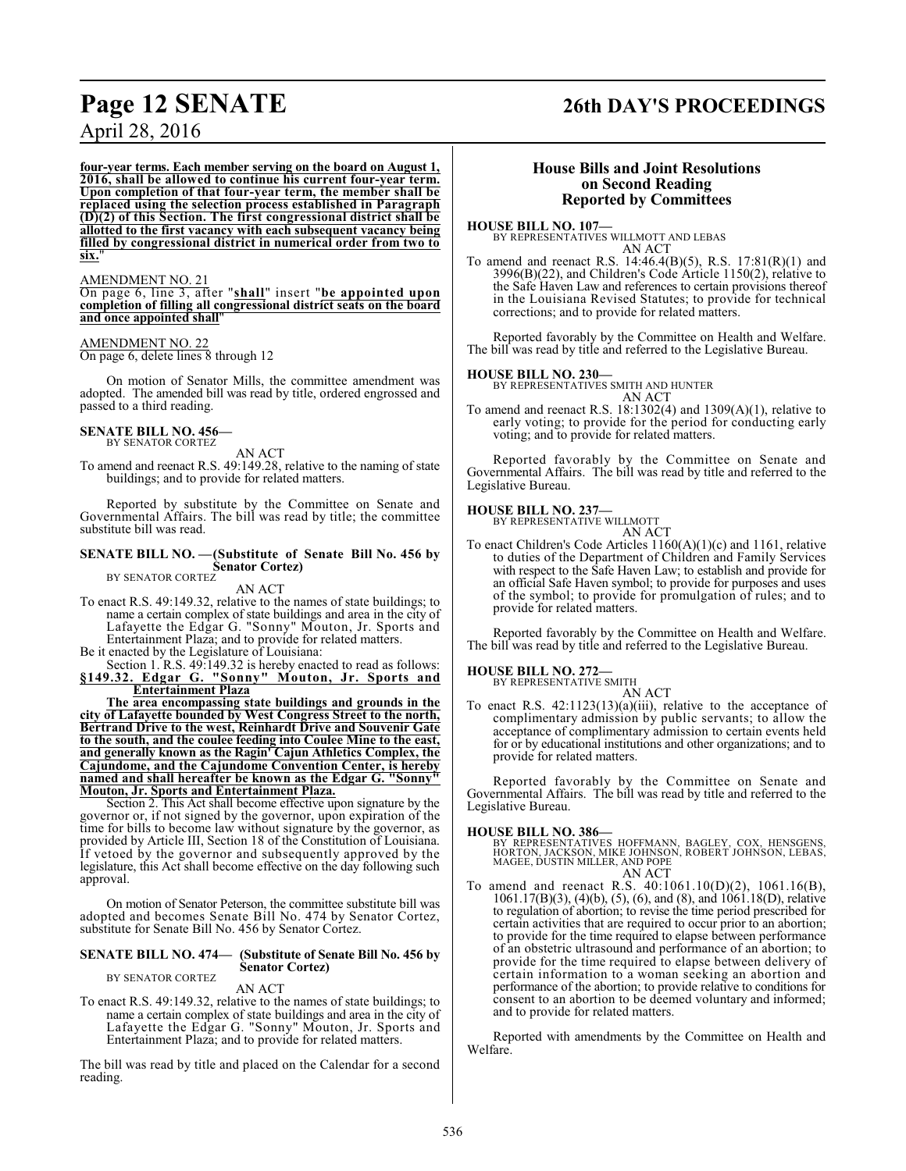**four-year terms. Each member serving on the board on August 1, 2016, shall be allowed to continue his current four-year term. Upon completion of that four-year term, the member shall be replaced using the selection process established in Paragraph (D)(2) of this Section. The first congressional district shall be allotted to the first vacancy with each subsequent vacancy being filled by congressional district in numerical order from two to** six.

#### AMENDMENT NO. 21

On page 6, line 3, after "**shall**" insert "**be appointed upon completion of filling all congressional district seats on the board and once appointed shall**"

### AMENDMENT NO. 22

On page 6, delete lines 8 through 12

On motion of Senator Mills, the committee amendment was adopted. The amended bill was read by title, ordered engrossed and passed to a third reading.

#### **SENATE BILL NO. 456—**

BY SENATOR CORTEZ

AN ACT To amend and reenact R.S. 49:149.28, relative to the naming of state buildings; and to provide for related matters.

Reported by substitute by the Committee on Senate and Governmental Affairs. The bill was read by title; the committee substitute bill was read.

#### **SENATE BILL NO. —(Substitute of Senate Bill No. 456 by Senator Cortez)** BY SENATOR CORTEZ

#### AN ACT

- To enact R.S. 49:149.32, relative to the names of state buildings; to name a certain complex of state buildings and area in the city of Lafayette the Edgar G. "Sonny" Mouton, Jr. Sports and Entertainment Plaza; and to provide for related matters.
- Be it enacted by the Legislature of Louisiana:
- Section 1. R.S. 49:149.32 is hereby enacted to read as follows: **§149.32. Edgar G. "Sonny" Mouton, Jr. Sports and Entertainment Plaza**

**The area encompassing state buildings and grounds in the city of Lafayette bounded by West Congress Street to the north, Bertrand Drive to the west, Reinhardt Drive and Souvenir Gate to the south, and the coulee feeding into Coulee Mine to the east, and generally known as the Ragin' Cajun Athletics Complex, the Cajundome, and the Cajundome Convention Center, is hereby named and shall hereafter be known as the Edgar G. "Sonny" Mouton, Jr. Sports and Entertainment Plaza.**

Section 2. This Act shall become effective upon signature by the governor or, if not signed by the governor, upon expiration of the time for bills to become law without signature by the governor, as provided by Article III, Section 18 of the Constitution of Louisiana. If vetoed by the governor and subsequently approved by the legislature, this Act shall become effective on the day following such approval.

On motion of Senator Peterson, the committee substitute bill was adopted and becomes Senate Bill No. 474 by Senator Cortez, substitute for Senate Bill No. 456 by Senator Cortez.

#### **SENATE BILL NO. 474— (Substitute of Senate Bill No. 456 by Senator Cortez)** BY SENATOR CORTEZ

#### AN ACT

To enact R.S. 49:149.32, relative to the names of state buildings; to name a certain complex of state buildings and area in the city of Lafayette the Edgar G. "Sonny" Mouton, Jr. Sports and Entertainment Plaza; and to provide for related matters.

The bill was read by title and placed on the Calendar for a second reading.

## **Page 12 SENATE 26th DAY'S PROCEEDINGS**

#### **House Bills and Joint Resolutions on Second Reading Reported by Committees**

**HOUSE BILL NO. 107—** BY REPRESENTATIVES WILLMOTT AND LEBAS AN ACT

To amend and reenact R.S. 14:46.4(B)(5), R.S. 17:81(R)(1) and 3996(B)(22), and Children's Code Article 1150(2), relative to the Safe Haven Law and references to certain provisions thereof in the Louisiana Revised Statutes; to provide for technical corrections; and to provide for related matters.

Reported favorably by the Committee on Health and Welfare. The bill was read by title and referred to the Legislative Bureau.

#### **HOUSE BILL NO. 230—**

BY REPRESENTATIVES SMITH AND HUNTER AN ACT

To amend and reenact R.S. 18:1302(4) and 1309(A)(1), relative to early voting; to provide for the period for conducting early voting; and to provide for related matters.

Reported favorably by the Committee on Senate and Governmental Affairs. The bill was read by title and referred to the Legislative Bureau.

## **HOUSE BILL NO. 237—** BY REPRESENTATIVE WILLMOTT

AN ACT

To enact Children's Code Articles 1160(A)(1)(c) and 1161, relative to duties of the Department of Children and Family Services with respect to the Safe Haven Law; to establish and provide for an official Safe Haven symbol; to provide for purposes and uses of the symbol; to provide for promulgation of rules; and to provide for related matters.

Reported favorably by the Committee on Health and Welfare. The bill was read by title and referred to the Legislative Bureau.

#### **HOUSE BILL NO. 272—** BY REPRESENTATIVE SMITH

AN ACT

To enact R.S. 42:1123(13)(a)(iii), relative to the acceptance of complimentary admission by public servants; to allow the acceptance of complimentary admission to certain events held for or by educational institutions and other organizations; and to provide for related matters.

Reported favorably by the Committee on Senate and Governmental Affairs. The bill was read by title and referred to the Legislative Bureau.

#### **HOUSE BILL NO. 386—**

BY REPRESENTATIVES HOFFMANN, BAGLEY, COX, HENSGENS,<br>HORTON, JACKSON, MIKE JOHNSON, ROBERT JOHNSON, LEBAS,<br>MAGEE, DUSTIN MILLER, AND POPE AN ACT

To amend and reenact R.S. 40:1061.10(D)(2), 1061.16(B), 1061.17(B)(3), (4)(b), (5), (6), and (8), and 1061.18(D), relative to regulation of abortion; to revise the time period prescribed for certain activities that are required to occur prior to an abortion; to provide for the time required to elapse between performance of an obstetric ultrasound and performance of an abortion; to provide for the time required to elapse between delivery of certain information to a woman seeking an abortion and performance of the abortion; to provide relative to conditions for consent to an abortion to be deemed voluntary and informed; and to provide for related matters.

Reported with amendments by the Committee on Health and Welfare.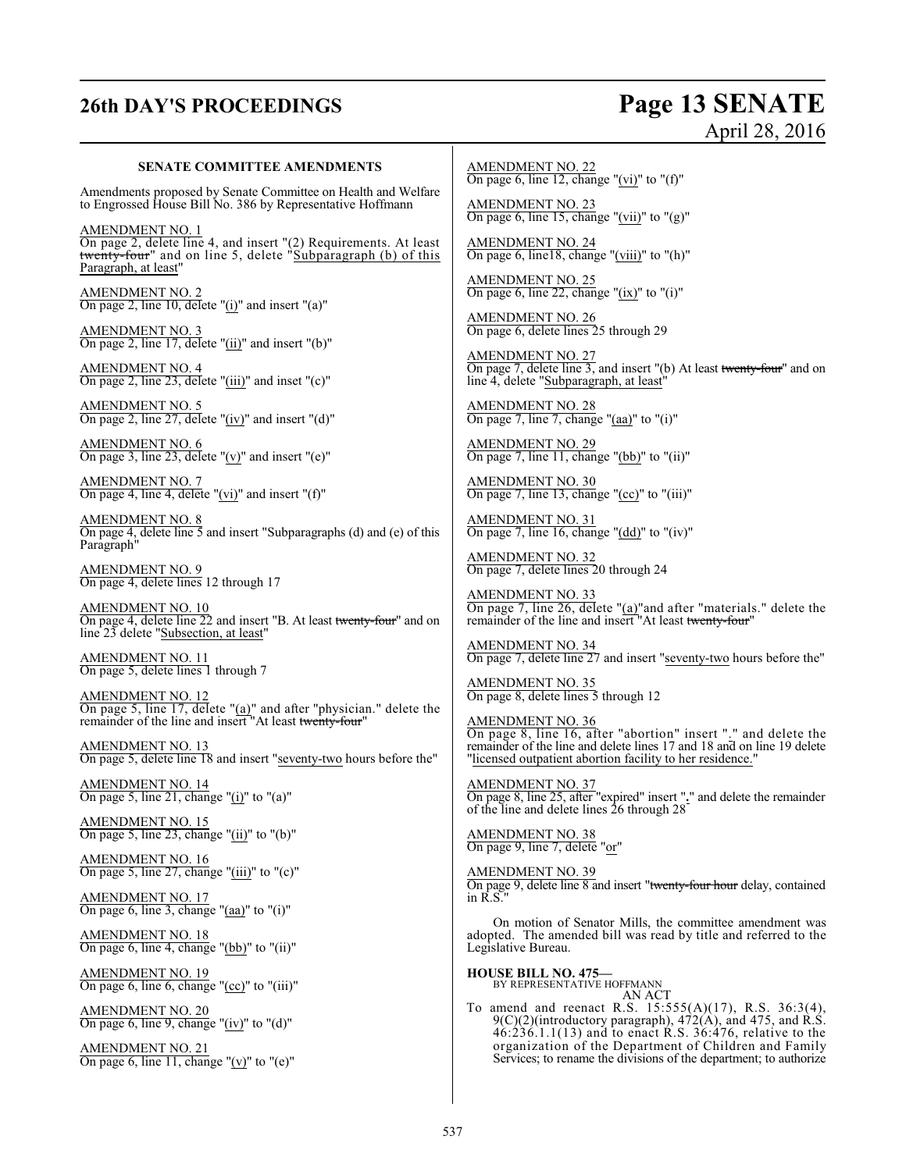# **26th DAY'S PROCEEDINGS Page 13 SENATE**

# April 28, 2016

#### **SENATE COMMITTEE AMENDMENTS**

Amendments proposed by Senate Committee on Health and Welfare to Engrossed House Bill No. 386 by Representative Hoffmann

AMENDMENT NO. 1 On page 2, delete line 4, and insert "(2) Requirements. At least twenty-four" and on line 5, delete "Subparagraph (b) of this Paragraph, at least"

AMENDMENT NO. 2 On page 2, line 10, delete "(i)" and insert "(a)"

AMENDMENT NO. 3 On page 2, line 17, delete "(ii)" and insert "(b)"

AMENDMENT NO. 4 On page 2, line 23, delete "(iii)" and inset "(c)"

AMENDMENT NO. 5 On page 2, line 27, delete " $(iv)$ " and insert " $(d)$ "

AMENDMENT NO. 6 On page 3, line 23, delete " $(v)$ " and insert " $(e)$ "

AMENDMENT NO. 7 On page 4, line 4, delete "(vi)" and insert " $(f)$ "

AMENDMENT NO. 8 On page 4, delete line 5 and insert "Subparagraphs (d) and (e) of this Paragraph"

AMENDMENT NO. 9 On page 4, delete lines 12 through 17

AMENDMENT NO. 10 On page 4, delete line 22 and insert "B. At least twenty-four" and on line 23 delete "Subsection, at least"

AMENDMENT NO. 11 On page 5, delete lines 1 through 7

AMENDMENT NO. 12 On page 5, line  $17$ , delete " $(a)$ " and after "physician." delete the remainder of the line and insert "At least twenty-four"

AMENDMENT NO. 13 On page 5, delete line 18 and insert "seventy-two hours before the"

AMENDMENT NO. 14 On page 5, line 21, change "(i)" to "(a)"

AMENDMENT NO. 15 On page 5, line 23, change "(ii)" to "(b)"

AMENDMENT NO. 16 On page 5, line 27, change " $(iii)$ " to " $(c)$ "

AMENDMENT NO. 17 On page 6, line 3, change "(aa)" to "(i)"

AMENDMENT NO. 18 On page 6, line 4, change "(bb)" to "(ii)"

AMENDMENT NO. 19 On page 6, line 6, change "(cc)" to "(iii)"

AMENDMENT NO. 20 On page 6, line 9, change "(iv)" to "(d)"

AMENDMENT NO. 21 On page 6, line 11, change "(v)" to "(e)"

AMENDMENT NO. 22 On page 6, line 12, change "(vi)" to "(f)"

AMENDMENT NO. 23 On page 6, line 15, change "(vii)" to " $(g)$ "

AMENDMENT NO. 24 On page 6, line18, change "(viii)" to "(h)"

AMENDMENT NO. 25 On page 6, line 22, change " $(ix)$ " to " $(i)$ "

AMENDMENT NO. 26 On page 6, delete lines 25 through 29

AMENDMENT NO. 27 On page 7, delete line 3, and insert "(b) At least twenty-four" and on line 4, delete "Subparagraph, at least"

AMENDMENT NO. 28 On page 7, line 7, change "(aa)" to "(i)"

AMENDMENT NO. 29 On page 7, line 11, change "(bb)" to "(ii)"

AMENDMENT NO. 30 On page 7, line 13, change "(cc)" to "(iii)"

AMENDMENT NO. 31 On page 7, line 16, change "(dd)" to "(iv)"

AMENDMENT NO. 32 On page 7, delete lines 20 through 24

AMENDMENT NO. 33 On page 7, line 26, delete "(a)"and after "materials." delete the remainder of the line and insert "At least twenty-four"

AMENDMENT NO. 34 On page 7, delete line 27 and insert "seventy-two hours before the"

AMENDMENT NO. 35 On page 8, delete lines 5 through 12

AMENDMENT NO. 36 On page 8, line 16, after "abortion" insert "." and delete the remainder of the line and delete lines 17 and 18 and on line 19 delete "licensed outpatient abortion facility to her residence."

AMENDMENT NO. 37 On page 8, line 25, after "expired" insert "**.**" and delete the remainder of the line and delete lines 26 through 28

AMENDMENT NO. 38 On page 9, line 7, delete "or"

AMENDMENT NO. 39 On page 9, delete line 8 and insert "twenty-four hour delay, contained in R.S."

On motion of Senator Mills, the committee amendment was adopted. The amended bill was read by title and referred to the Legislative Bureau.

**HOUSE BILL NO. 475—** BY REPRESENTATIVE HOFFMANN AN ACT

To amend and reenact R.S. 15:555(A)(17), R.S. 36:3(4),  $9(C)(2)$ (introductory paragraph),  $472(A)$ , and  $475$ , and R.S. 46:236.1.1(13) and to enact R.S. 36:476, relative to the organization of the Department of Children and Family Services; to rename the divisions of the department; to authorize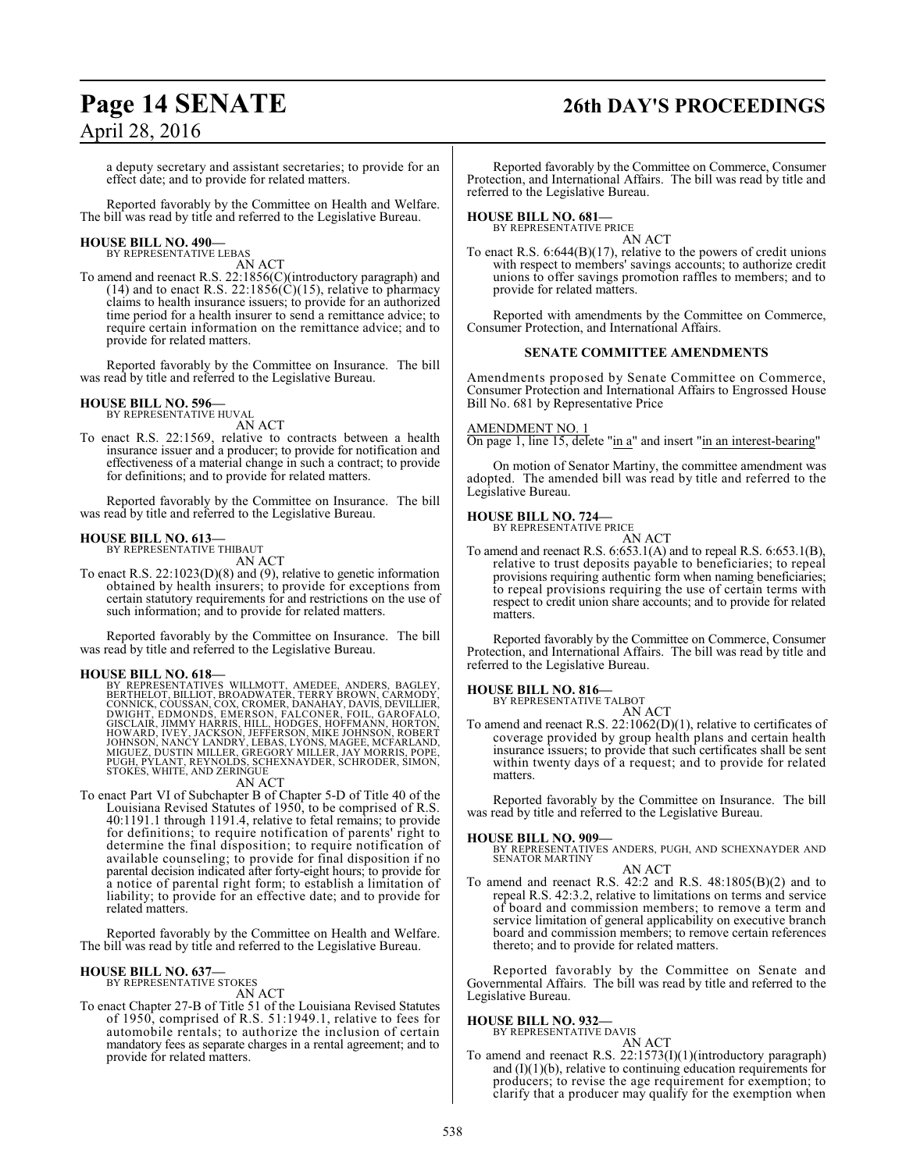## **Page 14 SENATE 26th DAY'S PROCEEDINGS**

a deputy secretary and assistant secretaries; to provide for an effect date; and to provide for related matters.

Reported favorably by the Committee on Health and Welfare. The bill was read by title and referred to the Legislative Bureau.

#### **HOUSE BILL NO. 490—** BY REPRESENTATIVE LEBAS

AN ACT

To amend and reenact R.S. 22:1856(C)(introductory paragraph) and (14) and to enact R.S. 22:1856( $\ddot{C}$ )(15), relative to pharmacy claims to health insurance issuers; to provide for an authorized time period for a health insurer to send a remittance advice; to require certain information on the remittance advice; and to provide for related matters.

Reported favorably by the Committee on Insurance. The bill was read by title and referred to the Legislative Bureau.

#### **HOUSE BILL NO. 596—** BY REPRESENTATIVE HUVAL

AN ACT

To enact R.S. 22:1569, relative to contracts between a health insurance issuer and a producer; to provide for notification and effectiveness of a material change in such a contract; to provide for definitions; and to provide for related matters.

Reported favorably by the Committee on Insurance. The bill was read by title and referred to the Legislative Bureau.

#### **HOUSE BILL NO. 613—**

BY REPRESENTATIVE THIBAUT AN ACT

To enact R.S. 22:1023(D)(8) and (9), relative to genetic information obtained by health insurers; to provide for exceptions from certain statutory requirements for and restrictions on the use of such information; and to provide for related matters.

Reported favorably by the Committee on Insurance. The bill was read by title and referred to the Legislative Bureau.

**HOUSE BILL NO. 618—**<br>BY REPRESENTATIVES WILLMOTT, AMEDEE, ANDERS, BAGLEY,<br>BERTHELOT, BILLIOT, BROADWATER, TERRY BROWN, CARMODY,<br>CONNICK, COUSSAN, COX, CROMER, DANAHAY, DAVIS, DEVILLIER,<br>DWIGHT, EDMONDS, EMERSON, FALCONER, MIGUEZ, DUSTIN MILLER, GREGORY MILLER, JAY MORRIS, POPE, PUGH, PYLANT, REYNOLDS, SCHEXNAYDER, SCHRODER, SIMON, STOKES, WHITE, AND ZERINGUE

AN ACT

To enact Part VI of Subchapter B of Chapter 5-D of Title 40 of the Louisiana Revised Statutes of 1950, to be comprised of R.S. 40:1191.1 through 1191.4, relative to fetal remains; to provide for definitions; to require notification of parents' right to determine the final disposition; to require notification of available counseling; to provide for final disposition if no parental decision indicated after forty-eight hours; to provide for a notice of parental right form; to establish a limitation of liability; to provide for an effective date; and to provide for related matters.

Reported favorably by the Committee on Health and Welfare. The bill was read by title and referred to the Legislative Bureau.

#### **HOUSE BILL NO. 637—**

BY REPRESENTATIVE STOKES AN ACT

To enact Chapter 27-B of Title 51 of the Louisiana Revised Statutes of 1950, comprised of R.S. 51:1949.1, relative to fees for automobile rentals; to authorize the inclusion of certain mandatory fees as separate charges in a rental agreement; and to provide for related matters.

Reported favorably by the Committee on Commerce, Consumer Protection, and International Affairs. The bill was read by title and referred to the Legislative Bureau.

#### **HOUSE BILL NO. 681—**

BY REPRESENTATIVE PRICE

AN ACT To enact R.S. 6:644(B)(17), relative to the powers of credit unions with respect to members' savings accounts; to authorize credit unions to offer savings promotion raffles to members; and to provide for related matters.

Reported with amendments by the Committee on Commerce, Consumer Protection, and International Affairs.

#### **SENATE COMMITTEE AMENDMENTS**

Amendments proposed by Senate Committee on Commerce, Consumer Protection and International Affairs to Engrossed House Bill No. 681 by Representative Price

#### AMENDMENT NO. 1

On page 1, line 15, delete "in a" and insert "in an interest-bearing"

On motion of Senator Martiny, the committee amendment was adopted. The amended bill was read by title and referred to the Legislative Bureau.

## **HOUSE BILL NO. 724—** BY REPRESENTATIVE PRICE

AN ACT

To amend and reenact R.S. 6:653.1(A) and to repeal R.S. 6:653.1(B), relative to trust deposits payable to beneficiaries; to repeal provisions requiring authentic form when naming beneficiaries; to repeal provisions requiring the use of certain terms with respect to credit union share accounts; and to provide for related matters.

Reported favorably by the Committee on Commerce, Consumer Protection, and International Affairs. The bill was read by title and referred to the Legislative Bureau.

#### **HOUSE BILL NO. 816—**

BY REPRESENTATIVE TALBOT

AN ACT To amend and reenact R.S. 22:1062(D)(1), relative to certificates of coverage provided by group health plans and certain health insurance issuers; to provide that such certificates shall be sent within twenty days of a request; and to provide for related matters.

Reported favorably by the Committee on Insurance. The bill was read by title and referred to the Legislative Bureau.

#### **HOUSE BILL NO. 909—**

BY REPRESENTATIVES ANDERS, PUGH, AND SCHEXNAYDER AND SENATOR MARTINY AN ACT

To amend and reenact R.S. 42:2 and R.S. 48:1805(B)(2) and to repeal R.S. 42:3.2, relative to limitations on terms and service of board and commission members; to remove a term and service limitation of general applicability on executive branch board and commission members; to remove certain references thereto; and to provide for related matters.

Reported favorably by the Committee on Senate and Governmental Affairs. The bill was read by title and referred to the Legislative Bureau.

## **HOUSE BILL NO. 932—** BY REPRESENTATIVE DAVIS

AN ACT To amend and reenact R.S. 22:1573(I)(1)(introductory paragraph) and  $(I)(1)(b)$ , relative to continuing education requirements for producers; to revise the age requirement for exemption; to clarify that a producer may qualify for the exemption when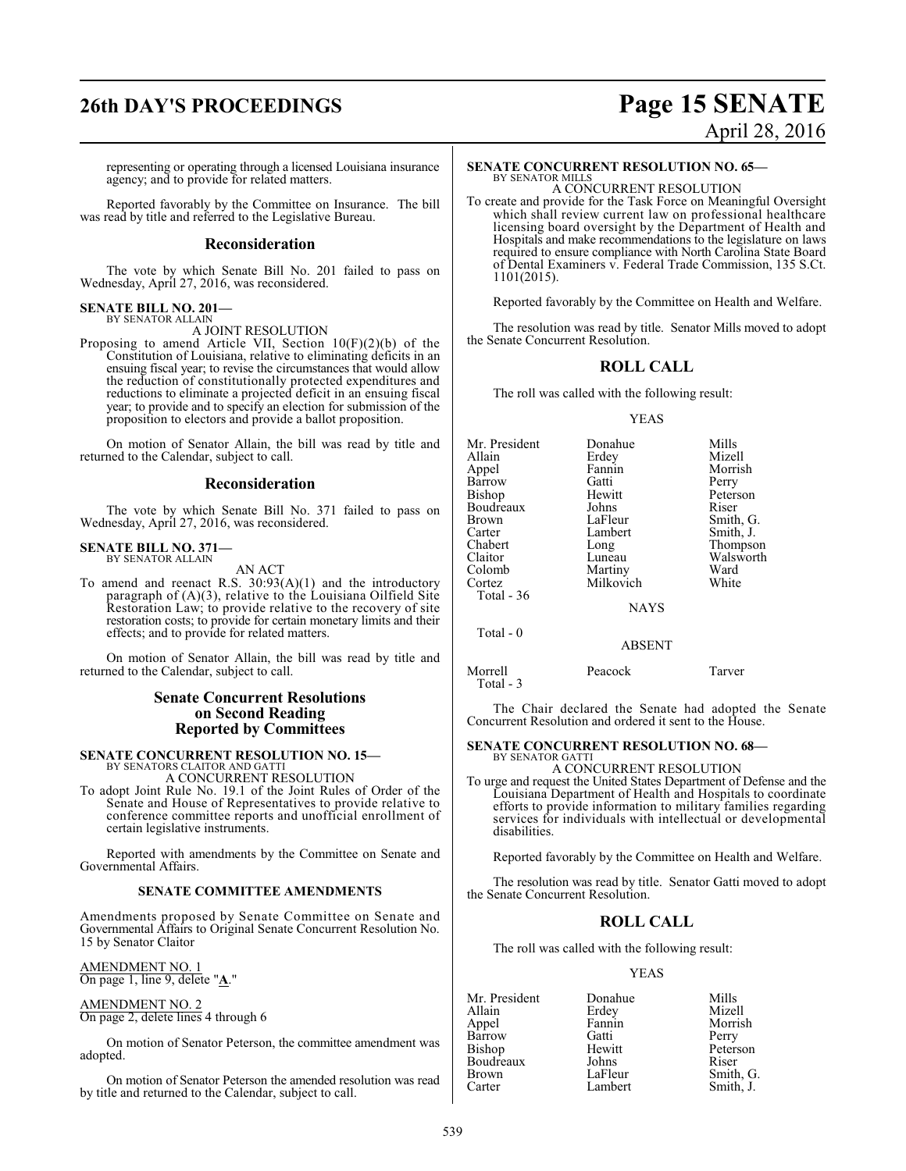representing or operating through a licensed Louisiana insurance agency; and to provide for related matters.

Reported favorably by the Committee on Insurance. The bill was read by title and referred to the Legislative Bureau.

#### **Reconsideration**

The vote by which Senate Bill No. 201 failed to pass on Wednesday, April 27, 2016, was reconsidered.

#### **SENATE BILL NO. 201—** BY SENATOR ALLAIN

A JOINT RESOLUTION

Proposing to amend Article VII, Section 10(F)(2)(b) of the Constitution of Louisiana, relative to eliminating deficits in an ensuing fiscal year; to revise the circumstances that would allow the reduction of constitutionally protected expenditures and reductions to eliminate a projected deficit in an ensuing fiscal year; to provide and to specify an election for submission of the proposition to electors and provide a ballot proposition.

On motion of Senator Allain, the bill was read by title and returned to the Calendar, subject to call.

### **Reconsideration**

The vote by which Senate Bill No. 371 failed to pass on Wednesday, April 27, 2016, was reconsidered.

#### **SENATE BILL NO. 371—** BY SENATOR ALLAIN

AN ACT

To amend and reenact R.S. 30:93(A)(1) and the introductory paragraph of (A)(3), relative to the Louisiana Oilfield Site Restoration Law; to provide relative to the recovery of site restoration costs; to provide for certain monetary limits and their effects; and to provide for related matters.

On motion of Senator Allain, the bill was read by title and returned to the Calendar, subject to call.

#### **Senate Concurrent Resolutions on Second Reading Reported by Committees**

#### **SENATE CONCURRENT RESOLUTION NO. 15—**

BY SENATORS CLAITOR AND GATTI A CONCURRENT RESOLUTION

To adopt Joint Rule No. 19.1 of the Joint Rules of Order of the Senate and House of Representatives to provide relative to conference committee reports and unofficial enrollment of certain legislative instruments.

Reported with amendments by the Committee on Senate and Governmental Affairs.

#### **SENATE COMMITTEE AMENDMENTS**

Amendments proposed by Senate Committee on Senate and Governmental Affairs to Original Senate Concurrent Resolution No. 15 by Senator Claitor

AMENDMENT NO. 1 On page 1, line 9, delete "**A**."

AMENDMENT NO. 2 On page 2, delete lines 4 through 6

On motion of Senator Peterson, the committee amendment was adopted.

On motion of Senator Peterson the amended resolution was read by title and returned to the Calendar, subject to call.

## **26th DAY'S PROCEEDINGS Page 15 SENATE** April 28, 2016

### **SENATE CONCURRENT RESOLUTION NO. 65—**

BY SENATOR MILLS A CONCURRENT RESOLUTION

To create and provide for the Task Force on Meaningful Oversight which shall review current law on professional healthcare licensing board oversight by the Department of Health and Hospitals and make recommendations to the legislature on laws required to ensure compliance with North Carolina State Board of Dental Examiners v. Federal Trade Commission, 135 S.Ct. 1101(2015).

Reported favorably by the Committee on Health and Welfare.

The resolution was read by title. Senator Mills moved to adopt the Senate Concurrent Resolution.

#### **ROLL CALL**

The roll was called with the following result:

#### YEAS

| Donahue     | Mills     |
|-------------|-----------|
| Erdey       | Mizell    |
| Fannin      | Morrish   |
| Gatti       | Perry     |
| Hewitt      | Peterson  |
| Johns       | Riser     |
| LaFleur     | Smith, G. |
| Lambert     | Smith, J. |
| Long        | Thompson  |
| Luneau      | Walsworth |
| Martiny     | Ward      |
|             | White     |
|             |           |
| <b>NAYS</b> |           |
| ABSENT      |           |
|             | Milkovich |

The Chair declared the Senate had adopted the Senate Concurrent Resolution and ordered it sent to the House.

#### **SENATE CONCURRENT RESOLUTION NO. 68—** BY SENATOR GATTI

Morrell Peacock Tarver

Total - 3

A CONCURRENT RESOLUTION

To urge and request the United States Department of Defense and the Louisiana Department of Health and Hospitals to coordinate efforts to provide information to military families regarding services for individuals with intellectual or developmental disabilities.

Reported favorably by the Committee on Health and Welfare.

The resolution was read by title. Senator Gatti moved to adopt the Senate Concurrent Resolution.

### **ROLL CALL**

The roll was called with the following result:

#### YEAS

| Mr. President | Donahue | Mills     |
|---------------|---------|-----------|
| Allain        | Erdey   | Mizell    |
| Appel         | Fannin  | Morrish   |
| Barrow        | Gatti   | Perry     |
| Bishop        | Hewitt  | Peterson  |
| Boudreaux     | Johns   | Riser     |
| <b>Brown</b>  | LaFleur | Smith, G. |
| Carter        | Lambert | Smith, J. |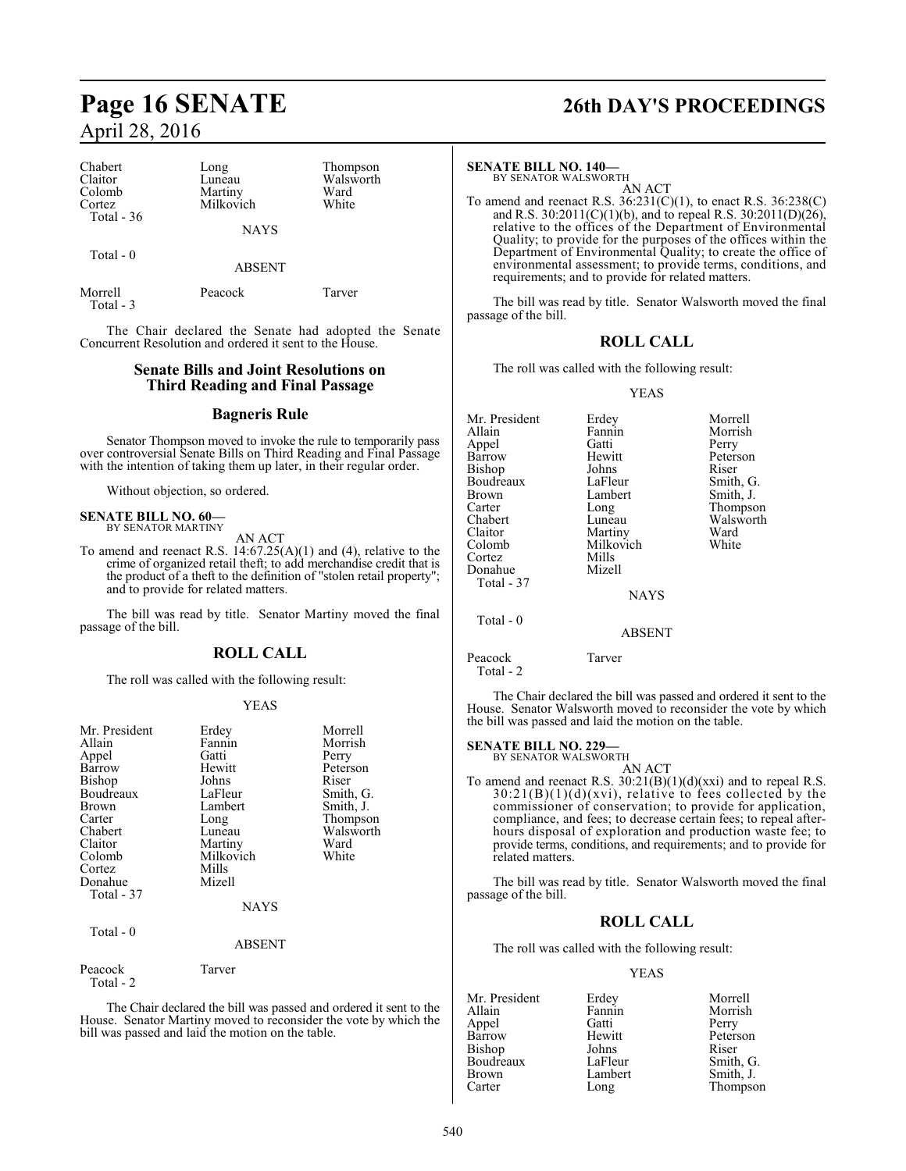| Chabert<br>Claitor<br>Colomb<br>Cortez | Long<br>Luneau<br>Martiny<br>Milkovich | Thompson<br>Walsworth<br>Ward<br>White |  |
|----------------------------------------|----------------------------------------|----------------------------------------|--|
| Total $-36$                            | <b>NAYS</b>                            |                                        |  |
| Total $-0$                             | <b>ABSENT</b>                          |                                        |  |
| Morrell<br>Total $-3$                  | Peacock                                | Tarver                                 |  |

The Chair declared the Senate had adopted the Senate Concurrent Resolution and ordered it sent to the House.

### **Senate Bills and Joint Resolutions on Third Reading and Final Passage**

#### **Bagneris Rule**

Senator Thompson moved to invoke the rule to temporarily pass over controversial Senate Bills on Third Reading and Final Passage with the intention of taking them up later, in their regular order.

Without objection, so ordered.

## **SENATE BILL NO. 60—** BY SENATOR MARTINY

AN ACT

To amend and reenact R.S.  $14:67.25(A)(1)$  and (4), relative to the crime of organized retail theft; to add merchandise credit that is the product of a theft to the definition of "stolen retail property"; and to provide for related matters.

The bill was read by title. Senator Martiny moved the final passage of the bill.

#### **ROLL CALL**

The roll was called with the following result:

#### YEAS

| Mr. President<br>Allain<br>Appel<br>Barrow<br>Bishop<br>Boudreaux<br><b>Brown</b><br>Carter<br>Chabert<br>Claitor<br>Colomb<br>Cortez<br>Donahue<br>Total - 37<br>Total - 0 | Erdey<br>Fannin<br>Gatti<br>Hewitt<br>Johns<br>LaFleur<br>Lambert<br>Long<br>Luneau<br>Martiny<br>Milkovich<br>Mills<br>Mizell<br><b>NAYS</b><br><b>ABSENT</b> | Morrell<br>Morrish<br>Perry<br>Peterson<br>Riser<br>Smith, G.<br>Smith, J.<br>Thompson<br>Walsworth<br>Ward<br>White |
|-----------------------------------------------------------------------------------------------------------------------------------------------------------------------------|----------------------------------------------------------------------------------------------------------------------------------------------------------------|----------------------------------------------------------------------------------------------------------------------|
| Peacock<br>Total - 2                                                                                                                                                        | Tarver                                                                                                                                                         |                                                                                                                      |

The Chair declared the bill was passed and ordered it sent to the House. Senator Martiny moved to reconsider the vote by which the bill was passed and laid the motion on the table.

## **Page 16 SENATE 26th DAY'S PROCEEDINGS**

#### **SENATE BILL NO. 140—**

BY SENATOR WALSWORTH AN ACT

To amend and reenact R.S. 36:231(C)(1), to enact R.S. 36:238(C) and R.S. 30:2011(C)(1)(b), and to repeal R.S. 30:2011(D)(26), relative to the offices of the Department of Environmental Quality; to provide for the purposes of the offices within the Department of Environmental Quality; to create the office of environmental assessment; to provide terms, conditions, and requirements; and to provide for related matters.

The bill was read by title. Senator Walsworth moved the final passage of the bill.

#### **ROLL CALL**

The roll was called with the following result:

#### YEAS

| Mr. President | Erdey         | Morrell   |
|---------------|---------------|-----------|
| Allain        | Fannin        | Morrish   |
| Appel         | Gatti         | Perry     |
| Barrow        | Hewitt        | Peterson  |
| Bishop        | Johns         | Riser     |
| Boudreaux     | LaFleur       | Smith, G. |
| Brown         | Lambert       | Smith, J. |
| Carter        | Long          | Thompson  |
| Chabert       | Luneau        | Walsworth |
| Claitor       | Martiny       | Ward      |
| Colomb        | Milkovich     | White     |
| Cortez        | Mills         |           |
| Donahue       | Mizell        |           |
| Total - 37    |               |           |
|               | <b>NAYS</b>   |           |
| Total - 0     |               |           |
|               | <b>ABSENT</b> |           |
|               |               |           |

#### Peacock Tarver

Total - 2

The Chair declared the bill was passed and ordered it sent to the House. Senator Walsworth moved to reconsider the vote by which the bill was passed and laid the motion on the table.

#### **SENATE BILL NO. 229—**

BY SENATOR WALSWORTH AN ACT

To amend and reenact R.S.  $30:21(B)(1)(d)(xx)$  and to repeal R.S.  $30:21(B)(1)(d)(xvi)$ , relative to fees collected by the commissioner of conservation; to provide for application, compliance, and fees; to decrease certain fees; to repeal afterhours disposal of exploration and production waste fee; to provide terms, conditions, and requirements; and to provide for related matters.

The bill was read by title. Senator Walsworth moved the final passage of the bill.

#### **ROLL CALL**

The roll was called with the following result:

#### YEAS

|         | Morrell   |
|---------|-----------|
| Fannin  | Morrish   |
| Gatti   | Perry     |
| Hewitt  | Peterson  |
| Johns   | Riser     |
| LaFleur | Smith, G. |
| Lambert | Smith, J. |
| Long    | Thompson  |
|         | Erdey     |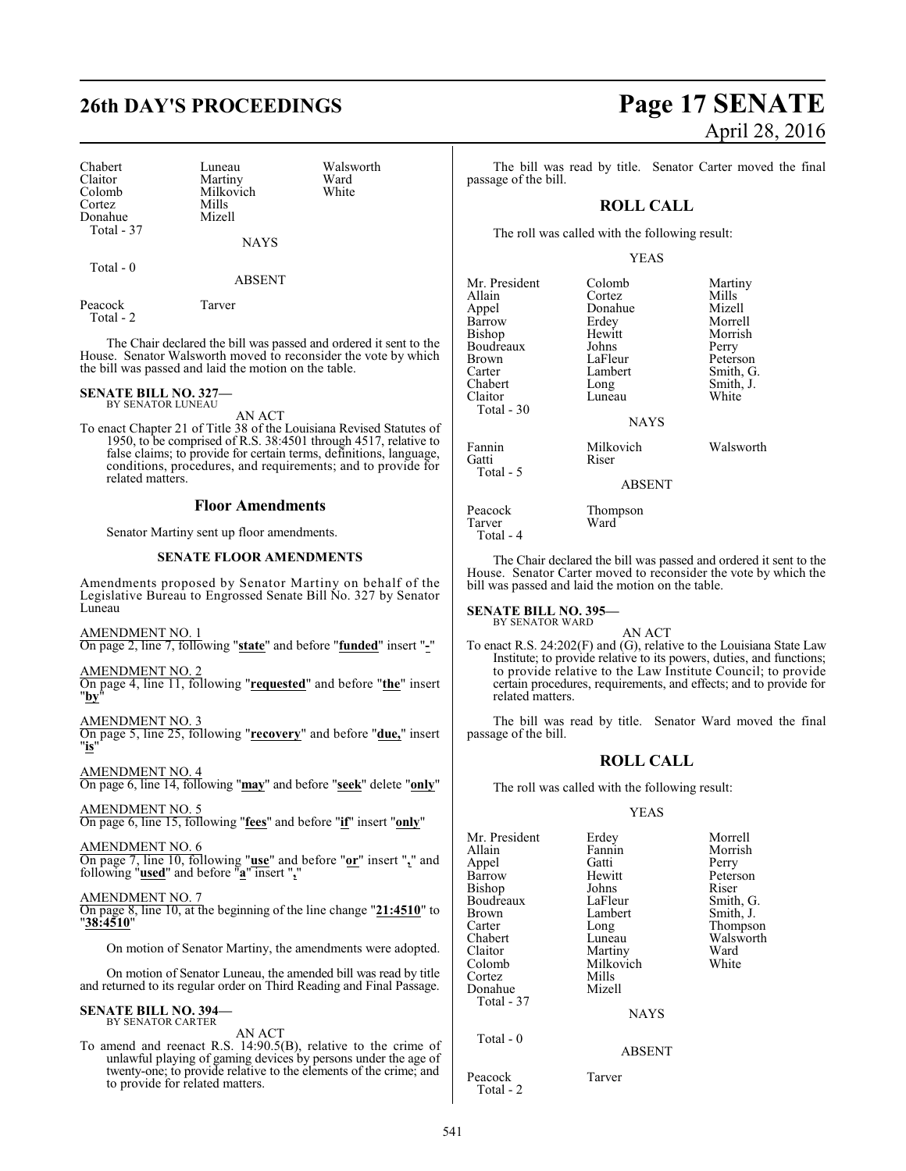## **26th DAY'S PROCEEDINGS Page 17 SENATE**

Chabert Luneau Walsworth<br>
Claitor Martiny Ward Claitor Martiny Ward<br>Colomb Milkovich White Cortez Mills Donahue Total - 37

Milkovich

Total - 0

ABSENT

NAYS

Peacock Tarver Total - 2

The Chair declared the bill was passed and ordered it sent to the House. Senator Walsworth moved to reconsider the vote by which the bill was passed and laid the motion on the table.

#### **SENATE BILL NO. 327—** BY SENATOR LUNEAU

AN ACT

To enact Chapter 21 of Title 38 of the Louisiana Revised Statutes of 1950, to be comprised of R.S. 38:4501 through 4517, relative to false claims; to provide for certain terms, definitions, language, conditions, procedures, and requirements; and to provide for related matters.

#### **Floor Amendments**

Senator Martiny sent up floor amendments.

#### **SENATE FLOOR AMENDMENTS**

Amendments proposed by Senator Martiny on behalf of the Legislative Bureau to Engrossed Senate Bill No. 327 by Senator Luneau

AMENDMENT NO. 1

On page 2, line 7, following "**state**" and before "**funded**" insert "**-**"

#### AMENDMENT NO. 2

On page 4, line 11, following "**requested**" and before "**the**" insert "**by**"

#### AMENDMENT NO. 3

On page 5, line 25, following "**recovery**" and before "**due,**" insert "**is**"

#### AMENDMENT NO. 4

On page 6, line 14, following "**may**" and before "**seek**" delete "**only**" AMENDMENT NO. 5

On page 6, line 15, following "**fees**" and before "**if**" insert "**only**"

#### AMENDMENT NO. 6 On page 7, line 10, following "**use**" and before "**or**" insert "**,**" and following "**used**" and before "**a**" insert "**,**"

AMENDMENT NO. 7

On page 8, line 10, at the beginning of the line change "**21:4510**" to "**38:4510**"

On motion of Senator Martiny, the amendments were adopted.

On motion of Senator Luneau, the amended bill was read by title and returned to its regular order on Third Reading and Final Passage.

#### **SENATE BILL NO. 394—** BY SENATOR CARTER

### AN ACT

To amend and reenact R.S. 14:90.5(B), relative to the crime of unlawful playing of gaming devices by persons under the age of twenty-one; to provide relative to the elements of the crime; and to provide for related matters.

# April 28, 2016

The bill was read by title. Senator Carter moved the final passage of the bill.

### **ROLL CALL**

The roll was called with the following result:

#### YEAS

| Mr. President   | Colomb             | Martiny   |
|-----------------|--------------------|-----------|
| Allain          | Cortez             | Mills     |
| Appel           | Donahue            | Mizell    |
| Barrow          | Erdey              | Morrell   |
| <b>Bishop</b>   | Hewitt             | Morrish   |
| Boudreaux       | Johns              | Perry     |
| Brown           | LaFleur            | Peterson  |
| Carter          | Lambert            | Smith, G. |
| Chabert         | Long               | Smith, J. |
| Claitor         | Luneau             | White     |
| Total $-30$     |                    |           |
|                 | <b>NAYS</b>        |           |
| Fannin<br>Gatti | Milkovich<br>Riser | Walsworth |
| Total - 5       | <b>ABSENT</b>      |           |
| $\mathbf{r}$    | m                  |           |

Peacock Thompson<br>Tarver Ward

The Chair declared the bill was passed and ordered it sent to the House. Senator Carter moved to reconsider the vote by which the bill was passed and laid the motion on the table.

**SENATE BILL NO. 395—** BY SENATOR WARD

Tarver Total - 4

AN ACT

To enact R.S. 24:202(F) and (G), relative to the Louisiana State Law Institute; to provide relative to its powers, duties, and functions; to provide relative to the Law Institute Council; to provide certain procedures, requirements, and effects; and to provide for related matters.

The bill was read by title. Senator Ward moved the final passage of the bill.

### **ROLL CALL**

The roll was called with the following result:

#### YEAS

| Mr. President | Erdey         | Morrell   |
|---------------|---------------|-----------|
| Allain        | Fannin        | Morrish   |
| Appel         | Gatti         | Perry     |
| Barrow        | Hewitt        | Peterson  |
| Bishop        | Johns         | Riser     |
| Boudreaux     | LaFleur       | Smith, G. |
| <b>Brown</b>  | Lambert       | Smith, J. |
| Carter        | Long          | Thompson  |
| Chabert       | Luneau        | Walsworth |
| Claitor       | Martiny       | Ward      |
| Colomb        | Milkovich     | White     |
| Cortez        | Mills         |           |
| Donahue       | Mizell        |           |
| Total - 37    |               |           |
|               | <b>NAYS</b>   |           |
| Total $-0$    |               |           |
|               | <b>ABSENT</b> |           |
| Peacock       | Tarver        |           |

Total - 2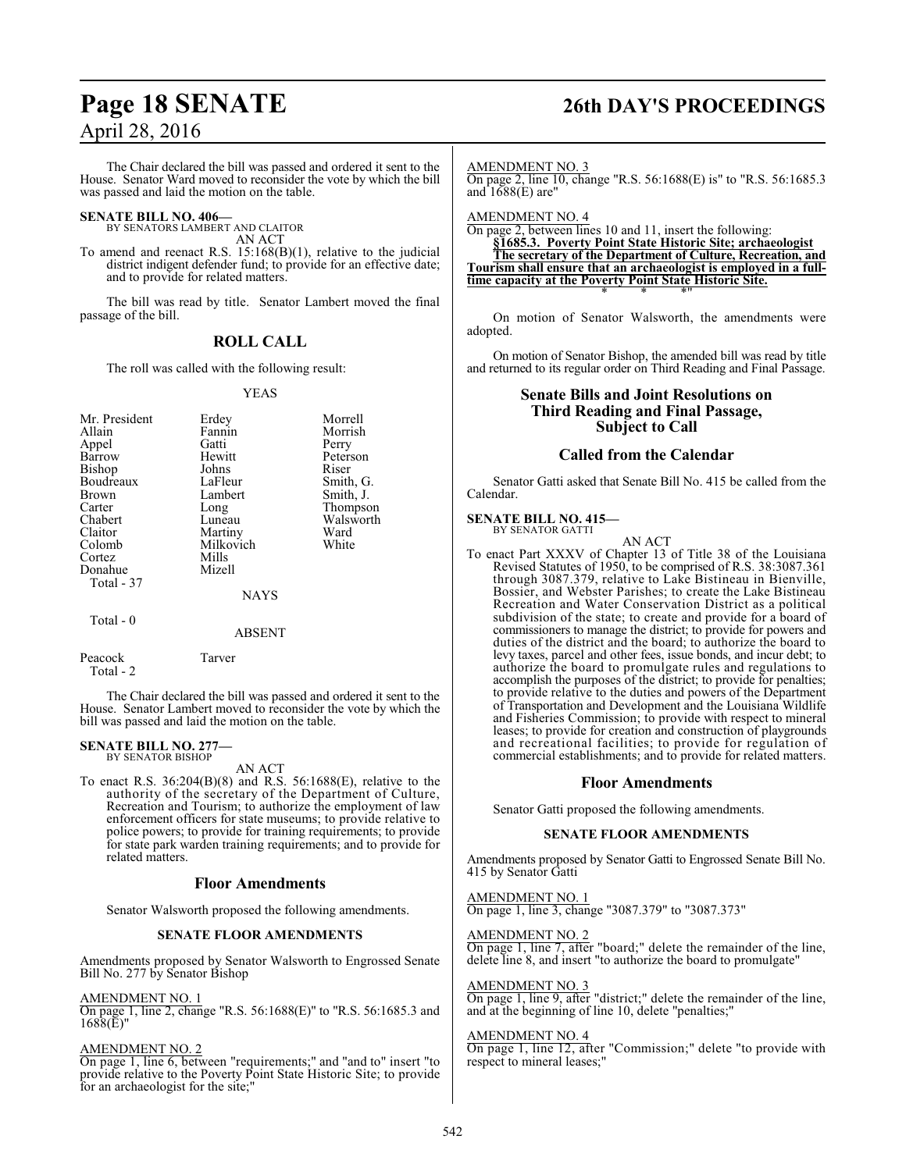## **Page 18 SENATE 26th DAY'S PROCEEDINGS**

The Chair declared the bill was passed and ordered it sent to the House. Senator Ward moved to reconsider the vote by which the bill was passed and laid the motion on the table.

## **SENATE BILL NO. 406—** BY SENATORS LAMBERT AND CLAITOR

AN ACT

To amend and reenact R.S. 15:168(B)(1), relative to the judicial district indigent defender fund; to provide for an effective date; and to provide for related matters.

The bill was read by title. Senator Lambert moved the final passage of the bill.

## **ROLL CALL**

The roll was called with the following result:

#### YEAS

| Mr. President<br>Allain<br>Appel<br>Barrow<br><b>Bishop</b><br>Boudreaux<br><b>Brown</b><br>Carter<br>Chabert<br>Claitor<br>Colomb<br>Cortez<br>Donahue<br>Total - 37 | Erdey<br>Fannin<br>Gatti<br>Hewitt<br>Johns<br>LaFleur<br>Lambert<br>Long<br>Luneau<br>Martiny<br>Milkovich<br>Mills<br>Mizell<br><b>NAYS</b> | Morrell<br>Morrish<br>Perry<br>Peterson<br>Riser<br>Smith, G.<br>Smith, J.<br>Thompson<br>Walsworth<br>Ward<br>White |
|-----------------------------------------------------------------------------------------------------------------------------------------------------------------------|-----------------------------------------------------------------------------------------------------------------------------------------------|----------------------------------------------------------------------------------------------------------------------|
| Total - 0                                                                                                                                                             | ABSENT                                                                                                                                        |                                                                                                                      |

Peacock Tarver Total - 2

The Chair declared the bill was passed and ordered it sent to the House. Senator Lambert moved to reconsider the vote by which the bill was passed and laid the motion on the table.

#### **SENATE BILL NO. 277** BY SENATOR BISHOP

AN ACT

To enact R.S. 36:204(B)(8) and R.S. 56:1688(E), relative to the authority of the secretary of the Department of Culture, Recreation and Tourism; to authorize the employment of law enforcement officers for state museums; to provide relative to police powers; to provide for training requirements; to provide for state park warden training requirements; and to provide for related matters.

#### **Floor Amendments**

Senator Walsworth proposed the following amendments.

#### **SENATE FLOOR AMENDMENTS**

Amendments proposed by Senator Walsworth to Engrossed Senate Bill No. 277 by Senator Bishop

AMENDMENT NO. 1

On page 1, line 2, change "R.S. 56:1688(E)" to "R.S. 56:1685.3 and  $1688(E)$ "

#### AMENDMENT NO. 2

On page 1, line 6, between "requirements;" and "and to" insert "to provide relative to the Poverty Point State Historic Site; to provide for an archaeologist for the site;"

AMENDMENT NO. 3

On page 2, line 10, change "R.S. 56:1688(E) is" to "R.S. 56:1685.3 and  $1688(E)$  are"

AMENDMENT NO. 4

On page 2, between lines 10 and 11, insert the following:

**§1685.3. Poverty Point State Historic Site; archaeologist The secretary of the Department of Culture, Recreation, and Tourism shall ensure that an archaeologist is employed in a fulltime capacity at the Poverty Point State Historic Site.** \* \* \*"

On motion of Senator Walsworth, the amendments were adopted.

On motion of Senator Bishop, the amended bill was read by title and returned to its regular order on Third Reading and Final Passage.

#### **Senate Bills and Joint Resolutions on Third Reading and Final Passage, Subject to Call**

#### **Called from the Calendar**

Senator Gatti asked that Senate Bill No. 415 be called from the Calendar.

#### **SENATE BILL NO. 415—** BY SENATOR GATTI

AN ACT

To enact Part XXXV of Chapter 13 of Title 38 of the Louisiana Revised Statutes of 1950, to be comprised of R.S. 38:3087.361 through 3087.379, relative to Lake Bistineau in Bienville, Bossier, and Webster Parishes; to create the Lake Bistineau Recreation and Water Conservation District as a political subdivision of the state; to create and provide for a board of commissioners to manage the district; to provide for powers and duties of the district and the board; to authorize the board to levy taxes, parcel and other fees, issue bonds, and incur debt; to authorize the board to promulgate rules and regulations to accomplish the purposes of the district; to provide for penalties; to provide relative to the duties and powers of the Department of Transportation and Development and the Louisiana Wildlife and Fisheries Commission; to provide with respect to mineral leases; to provide for creation and construction of playgrounds and recreational facilities; to provide for regulation of commercial establishments; and to provide for related matters.

#### **Floor Amendments**

Senator Gatti proposed the following amendments.

#### **SENATE FLOOR AMENDMENTS**

Amendments proposed by Senator Gatti to Engrossed Senate Bill No. 415 by Senator Gatti

AMENDMENT NO. 1 On page 1, line 3, change "3087.379" to "3087.373"

#### AMENDMENT NO. 2

On page 1, line 7, after "board;" delete the remainder of the line, delete line 8, and insert "to authorize the board to promulgate"

#### AMENDMENT NO. 3

On page 1, line 9, after "district;" delete the remainder of the line, and at the beginning of line 10, delete "penalties;"

#### AMENDMENT NO. 4

On page 1, line 12, after "Commission;" delete "to provide with respect to mineral leases;"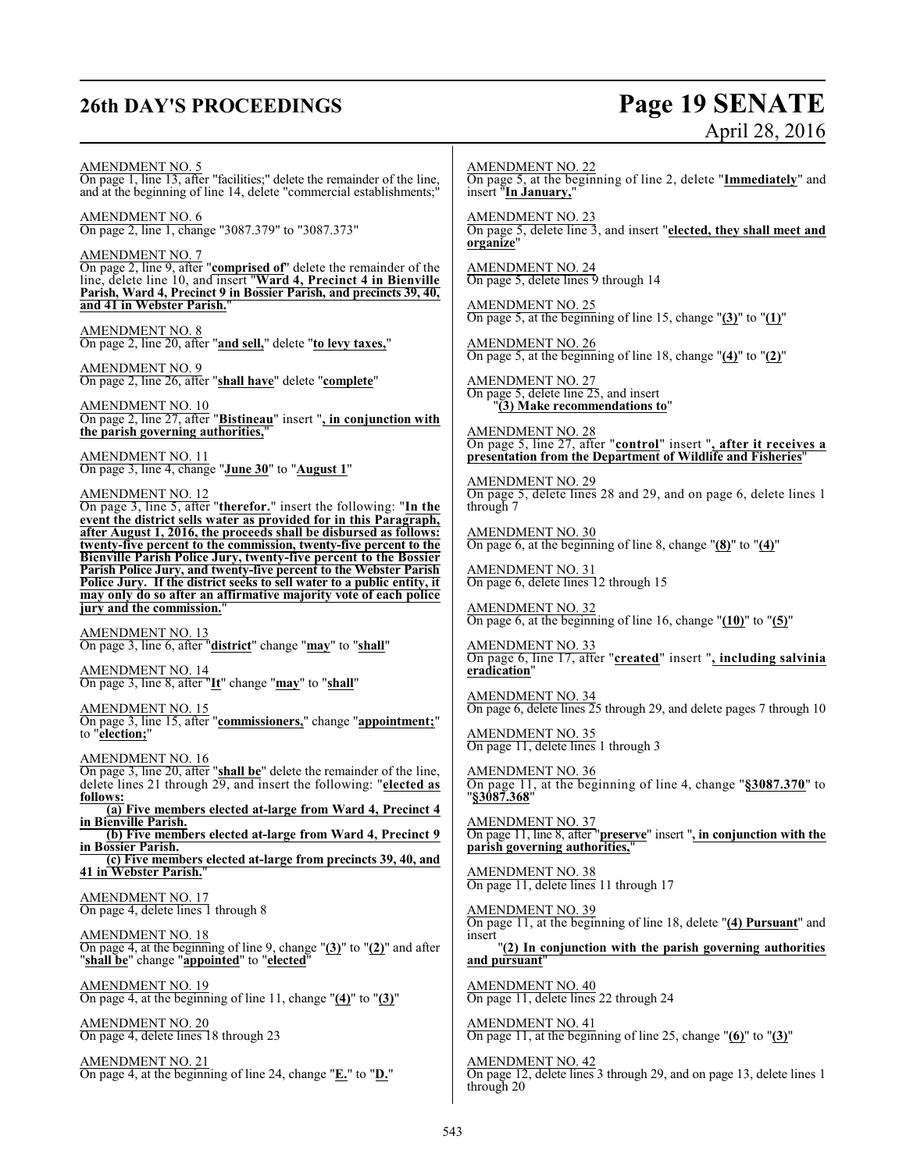## **26th DAY'S PROCEEDINGS Page 19 SENATE**

# April 28, 2016

AMENDMENT NO. 5 On page 1, line 13, after "facilities;" delete the remainder of the line, and at the beginning of line 14, delete "commercial establishments;"

AMENDMENT NO. 6 On page 2, line 1, change "3087.379" to "3087.373"

AMENDMENT NO. 7 On page 2, line 9, after "**comprised of**" delete the remainder of the line, delete line 10, and insert "**Ward 4, Precinct 4 in Bienville Parish, Ward 4, Precinct 9 in Bossier Parish, and precincts 39, 40, and 41 in Webster Parish.**"

AMENDMENT NO. 8 On page 2, line 20, after "**and sell,**" delete "**to levy taxes,**"

AMENDMENT NO. 9 On page 2, line 26, after "**shall have**" delete "**complete**"

AMENDMENT NO. 10 On page 2, line 27, after "**Bistineau**" insert "**, in conjunction with the parish governing authorities,**"

AMENDMENT NO. 11 On page 3, line 4, change "**June 30**" to "**August 1**"

AMENDMENT NO. 12

On page 3, line 5, after "**therefor.**" insert the following: "**In the event the district sells water as provided for in this Paragraph, after August 1, 2016, the proceeds shall be disbursed as follows: twenty-five percent to the commission, twenty-five percent to the Bienville Parish Police Jury, twenty-five percent to the Bossier Parish Police Jury, and twenty-five percent to the Webster Parish Police Jury. If the district seeks to sell water to a public entity, it may only do so after an affirmative majority vote of each police jury and the commission.**"

AMENDMENT NO. 13 On page 3, line 6, after "**district**" change "**may**" to "**shall**"

AMENDMENT NO. 14 On page 3, line 8, after "**It**" change "**may**" to "**shall**"

AMENDMENT NO. 15 On page 3, line 15, after "**commissioners,**" change "**appointment;**" to "**election;**"

AMENDMENT NO. 16 On page 3, line 20, after "**shall be**" delete the remainder of the line, delete lines 21 through 29, and insert the following: "**elected as follows:**

**(a) Five members elected at-large from Ward 4, Precinct 4 in Bienville Parish.**

**(b) Five members elected at-large from Ward 4, Precinct 9 in Bossier Parish.**

**(c) Five members elected at-large from precincts 39, 40, and 41 in Webster Parish.**"

AMENDMENT NO. 17 On page 4, delete lines 1 through 8

AMENDMENT NO. 18 On page 4, at the beginning of line 9, change "**(3)**" to "**(2)**" and after "**shall be**" change "**appointed**" to "**elected**"

AMENDMENT NO. 19 On page 4, at the beginning of line 11, change "**(4)**" to "**(3)**"

AMENDMENT NO. 20 On page 4, delete lines 18 through 23

AMENDMENT NO. 21 On page 4, at the beginning of line 24, change "**E.**" to "**D.**"

AMENDMENT NO. 22 On page 5, at the beginning of line 2, delete "**Immediately**" and insert "In January,

AMENDMENT NO. 23 On page 5, delete line 3, and insert "**elected, they shall meet and organize**"

AMENDMENT NO. 24 On page 5, delete lines 9 through 14

AMENDMENT NO. 25 On page 5, at the beginning of line 15, change "**(3)**" to "**(1)**"

AMENDMENT NO. 26 On page 5, at the beginning of line 18, change "**(4)**" to "**(2)**"

AMENDMENT NO. 27 On page 5, delete line 25, and insert "**(3) Make recommendations to**"

AMENDMENT NO. 28 On page 5, line 27, after "**control**" insert "**, after it receives a presentation from the Department of Wildlife and Fisheries**"

AMENDMENT NO. 29 On page 5, delete lines 28 and 29, and on page 6, delete lines 1 through 7

AMENDMENT NO. 30 On page 6, at the beginning of line 8, change "**(8)**" to "**(4)**"

AMENDMENT NO. 31 On page 6, delete lines 12 through 15

AMENDMENT NO. 32 On page 6, at the beginning of line 16, change "**(10)**" to "**(5)**"

AMENDMENT NO. 33 On page 6, line 17, after "**created**" insert "**, including salvinia eradication**"

AMENDMENT NO. 34 On page 6, delete lines 25 through 29, and delete pages 7 through 10

AMENDMENT NO. 35 On page 11, delete lines 1 through 3

AMENDMENT NO. 36 On page 11, at the beginning of line 4, change "**§3087.370**" to "**§3087.368**"

AMENDMENT NO. 37 On page 11, line 8, after "**preserve**" insert "**, in conjunction with the parish governing authorities,**"

AMENDMENT NO. 38 On page 11, delete lines 11 through 17

AMENDMENT NO. 39 On page 11, at the beginning of line 18, delete "**(4) Pursuant**" and insert

"**(2) In conjunction with the parish governing authorities and pursuant**"

AMENDMENT NO. 40 On page 11, delete lines 22 through 24

AMENDMENT NO. 41 On page 11, at the beginning of line 25, change "**(6)**" to "**(3)**"

AMENDMENT NO. 42

On page 12, delete lines 3 through 29, and on page 13, delete lines 1 through 20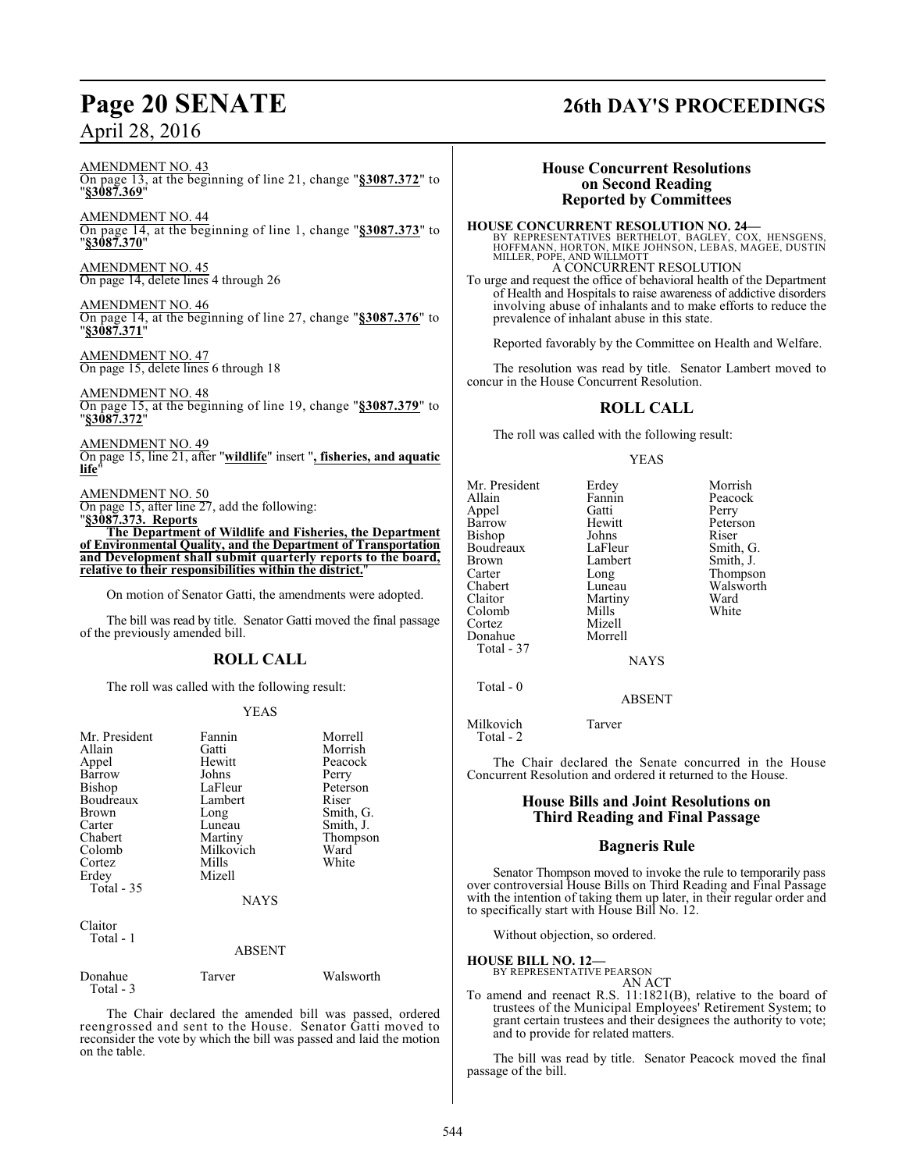AMENDMENT NO. 43 On page 13, at the beginning of line 21, change "**§3087.372**" to "**§3087.369**"

AMENDMENT NO. 44 On page 14, at the beginning of line 1, change "**§3087.373**" to "**§3087.370**"

AMENDMENT NO. 45 On page 14, delete lines 4 through 26

AMENDMENT NO. 46 On page 14, at the beginning of line 27, change "**§3087.376**" to "**§3087.371**"

AMENDMENT NO. 47 On page 15, delete lines 6 through 18

AMENDMENT NO. 48 On page 15, at the beginning of line 19, change "**§3087.379**" to "**§3087.372**"

AMENDMENT NO. 49 On page 15, line 21, after "**wildlife**" insert "**, fisheries, and aquatic life**"

AMENDMENT NO. 50 On page 15, after line 27, add the following:

"**§3087.373. Reports The Department of Wildlife and Fisheries, the Department of Environmental Quality, and the Department of Transportation and Development shall submit quarterly reports to the board, relative to their responsibilities within the district.**"

On motion of Senator Gatti, the amendments were adopted.

The bill was read by title. Senator Gatti moved the final passage of the previously amended bill.

### **ROLL CALL**

The roll was called with the following result:

#### YEAS

| Mr. President<br>Allain<br>Appel<br>Barrow<br>Bishop<br>Boudreaux<br>Brown<br>Carter<br>Chabert<br>Colomb<br>Cortez<br>Erdey<br>Total $-35$<br>Claitor<br>Total - 1 | Fannin<br>Gatti<br>Hewitt<br>Johns<br>LaFleur<br>Lambert<br>Long<br>Luneau<br>Martiny<br>Milkovich<br>Mills<br>Mizell<br><b>NAYS</b><br><b>ABSENT</b> | Morrell<br>Morrish<br>Peacock<br>Perry<br>Peterson<br>Riser<br>Smith, G.<br>Smith, J.<br>Thompson<br>Ward<br>White |
|---------------------------------------------------------------------------------------------------------------------------------------------------------------------|-------------------------------------------------------------------------------------------------------------------------------------------------------|--------------------------------------------------------------------------------------------------------------------|
| Donahue<br>Total - 3                                                                                                                                                | Tarver                                                                                                                                                | Walsworth                                                                                                          |

The Chair declared the amended bill was passed, ordered reengrossed and sent to the House. Senator Gatti moved to reconsider the vote by which the bill was passed and laid the motion on the table.

## **Page 20 SENATE 26th DAY'S PROCEEDINGS**

### **House Concurrent Resolutions on Second Reading Reported by Committees**

#### **HOUSE CONCURRENT RESOLUTION NO. 24—**

BY REPRESENTATIVES BERTHELOT, BAGLEY, COX, HENSGENS, HOFFMANN, HORTON, MIKE JOHNSON, LEBAS, MAGEE, DUSTIN MILLER, POPE, AND WILLMOTT A CONCURRENT RESOLUTION

To urge and request the office of behavioral health of the Department of Health and Hospitals to raise awareness of addictive disorders involving abuse of inhalants and to make efforts to reduce the prevalence of inhalant abuse in this state.

Reported favorably by the Committee on Health and Welfare.

The resolution was read by title. Senator Lambert moved to concur in the House Concurrent Resolution.

### **ROLL CALL**

The roll was called with the following result:

#### YEAS

| Mr. President<br>Allain<br>Appel<br>Barrow<br>Bishop<br>Boudreaux<br><b>Brown</b><br>Carter<br>Chabert<br>Claitor<br>Colomb | Erdey<br>Fannin<br>Gatti<br>Hewitt<br>Johns<br>LaFleur<br>Lambert<br>Long<br>Luneau<br>Martiny<br>Mills | Morrish<br>Peacock<br>Perry<br>Peterson<br>Riser<br>Smith, G.<br>Smith, J.<br>Thompson<br>Walsworth<br>Ward<br>White |
|-----------------------------------------------------------------------------------------------------------------------------|---------------------------------------------------------------------------------------------------------|----------------------------------------------------------------------------------------------------------------------|
| Cortez                                                                                                                      | Mizell                                                                                                  |                                                                                                                      |
| Donahue<br>Total - 37                                                                                                       | Morrell                                                                                                 |                                                                                                                      |
|                                                                                                                             | <b>NAYS</b>                                                                                             |                                                                                                                      |
| Total $-0$                                                                                                                  | <b>ABSENT</b>                                                                                           |                                                                                                                      |

**BSENT** 

Milkovich Tarver Total - 2

The Chair declared the Senate concurred in the House Concurrent Resolution and ordered it returned to the House.

#### **House Bills and Joint Resolutions on Third Reading and Final Passage**

#### **Bagneris Rule**

Senator Thompson moved to invoke the rule to temporarily pass over controversial House Bills on Third Reading and Final Passage with the intention of taking them up later, in their regular order and to specifically start with House Bill No. 12.

Without objection, so ordered.

#### **HOUSE BILL NO. 12—**

#### BY REPRESENTATIVE PEARSON AN ACT

To amend and reenact R.S. 11:1821(B), relative to the board of trustees of the Municipal Employees' Retirement System; to grant certain trustees and their designees the authority to vote; and to provide for related matters.

The bill was read by title. Senator Peacock moved the final passage of the bill.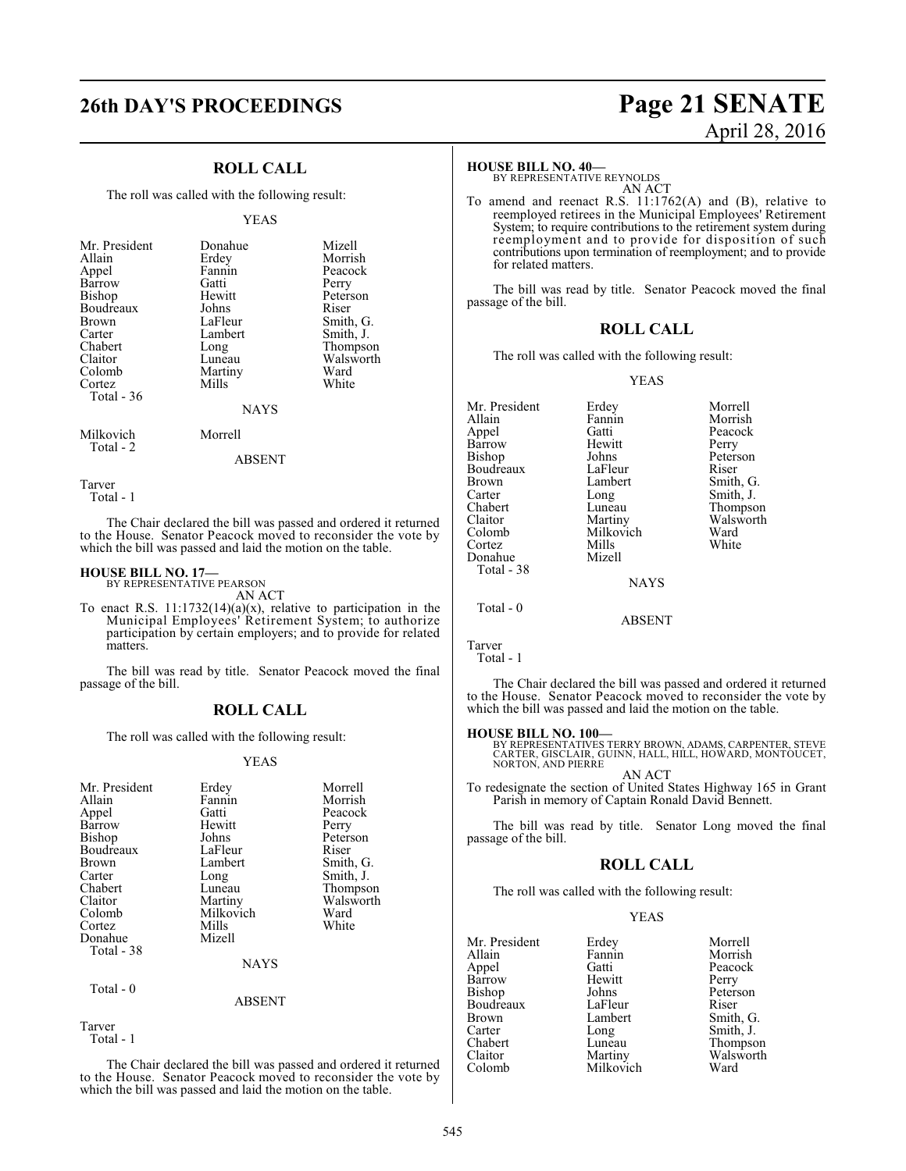### **ROLL CALL**

The roll was called with the following result:

#### YEAS

| Mr. President | Donahue     | Mizell    |
|---------------|-------------|-----------|
| Allain        | Erdey       | Morrish   |
| Appel         | Fannin      | Peacock   |
| Barrow        | Gatti       | Perry     |
| Bishop        | Hewitt      | Peterson  |
| Boudreaux     | Johns       | Riser     |
| <b>Brown</b>  | LaFleur     | Smith, G. |
| Carter        | Lambert     | Smith, J. |
| Chabert       | Long        | Thompson  |
| Claitor       | Luneau      | Walsworth |
| Colomb        | Martiny     | Ward      |
| Cortez        | Mills       | White     |
| Total - 36    |             |           |
|               | <b>NAYS</b> |           |

Milkovich Morrell Total - 2

#### ABSENT

Tarver

Total - 1

The Chair declared the bill was passed and ordered it returned to the House. Senator Peacock moved to reconsider the vote by which the bill was passed and laid the motion on the table.

#### **HOUSE BILL NO. 17—**

BY REPRESENTATIVE PEARSON AN ACT

To enact R.S.  $11:1732(14)(a)(x)$ , relative to participation in the Municipal Employees' Retirement System; to authorize participation by certain employers; and to provide for related matters.

The bill was read by title. Senator Peacock moved the final passage of the bill.

#### **ROLL CALL**

The roll was called with the following result:

#### YEAS

| Mr. President<br>Allain<br>Appel<br>Barrow<br>Bishop<br>Boudreaux<br><b>Brown</b><br>Carter<br>Chabert<br>Claitor<br>Colomb<br>Cortez<br>Donahue<br>Total - 38 | Erdey<br>Fannin<br>Gatti<br>Hewitt<br>Johns<br>LaFleur<br>Lambert<br>Long<br>Luneau<br>Martiny<br>Milkovich<br>Mills<br>Mizell | Morrell<br>Morrish<br>Peacock<br>Perry<br>Peterson<br>Riser<br>Smith, G.<br>Smith, J.<br>Thompson<br>Walsworth<br>Ward<br>White |
|----------------------------------------------------------------------------------------------------------------------------------------------------------------|--------------------------------------------------------------------------------------------------------------------------------|---------------------------------------------------------------------------------------------------------------------------------|
|                                                                                                                                                                | <b>NAYS</b>                                                                                                                    |                                                                                                                                 |
| Total - 0                                                                                                                                                      |                                                                                                                                |                                                                                                                                 |

#### ABSENT

Tarver Total - 1

The Chair declared the bill was passed and ordered it returned to the House. Senator Peacock moved to reconsider the vote by which the bill was passed and laid the motion on the table.

## **26th DAY'S PROCEEDINGS Page 21 SENATE** April 28, 2016

#### **HOUSE BILL NO. 40—**

BY REPRESENTATIVE REYNOLDS AN ACT

To amend and reenact R.S. 11:1762(A) and (B), relative to reemployed retirees in the Municipal Employees' Retirement System; to require contributions to the retirement system during reemployment and to provide for disposition of such contributions upon termination of reemployment; and to provide for related matters.

The bill was read by title. Senator Peacock moved the final passage of the bill.

#### **ROLL CALL**

The roll was called with the following result:

#### YEAS

| Mr. President | Erdey       | Morrell   |
|---------------|-------------|-----------|
| Allain        | Fannin      | Morrish   |
| Appel         | Gatti       | Peacock   |
| Barrow        | Hewitt      | Perry     |
| <b>Bishop</b> | Johns       | Peterson  |
| Boudreaux     | LaFleur     | Riser     |
| Brown         | Lambert     | Smith, G. |
| Carter        | Long        | Smith, J. |
| Chabert       | Luneau      | Thompson  |
| Claitor       | Martiny     | Walsworth |
| Colomb        | Milkovich   | Ward      |
| Cortez        | Mills       | White     |
| Donahue       | Mizell      |           |
| Total - 38    |             |           |
|               | <b>NAYS</b> |           |
| Total - 0     |             |           |

Tarver

Total - 1

The Chair declared the bill was passed and ordered it returned to the House. Senator Peacock moved to reconsider the vote by which the bill was passed and laid the motion on the table.

ABSENT

#### **HOUSE BILL NO. 100—**

BY REPRESENTATIVES TERRY BROWN, ADAMS, CARPENTER, STEVE<br>CARTER, GISCLAIR, GUINN, HALL, HILL, HOWARD, MONTOUCET,<br>NORTON, AND PIERRE

AN ACT To redesignate the section of United States Highway 165 in Grant Parish in memory of Captain Ronald David Bennett.

The bill was read by title. Senator Long moved the final passage of the bill.

#### **ROLL CALL**

The roll was called with the following result:

#### YEAS

| Erdey     | Morrell   |
|-----------|-----------|
| Fannin    | Morrish   |
| Gatti     | Peacock   |
| Hewitt    | Perry     |
| Johns     | Peterson  |
| LaFleur   | Riser     |
| Lambert   | Smith, G. |
| Long      | Smith, J. |
| Luneau    | Thompson  |
| Martiny   | Walsworth |
| Milkovich | Ward      |
|           |           |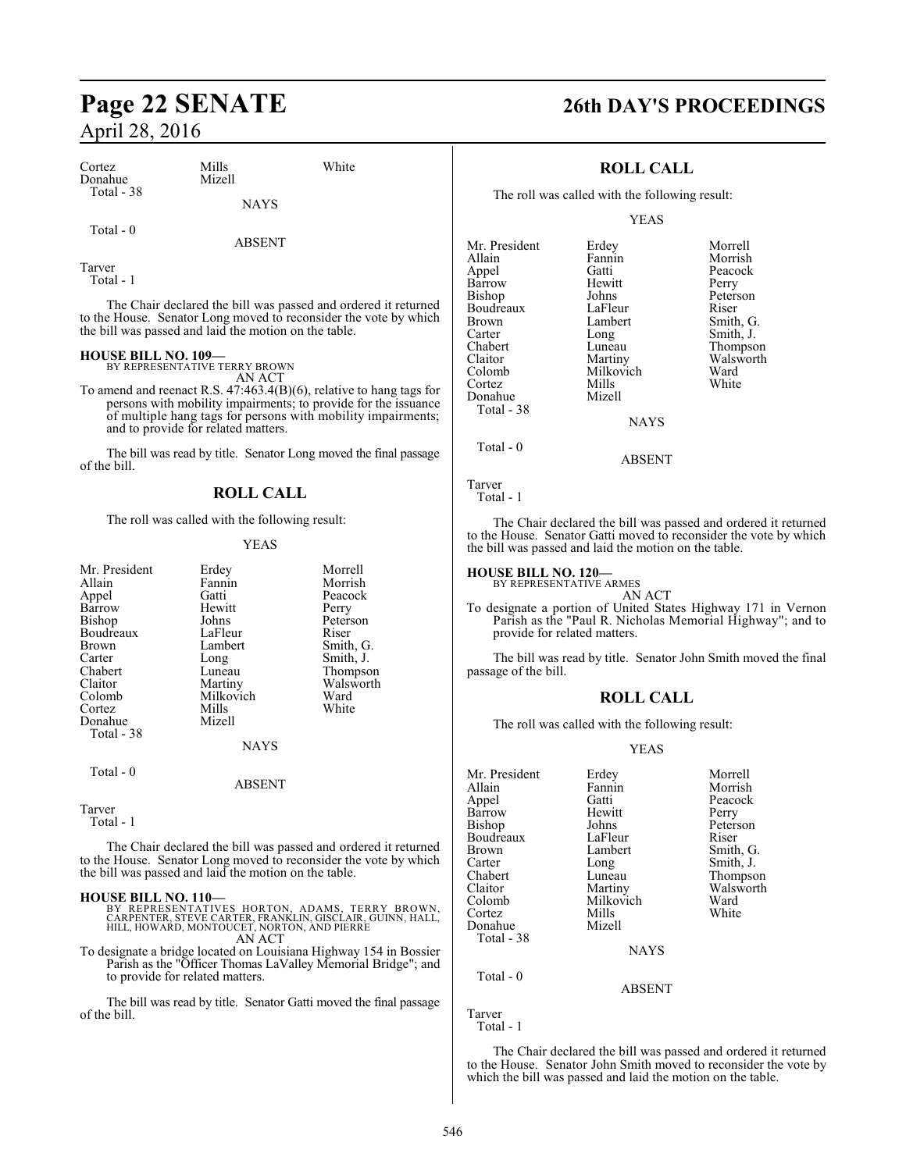| Cortez<br>Donahue<br>Total - 38 | Mills<br>Mizell | White |  |
|---------------------------------|-----------------|-------|--|
|                                 | <b>NAYS</b>     |       |  |
| Total - 0                       | <b>ABSENT</b>   |       |  |

Tarver

Total - 1

The Chair declared the bill was passed and ordered it returned to the House. Senator Long moved to reconsider the vote by which the bill was passed and laid the motion on the table.

## **HOUSE BILL NO. 109—** BY REPRESENTATIVE TERRY BROWN

AN ACT

To amend and reenact R.S. 47:463.4(B)(6), relative to hang tags for persons with mobility impairments; to provide for the issuance of multiple hang tags for persons with mobility impairments; and to provide for related matters.

The bill was read by title. Senator Long moved the final passage of the bill.

### **ROLL CALL**

The roll was called with the following result:

#### YEAS

| Mr. President<br>Allain<br>Appel<br>Barrow<br>Bishop<br>Boudreaux<br>Brown<br>Carter<br>Chabert | Erdey<br>Fannin<br>Gatti<br>Hewitt<br>Johns<br>LaFleur<br>Lambert<br>Long<br>Luneau | Morrell<br>Morrish<br>Peacock<br>Perry<br>Peterson<br>Riser<br>Smith, G.<br>Smith, J.<br>Thompson |
|-------------------------------------------------------------------------------------------------|-------------------------------------------------------------------------------------|---------------------------------------------------------------------------------------------------|
| Claitor                                                                                         | Martiny                                                                             | Walsworth                                                                                         |
| Colomb                                                                                          | Milkovich                                                                           | Ward                                                                                              |
| Cortez                                                                                          | Mills                                                                               | White                                                                                             |
| Donahue<br>Total - 38                                                                           | Mizell                                                                              |                                                                                                   |
|                                                                                                 | <b>NAYS</b>                                                                         |                                                                                                   |
| Total $-0$                                                                                      | <b>ABSENT</b>                                                                       |                                                                                                   |
| Tarver                                                                                          |                                                                                     |                                                                                                   |

Total - 1

The Chair declared the bill was passed and ordered it returned to the House. Senator Long moved to reconsider the vote by which the bill was passed and laid the motion on the table.

#### **HOUSE BILL NO. 110—**

- BY REPRESENTATIVES HORTON, ADAMS, TERRY BROWN,<br>CARPENTER, STEVE CARTER,FRANKLIN,GISCLAIR,GUINN,HALL,<br>HILL,HOWARD,MONTOUCET,NORTON,AND PIERRE AN ACT
- To designate a bridge located on Louisiana Highway 154 in Bossier Parish as the "Officer Thomas LaValley Memorial Bridge"; and to provide for related matters.

The bill was read by title. Senator Gatti moved the final passage of the bill.

## **Page 22 SENATE 26th DAY'S PROCEEDINGS**

#### **ROLL CALL**

The roll was called with the following result:

YEAS

| Mr. President | Erdey       | Morrell   |
|---------------|-------------|-----------|
| Allain        | Fannin      | Morrish   |
| Appel         | Gatti       | Peacock   |
| Barrow        | Hewitt      | Perry     |
| Bishop        | Johns       | Peterson  |
| Boudreaux     | LaFleur     | Riser     |
| Brown         | Lambert     | Smith, G. |
| Carter        | Long        | Smith, J. |
| Chabert       | Luneau      | Thompson  |
| Claitor       | Martiny     | Walsworth |
| Colomb        | Milkovich   | Ward      |
| Cortez        | Mills       | White     |
| Donahue       | Mizell      |           |
| Total - 38    |             |           |
|               | <b>NAYS</b> |           |
| Total - 0     |             |           |

```
Tarver
  Total - 1
```
The Chair declared the bill was passed and ordered it returned to the House. Senator Gatti moved to reconsider the vote by which the bill was passed and laid the motion on the table.

ABSENT

#### **HOUSE BILL NO. 120—**

BY REPRESENTATIVE ARMES AN ACT

To designate a portion of United States Highway 171 in Vernon Parish as the "Paul R. Nicholas Memorial Highway"; and to provide for related matters.

The bill was read by title. Senator John Smith moved the final passage of the bill.

#### **ROLL CALL**

The roll was called with the following result:

#### YEAS

| Mr. President | Erdey         | Morrell   |
|---------------|---------------|-----------|
| Allain        | Fannin        | Morrish   |
| Appel         | Gatti         | Peacock   |
| Barrow        | Hewitt        | Perry     |
| Bishop        | Johns         | Peterson  |
| Boudreaux     | LaFleur       | Riser     |
| Brown         | Lambert       | Smith, G. |
| Carter        | Long          | Smith, J. |
| Chabert       | Luneau        | Thompson  |
| Claitor       | Martiny       | Walsworth |
| Colomb        | Milkovich     | Ward      |
| Cortez        | Mills         | White     |
| Donahue       | Mizell        |           |
| Total - 38    |               |           |
|               | <b>NAYS</b>   |           |
| Total $-0$    |               |           |
|               | <b>ABSENT</b> |           |
| Tarver        |               |           |

Total - 1

The Chair declared the bill was passed and ordered it returned to the House. Senator John Smith moved to reconsider the vote by which the bill was passed and laid the motion on the table.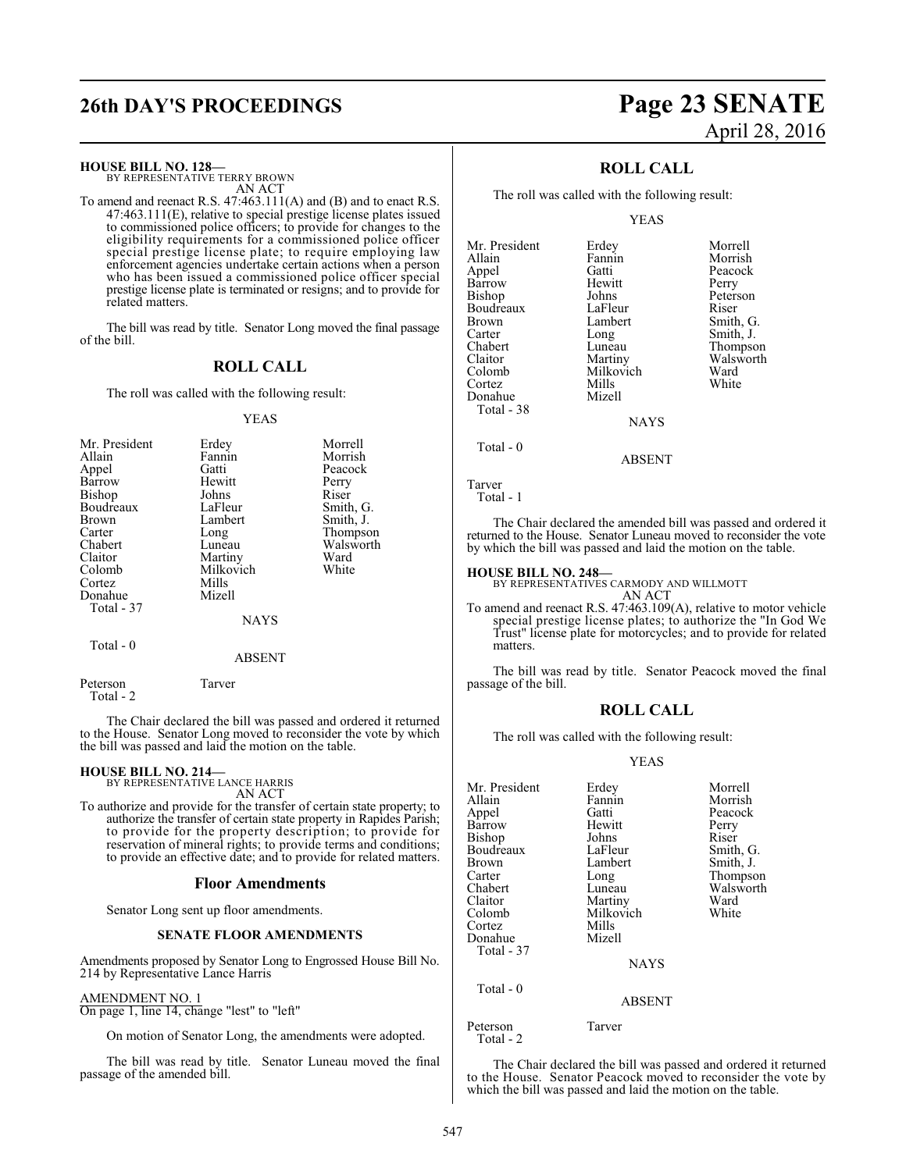## **26th DAY'S PROCEEDINGS Page 23 SENATE**

**HOUSE BILL NO. 128—**

BY REPRESENTATIVE TERRY BROWN AN ACT

To amend and reenact R.S. 47:463.111(A) and (B) and to enact R.S. 47:463.111(E), relative to special prestige license plates issued to commissioned police officers; to provide for changes to the eligibility requirements for a commissioned police officer special prestige license plate; to require employing law enforcement agencies undertake certain actions when a person who has been issued a commissioned police officer special prestige license plate is terminated or resigns; and to provide for related matters.

The bill was read by title. Senator Long moved the final passage of the bill.

#### **ROLL CALL**

The roll was called with the following result:

#### YEAS

| Mr. President | Erdey     | Morrell   |
|---------------|-----------|-----------|
| Allain        | Fannin    | Morrish   |
| Appel         | Gatti     | Peacock   |
| Barrow        | Hewitt    | Perry     |
| <b>Bishop</b> | Johns     | Riser     |
| Boudreaux     | LaFleur   | Smith, G. |
| Brown         | Lambert   | Smith, J. |
| Carter        | Long      | Thompson  |
| Chabert       | Luneau    | Walsworth |
| Claitor       | Martiny   | Ward      |
| Colomb        | Milkovich | White     |
| Cortez        | Mills     |           |
| Donahue       | Mizell    |           |
| Total - 37    |           |           |
|               | NAYS      |           |

Total - 0

ABSENT

Peterson Tarver Total - 2

The Chair declared the bill was passed and ordered it returned to the House. Senator Long moved to reconsider the vote by which the bill was passed and laid the motion on the table.

## **HOUSE BILL NO. 214—** BY REPRESENTATIVE LANCE HARRIS

AN ACT

To authorize and provide for the transfer of certain state property; to authorize the transfer of certain state property in Rapides Parish; to provide for the property description; to provide for reservation of mineral rights; to provide terms and conditions; to provide an effective date; and to provide for related matters.

#### **Floor Amendments**

Senator Long sent up floor amendments.

#### **SENATE FLOOR AMENDMENTS**

Amendments proposed by Senator Long to Engrossed House Bill No. 214 by Representative Lance Harris

#### AMENDMENT NO. 1

On page 1, line 14, change "lest" to "left"

On motion of Senator Long, the amendments were adopted.

The bill was read by title. Senator Luneau moved the final passage of the amended bill.

# April 28, 2016

Peacock Perry Peterson<br>Riser

Smith, G. Smith, J. Thompson Walsworth<br>Ward

### **ROLL CALL**

The roll was called with the following result:

YEAS

| Mr. President | Erdey       | Morrell       |
|---------------|-------------|---------------|
| Allain        | Fannin      | Morrish       |
| Appel         | Gatti       | Peacock       |
| Barrow        | Hewitt      | Perry         |
| Bishop        | Johns       | Petersor      |
| Boudreaux     | LaFleur     | Riser         |
| <b>Brown</b>  | Lambert     | Smith, C      |
| Carter        | Long        | Smith, J      |
| Chabert       | Luneau      | <b>Thomps</b> |
| Claitor       | Martiny     | Walswo        |
| Colomb        | Milkovich   | Ward          |
| Cortez        | Mills       | White         |
| Donahue       | Mizell      |               |
| Total - 38    |             |               |
|               | <b>NAYS</b> |               |
| Total - 0     |             |               |

Tarver

```
 Total - 1
```
The Chair declared the amended bill was passed and ordered it returned to the House. Senator Luneau moved to reconsider the vote by which the bill was passed and laid the motion on the table.

ABSENT

#### **HOUSE BILL NO. 248—**

BY REPRESENTATIVES CARMODY AND WILLMOTT

AN ACT To amend and reenact R.S. 47:463.109(A), relative to motor vehicle special prestige license plates; to authorize the "In God We Trust" license plate for motorcycles; and to provide for related matters.

The bill was read by title. Senator Peacock moved the final passage of the bill.

#### **ROLL CALL**

The roll was called with the following result:

#### YEAS

| Mr. President         | Erdey       | Morrell   |
|-----------------------|-------------|-----------|
| Allain                | Fannin      | Morrish   |
| Appel                 | Gatti       | Peacock   |
| Barrow                | Hewitt      | Perry     |
| Bishop                | Johns       | Riser     |
| Boudreaux             | LaFleur     | Smith, G. |
| Brown                 | Lambert     | Smith, J. |
| Carter                | Long        | Thompson  |
| Chabert               | Luneau      | Walsworth |
| Claitor               | Martiny     | Ward      |
| Colomb                | Milkovich   | White     |
| Cortez                | Mills       |           |
| Donahue               | Mizell      |           |
| Total - 37            |             |           |
|                       | <b>NAYS</b> |           |
| Total $-0$            |             |           |
|                       | ABSENT      |           |
| Peterson<br>Total - 2 | Tarver      |           |

The Chair declared the bill was passed and ordered it returned to the House. Senator Peacock moved to reconsider the vote by which the bill was passed and laid the motion on the table.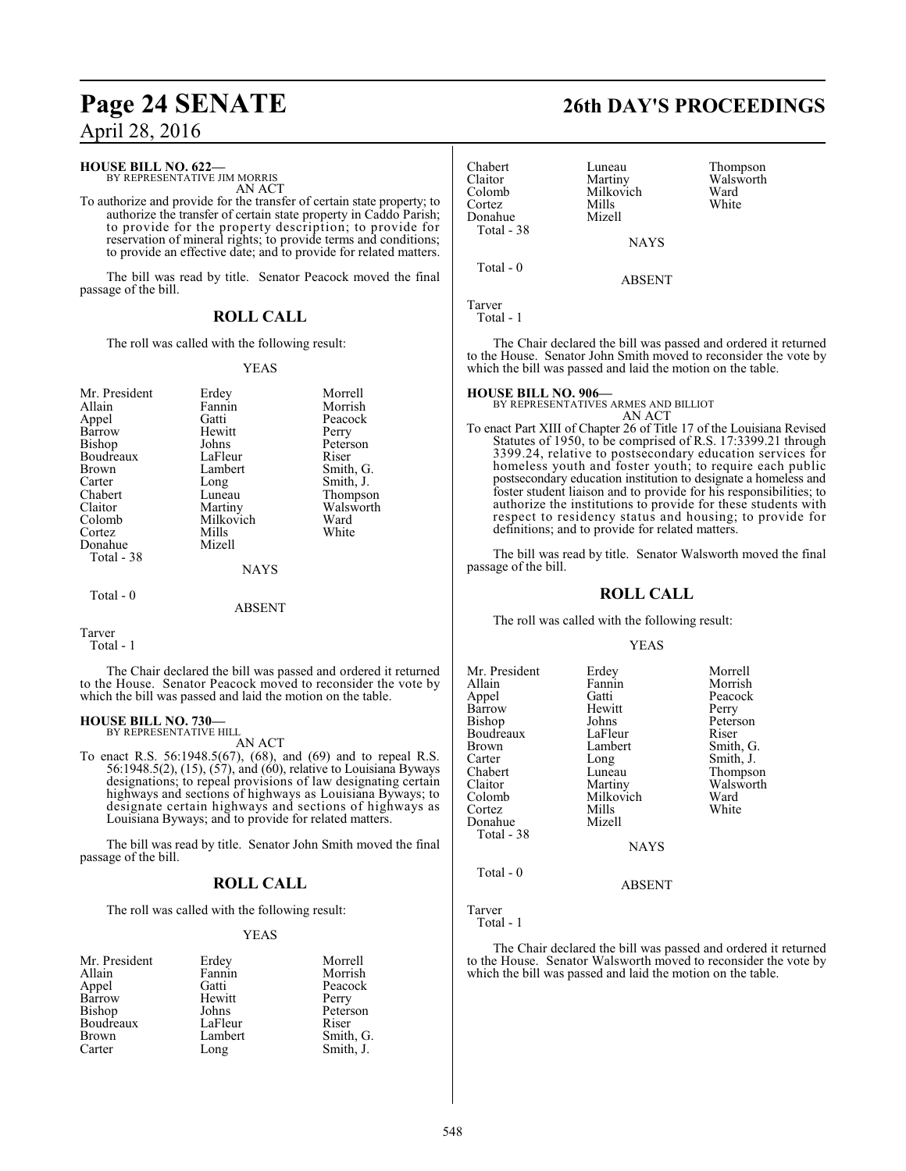#### **HOUSE BILL NO. 622—**

BY REPRESENTATIVE JIM MORRIS AN ACT

To authorize and provide for the transfer of certain state property; to authorize the transfer of certain state property in Caddo Parish; to provide for the property description; to provide for reservation of mineral rights; to provide terms and conditions; to provide an effective date; and to provide for related matters.

The bill was read by title. Senator Peacock moved the final passage of the bill.

### **ROLL CALL**

The roll was called with the following result:

#### YEAS

| Mr. President | Erdey       | Morrell   |
|---------------|-------------|-----------|
| Allain        | Fannin      | Morrish   |
| Appel         | Gatti       | Peacock   |
| Barrow        | Hewitt      | Perry     |
| Bishop        | Johns       | Peterson  |
| Boudreaux     | LaFleur     | Riser     |
| <b>Brown</b>  | Lambert     | Smith, G. |
| Carter        | Long        | Smith, J. |
| Chabert       | Luneau      | Thompson  |
| Claitor       | Martiny     | Walsworth |
| Colomb        | Milkovich   | Ward      |
| Cortez        | Mills       | White     |
| Donahue       | Mizell      |           |
| Total - 38    |             |           |
|               | <b>NAYS</b> |           |
| Total - 0     |             |           |
|               | ABSENT      |           |

Tarver

Total - 1

The Chair declared the bill was passed and ordered it returned to the House. Senator Peacock moved to reconsider the vote by which the bill was passed and laid the motion on the table.

#### **HOUSE BILL NO. 730—**

BY REPRESENTATIVE HILL AN ACT

To enact R.S. 56:1948.5(67), (68), and (69) and to repeal R.S. 56:1948.5(2), (15), (57), and (60), relative to Louisiana Byways designations; to repeal provisions of law designating certain highways and sections of highways as Louisiana Byways; to designate certain highways and sections of highways as Louisiana Byways; and to provide for related matters.

The bill was read by title. Senator John Smith moved the final passage of the bill.

#### **ROLL CALL**

The roll was called with the following result:

#### YEAS

| Mr. President | Erdey   | Morrell   |
|---------------|---------|-----------|
| Allain        | Fannin  | Morrish   |
| Appel         | Gatti   | Peacock   |
| Barrow        | Hewitt  | Perry     |
| <b>Bishop</b> | Johns   | Peterson  |
| Boudreaux     | LaFleur | Riser     |
| Brown         | Lambert | Smith, G. |
| Carter        | Long    | Smith, J. |

#### Chabert Luneau Thompson<br>Claitor Martiny Walsworth Claitor Martiny Walsworth Colomb Milkovich Ward<br>Cortez Mills White Cortez Mills White Donahue Mizell Total - 38

NAYS

ABSENT

Tarver Total - 1

Total - 0

The Chair declared the bill was passed and ordered it returned to the House. Senator John Smith moved to reconsider the vote by which the bill was passed and laid the motion on the table.

#### **HOUSE BILL NO. 906—**

BY REPRESENTATIVES ARMES AND BILLIOT

AN ACT To enact Part XIII of Chapter 26 of Title 17 of the Louisiana Revised Statutes of 1950, to be comprised of R.S. 17:3399.21 through 3399.24, relative to postsecondary education services for homeless youth and foster youth; to require each public postsecondary education institution to designate a homeless and foster student liaison and to provide for his responsibilities; to authorize the institutions to provide for these students with respect to residency status and housing; to provide for definitions; and to provide for related matters.

The bill was read by title. Senator Walsworth moved the final passage of the bill.

#### **ROLL CALL**

The roll was called with the following result:

#### YEAS

| Mr. President | Erdey       | Morrell   |
|---------------|-------------|-----------|
|               |             |           |
| Allain        | Fannin      | Morrish   |
| Appel         | Gatti       | Peacock   |
| Barrow        | Hewitt      | Perry     |
| Bishop        | Johns       | Peterson  |
| Boudreaux     | LaFleur     | Riser     |
| Brown         | Lambert     | Smith, G. |
| Carter        | Long        | Smith, J. |
| Chabert       | Luneau      | Thompson  |
| Claitor       | Martiny     | Walsworth |
| Colomb        | Milkovich   | Ward      |
| Cortez        | Mills       | White     |
| Donahue       | Mizell      |           |
| Total - 38    |             |           |
|               | <b>NAYS</b> |           |
| Total $-0$    |             |           |
|               | ABSENT      |           |

Tarver Total - 1

The Chair declared the bill was passed and ordered it returned to the House. Senator Walsworth moved to reconsider the vote by which the bill was passed and laid the motion on the table.

## **Page 24 SENATE 26th DAY'S PROCEEDINGS**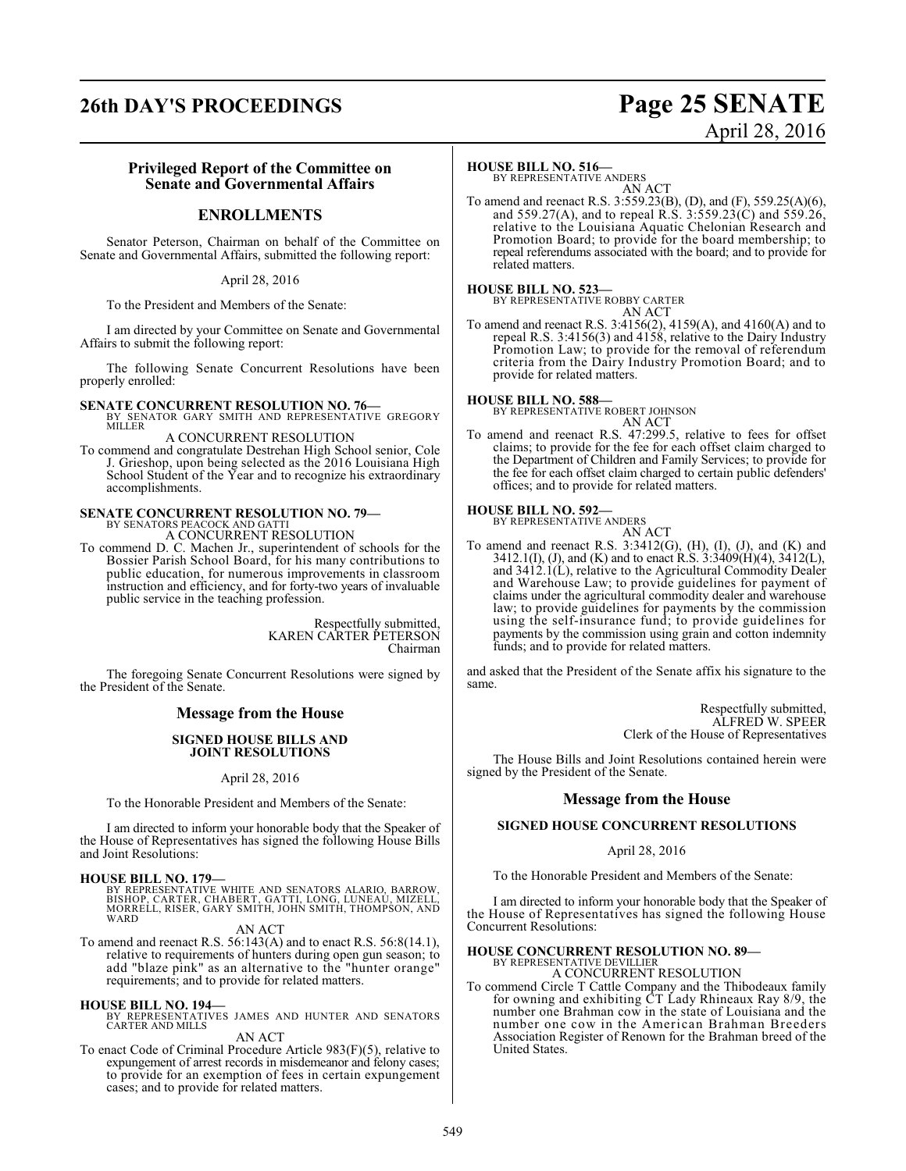## **26th DAY'S PROCEEDINGS Page 25 SENATE**

# April 28, 2016

#### **Privileged Report of the Committee on Senate and Governmental Affairs**

#### **ENROLLMENTS**

Senator Peterson, Chairman on behalf of the Committee on Senate and Governmental Affairs, submitted the following report:

April 28, 2016

To the President and Members of the Senate:

I am directed by your Committee on Senate and Governmental Affairs to submit the following report:

The following Senate Concurrent Resolutions have been properly enrolled:

**SENATE CONCURRENT RESOLUTION NO. 76—**<br>BY SENATOR GARY SMITH AND REPRESENTATIVE GREGORY<br>MILLER A CONCURRENT RESOLUTION

To commend and congratulate Destrehan High School senior, Cole J. Grieshop, upon being selected as the 2016 Louisiana High School Student of the Year and to recognize his extraordinary accomplishments.

# **SENATE CONCURRENT RESOLUTION NO. 79—**<br>BY SENATORS PEACOCK AND GATTI<br>A CONCURRENT RESOLUTION

To commend D. C. Machen Jr., superintendent of schools for the Bossier Parish School Board, for his many contributions to public education, for numerous improvements in classroom instruction and efficiency, and for forty-two years of invaluable public service in the teaching profession.

> Respectfully submitted, KAREN CARTER PETERSON Chairman

The foregoing Senate Concurrent Resolutions were signed by the President of the Senate.

#### **Message from the House**

#### **SIGNED HOUSE BILLS AND JOINT RESOLUTIONS**

April 28, 2016

To the Honorable President and Members of the Senate:

I am directed to inform your honorable body that the Speaker of the House of Representatives has signed the following House Bills and Joint Resolutions:

#### **HOUSE BILL NO. 179—**

BY REPRESENTATIVE WHITE AND SENATORS ALARIO, BARROW,<br>BISHOP, CARTER, CHABERT, GATTI, LONG, LUNEAU, MIZELL,<br>MORRELL, RISER, GARY SMITH, JOHN SMITH, THOMPSON, AND **WARD** 

AN ACT

To amend and reenact R.S. 56:143(A) and to enact R.S. 56:8(14.1), relative to requirements of hunters during open gun season; to add "blaze pink" as an alternative to the "hunter orange" requirements; and to provide for related matters.

**HOUSE BILL NO. 194—** BY REPRESENTATIVES JAMES AND HUNTER AND SENATORS CARTER AND MILLS

#### AN ACT

To enact Code of Criminal Procedure Article 983(F)(5), relative to expungement of arrest records in misdemeanor and felony cases; to provide for an exemption of fees in certain expungement cases; and to provide for related matters.

#### **HOUSE BILL NO. 516—**

BY REPRESENTATIVE ANDERS AN ACT

To amend and reenact R.S. 3:559.23(B), (D), and (F), 559.25(A)(6), and 559.27(A), and to repeal R.S. 3:559.23(C) and 559.26, relative to the Louisiana Aquatic Chelonian Research and Promotion Board; to provide for the board membership; to repeal referendums associated with the board; and to provide for related matters.

## **HOUSE BILL NO. 523—** BY REPRESENTATIVE ROBBY CARTER

AN ACT

To amend and reenact R.S. 3:4156(2), 4159(A), and 4160(A) and to repeal R.S. 3:4156(3) and 4158, relative to the Dairy Industry Promotion Law; to provide for the removal of referendum criteria from the Dairy Industry Promotion Board; and to provide for related matters.

#### **HOUSE BILL NO. 588—**

BY REPRESENTATIVE ROBERT JOHNSON AN ACT

To amend and reenact R.S. 47:299.5, relative to fees for offset claims; to provide for the fee for each offset claim charged to the Department of Children and Family Services; to provide for the fee for each offset claim charged to certain public defenders' offices; and to provide for related matters.

## **HOUSE BILL NO. 592—** BY REPRESENTATIVE ANDERS

AN ACT

To amend and reenact R.S.  $3:3412(G)$ ,  $(H)$ ,  $(I)$ ,  $(J)$ , and  $(K)$  and 3412.1(I), (J), and (K) and to enact R.S. 3:3409(H)(4), 3412(L), and 3412.1(L), relative to the Agricultural Commodity Dealer and Warehouse Law; to provide guidelines for payment of claims under the agricultural commodity dealer and warehouse law; to provide guidelines for payments by the commission using the self-insurance fund; to provide guidelines for payments by the commission using grain and cotton indemnity funds; and to provide for related matters.

and asked that the President of the Senate affix his signature to the same.

> Respectfully submitted, ALFRED W. SPEER Clerk of the House of Representatives

The House Bills and Joint Resolutions contained herein were signed by the President of the Senate.

#### **Message from the House**

#### **SIGNED HOUSE CONCURRENT RESOLUTIONS**

#### April 28, 2016

To the Honorable President and Members of the Senate:

I am directed to inform your honorable body that the Speaker of the House of Representatives has signed the following House Concurrent Resolutions:

#### **HOUSE CONCURRENT RESOLUTION NO. 89—**

BY REPRESENTATIVE DEVILLIER A CONCURRENT RESOLUTION

To commend Circle T Cattle Company and the Thibodeaux family for owning and exhibiting CT Lady Rhineaux Ray 8/9, the number one Brahman cow in the state of Louisiana and the number one cow in the American Brahman Breeders Association Register of Renown for the Brahman breed of the United States.